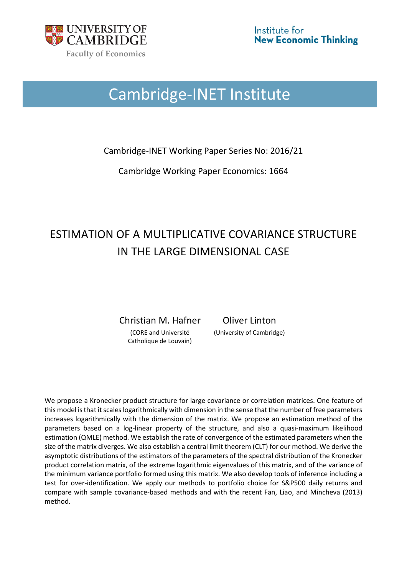

# Cambridge-INET Institute

Cambridge-INET Working Paper Series No: 2016/21

Cambridge Working Paper Economics: 1664

## ESTIMATION OF A MULTIPLICATIVE COVARIANCE STRUCTURE IN THE LARGE DIMENSIONAL CASE

Christian M. Hafner Oliver Linton

(CORE and Université Catholique de Louvain)

(University of Cambridge)

We propose a Kronecker product structure for large covariance or correlation matrices. One feature of this model is that it scales logarithmically with dimension in the sense that the number of free parameters increases logarithmically with the dimension of the matrix. We propose an estimation method of the parameters based on a log-linear property of the structure, and also a quasi-maximum likelihood estimation (QMLE) method. We establish the rate of convergence of the estimated parameters when the size of the matrix diverges. We also establish a central limit theorem (CLT) for our method. We derive the asymptotic distributions of the estimators of the parameters of the spectral distribution of the Kronecker product correlation matrix, of the extreme logarithmic eigenvalues of this matrix, and of the variance of the minimum variance portfolio formed using this matrix. We also develop tools of inference including a test for over-identification. We apply our methods to portfolio choice for S&P500 daily returns and compare with sample covariance-based methods and with the recent Fan, Liao, and Mincheva (2013) method.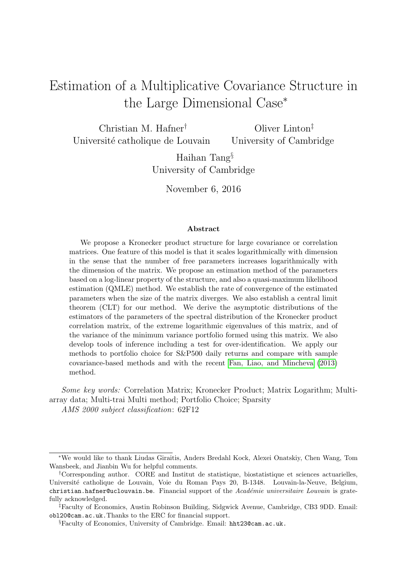## Estimation of a Multiplicative Covariance Structure in the Large Dimensional Case<sup>∗</sup>

Christian M. Hafner† Université catholique de Louvain

Oliver Linton‡ University of Cambridge

Haihan Tang§ University of Cambridge

November 6, 2016

#### Abstract

We propose a Kronecker product structure for large covariance or correlation matrices. One feature of this model is that it scales logarithmically with dimension in the sense that the number of free parameters increases logarithmically with the dimension of the matrix. We propose an estimation method of the parameters based on a log-linear property of the structure, and also a quasi-maximum likelihood estimation (QMLE) method. We establish the rate of convergence of the estimated parameters when the size of the matrix diverges. We also establish a central limit theorem (CLT) for our method. We derive the asymptotic distributions of the estimators of the parameters of the spectral distribution of the Kronecker product correlation matrix, of the extreme logarithmic eigenvalues of this matrix, and of the variance of the minimum variance portfolio formed using this matrix. We also develop tools of inference including a test for over-identification. We apply our methods to portfolio choice for S&P500 daily returns and compare with sample covariance-based methods and with the recent [Fan, Liao, and Mincheva](#page-70-0) [\(2013\)](#page-70-0) method.

Some key words: Correlation Matrix; Kronecker Product; Matrix Logarithm; Multiarray data; Multi-trai Multi method; Portfolio Choice; Sparsity AMS 2000 subject classification: 62F12

<sup>∗</sup>We would like to thank Liudas Giraitis, Anders Bredahl Kock, Alexei Onatskiy, Chen Wang, Tom Wansbeek, and Jianbin Wu for helpful comments.

<sup>†</sup>Corresponding author. CORE and Institut de statistique, biostatistique et sciences actuarielles, Universit´e catholique de Louvain, Voie du Roman Pays 20, B-1348. Louvain-la-Neuve, Belgium, christian.hafner@uclouvain.be. Financial support of the Académie universitaire Louvain is gratefully acknowledged.

<sup>‡</sup>Faculty of Economics, Austin Robinson Building, Sidgwick Avenue, Cambridge, CB3 9DD. Email: obl20@cam.ac.uk.Thanks to the ERC for financial support.

<sup>§</sup>Faculty of Economics, University of Cambridge. Email: hht23@cam.ac.uk.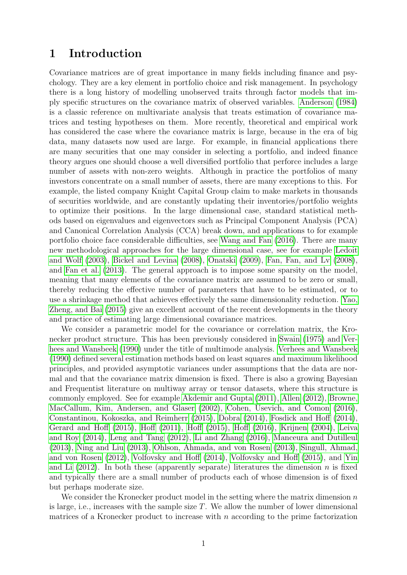### 1 Introduction

Covariance matrices are of great importance in many fields including finance and psychology. They are a key element in portfolio choice and risk management. In psychology there is a long history of modelling unobserved traits through factor models that imply specific structures on the covariance matrix of observed variables. [Anderson](#page-68-0) [\(1984\)](#page-68-0) is a classic reference on multivariate analysis that treats estimation of covariance matrices and testing hypotheses on them. More recently, theoretical and empirical work has considered the case where the covariance matrix is large, because in the era of big data, many datasets now used are large. For example, in financial applications there are many securities that one may consider in selecting a portfolio, and indeed finance theory argues one should choose a well diversified portfolio that perforce includes a large number of assets with non-zero weights. Although in practice the portfolios of many investors concentrate on a small number of assets, there are many exceptions to this. For example, the listed company Knight Capital Group claim to make markets in thousands of securities worldwide, and are constantly updating their inventories/portfolio weights to optimize their positions. In the large dimensional case, standard statistical methods based on eigenvalues and eigenvectors such as Principal Component Analysis (PCA) and Canonical Correlation Analysis (CCA) break down, and applications to for example portfolio choice face considerable difficulties, see [Wang and Fan](#page-72-0) [\(2016\)](#page-72-0). There are many new methodological approaches for the large dimensional case, see for example [Ledoit](#page-70-1) [and Wolf](#page-70-1) [\(2003\)](#page-70-1), [Bickel and Levina](#page-69-0) [\(2008\)](#page-69-0), [Onatski](#page-71-0) [\(2009\)](#page-71-0), [Fan, Fan, and Lv](#page-70-2) [\(2008\)](#page-70-2), and [Fan et al.](#page-70-0) [\(2013\)](#page-70-0). The general approach is to impose some sparsity on the model, meaning that many elements of the covariance matrix are assumed to be zero or small, thereby reducing the effective number of parameters that have to be estimated, or to use a shrinkage method that achieves effectively the same dimensionality reduction. [Yao,](#page-72-1) [Zheng, and Bai](#page-72-1) [\(2015\)](#page-72-1) give an excellent account of the recent developments in the theory and practice of estimating large dimensional covariance matrices.

We consider a parametric model for the covariance or correlation matrix, the Kronecker product structure. This has been previously considered in [Swain](#page-72-2) [\(1975\)](#page-72-2) and [Ver](#page-72-3)[hees and Wansbeek](#page-72-3) [\(1990\)](#page-72-3) under the title of multimode analysis. [Verhees and Wansbeek](#page-72-3) [\(1990\)](#page-72-3) defined several estimation methods based on least squares and maximum likelihood principles, and provided asymptotic variances under assumptions that the data are normal and that the covariance matrix dimension is fixed. There is also a growing Bayesian and Frequentist literature on multiway array or tensor datasets, where this structure is commonly employed. See for example [Akdemir and Gupta](#page-68-1) [\(2011\)](#page-68-1), [Allen](#page-68-2) [\(2012\)](#page-68-2), [Browne,](#page-69-1) [MacCallum, Kim, Andersen, and Glaser](#page-69-1) [\(2002\)](#page-69-1), [Cohen, Usevich, and Comon](#page-69-2) [\(2016\)](#page-69-2), [Constantinou, Kokoszka, and Reimherr](#page-69-3) [\(2015\)](#page-69-3), [Dobra](#page-70-3) [\(2014\)](#page-70-3), [Fosdick and Hoff](#page-70-4) [\(2014\)](#page-70-4), [Gerard and Hoff](#page-70-5) [\(2015\)](#page-70-5), [Hoff](#page-70-6) [\(2011\)](#page-70-6), [Hoff](#page-70-7) [\(2015\)](#page-70-7), [Hoff](#page-70-8) [\(2016\)](#page-70-8), [Krijnen](#page-70-9) [\(2004\)](#page-70-9), [Leiva](#page-71-1) [and Roy](#page-71-1) [\(2014\)](#page-71-1), [Leng and Tang](#page-71-2) [\(2012\)](#page-71-2), [Li and Zhang](#page-71-3) [\(2016\)](#page-71-3), [Manceura and Dutilleul](#page-71-4) [\(2013\)](#page-71-4), [Ning and Liu](#page-71-5) [\(2013\)](#page-71-5), [Ohlson, Ahmada, and von Rosen](#page-71-6) [\(2013\)](#page-71-6), [Singull, Ahmad,](#page-72-4) [and von Rosen](#page-72-4) [\(2012\)](#page-72-4), [Volfovsky and Hoff](#page-72-5) [\(2014\)](#page-72-5), [Volfovsky and Hoff](#page-72-6) [\(2015\)](#page-72-6), and [Yin](#page-72-7) [and Li](#page-72-7)  $(2012)$ . In both these (apparently separate) literatures the dimension n is fixed and typically there are a small number of products each of whose dimension is of fixed but perhaps moderate size.

We consider the Kronecker product model in the setting where the matrix dimension  $n$ is large, i.e., increases with the sample size  $T$ . We allow the number of lower dimensional matrices of a Kronecker product to increase with  $n$  according to the prime factorization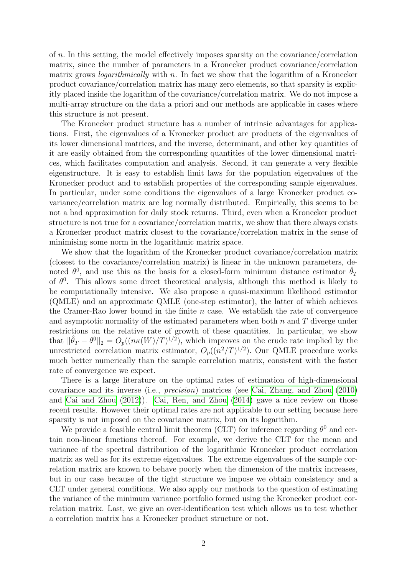of n. In this setting, the model effectively imposes sparsity on the covariance/correlation matrix, since the number of parameters in a Kronecker product covariance/correlation matrix grows *logarithmically* with n. In fact we show that the logarithm of a Kronecker product covariance/correlation matrix has many zero elements, so that sparsity is explicitly placed inside the logarithm of the covariance/correlation matrix. We do not impose a multi-array structure on the data a priori and our methods are applicable in cases where this structure is not present.

The Kronecker product structure has a number of intrinsic advantages for applications. First, the eigenvalues of a Kronecker product are products of the eigenvalues of its lower dimensional matrices, and the inverse, determinant, and other key quantities of it are easily obtained from the corresponding quantities of the lower dimensional matrices, which facilitates computation and analysis. Second, it can generate a very flexible eigenstructure. It is easy to establish limit laws for the population eigenvalues of the Kronecker product and to establish properties of the corresponding sample eigenvalues. In particular, under some conditions the eigenvalues of a large Kronecker product covariance/correlation matrix are log normally distributed. Empirically, this seems to be not a bad approximation for daily stock returns. Third, even when a Kronecker product structure is not true for a covariance/correlation matrix, we show that there always exists a Kronecker product matrix closest to the covariance/correlation matrix in the sense of minimising some norm in the logarithmic matrix space.

We show that the logarithm of the Kronecker product covariance/correlation matrix (closest to the covariance/correlation matrix) is linear in the unknown parameters, denoted  $\theta^0$ , and use this as the basis for a closed-form minimum distance estimator  $\hat{\theta}_T$ of  $\theta^0$ . This allows some direct theoretical analysis, although this method is likely to be computationally intensive. We also propose a quasi-maximum likelihood estimator (QMLE) and an approximate QMLE (one-step estimator), the latter of which achieves the Cramer-Rao lower bound in the finite  $n$  case. We establish the rate of convergence and asymptotic normality of the estimated parameters when both  $n$  and  $T$  diverge under restrictions on the relative rate of growth of these quantities. In particular, we show that  $\|\hat{\theta}_T - \theta^0\|_2 = O_p((n\kappa(W)/T)^{1/2})$ , which improves on the crude rate implied by the unrestricted correlation matrix estimator,  $O_p((n^2/T)^{1/2})$ . Our QMLE procedure works much better numerically than the sample correlation matrix, consistent with the faster rate of convergence we expect.

There is a large literature on the optimal rates of estimation of high-dimensional covariance and its inverse (i.e., precision) matrices (see [Cai, Zhang, and Zhou](#page-69-4) [\(2010\)](#page-69-4) and [Cai and Zhou](#page-69-5) [\(2012\)](#page-69-5)). [Cai, Ren, and Zhou](#page-69-6) [\(2014\)](#page-69-6) gave a nice review on those recent results. However their optimal rates are not applicable to our setting because here sparsity is not imposed on the covariance matrix, but on its logarithm.

We provide a feasible central limit theorem (CLT) for inference regarding  $\theta^0$  and certain non-linear functions thereof. For example, we derive the CLT for the mean and variance of the spectral distribution of the logarithmic Kronecker product correlation matrix as well as for its extreme eigenvalues. The extreme eigenvalues of the sample correlation matrix are known to behave poorly when the dimension of the matrix increases, but in our case because of the tight structure we impose we obtain consistency and a CLT under general conditions. We also apply our methods to the question of estimating the variance of the minimum variance portfolio formed using the Kronecker product correlation matrix. Last, we give an over-identification test which allows us to test whether a correlation matrix has a Kronecker product structure or not.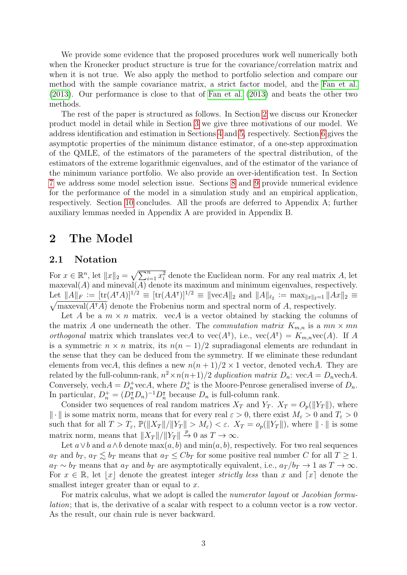We provide some evidence that the proposed procedures work well numerically both when the Kronecker product structure is true for the covariance/correlation matrix and when it is not true. We also apply the method to portfolio selection and compare our method with the sample covariance matrix, a strict factor model, and the [Fan et al.](#page-70-0) [\(2013\)](#page-70-0). Our performance is close to that of [Fan et al.](#page-70-0) [\(2013\)](#page-70-0) and beats the other two methods.

The rest of the paper is structured as follows. In Section [2](#page-4-0) we discuss our Kronecker product model in detail while in Section [3](#page-7-0) we give three motivations of our model. We address identification and estimation in Sections [4](#page-13-0) and [5,](#page-17-0) respectively. Section [6](#page-21-0) gives the asymptotic properties of the minimum distance estimator, of a one-step approximation of the QMLE, of the estimators of the parameters of the spectral distribution, of the estimators of the extreme logarithmic eigenvalues, and of the estimator of the variance of the minimum variance portfolio. We also provide an over-identification test. In Section [7](#page-31-0) we address some model selection issue. Sections [8](#page-32-0) and [9](#page-34-0) provide numerical evidence for the performance of the model in a simulation study and an empirical application, respectively. Section [10](#page-35-0) concludes. All the proofs are deferred to Appendix A; further auxiliary lemmas needed in Appendix A are provided in Appendix B.

### <span id="page-4-0"></span>2 The Model

#### 2.1 Notation

For  $x \in \mathbb{R}^n$ , let  $||x||_2 = \sqrt{\sum_{i=1}^n x_i^2}$  denote the Euclidean norm. For any real matrix A, let  $maxeval(A)$  and mineval $(A)$  denote its maximum and minimum eigenvalues, respectively. Let  $||A||_F := [\text{tr}(A^{\dagger}A)]^{1/2} \equiv [\text{tr}(AA^{\dagger})]^{1/2} \equiv ||\text{vec}A||_2$  and  $||A||_{\ell_2} := \max_{||x||_2=1} ||Ax||_2 \equiv$  $\sqrt{\maxeval(A^{\dagger}A)}$  denote the Frobenius norm and spectral norm of A, respectively.

Let A be a  $m \times n$  matrix. vecA is a vector obtained by stacking the columns of the matrix A one underneath the other. The *commutation matrix*  $K_{m,n}$  is a  $mn \times mn$ orthogonal matrix which translates vecA to vec(A<sup>T</sup>), i.e., vec(A<sup>T</sup>) =  $K_{m,n}$ vec(A). If A is a symmetric  $n \times n$  matrix, its  $n(n-1)/2$  supradiagonal elements are redundant in the sense that they can be deduced from the symmetry. If we eliminate these redundant elements from vecA, this defines a new  $n(n+1)/2 \times 1$  vector, denoted vechA. They are related by the full-column-rank,  $n^2 \times n(n+1)/2$  duplication matrix  $D_n$ : vec $A = D_n$ vech $A$ . Conversely, vech $A = D_n^+$ vec $A$ , where  $D_n^+$  is the Moore-Penrose generalised inverse of  $D_n$ . In particular,  $D_n^+ = (D_n^{\dagger} D_n)^{-1} D_n^{\dagger}$  because  $D_n$  is full-column rank.

Consider two sequences of real random matrices  $X_T$  and  $Y_T$ .  $X_T = O_p(||Y_T||)$ , where  $\|\cdot\|$  is some matrix norm, means that for every real  $\varepsilon > 0$ , there exist  $M_{\varepsilon} > 0$  and  $T_{\varepsilon} > 0$ such that for all  $T > T_{\varepsilon}$ ,  $\mathbb{P}(\|X_T\|/\|Y_T\| > M_{\varepsilon}) < \varepsilon$ .  $X_T = o_p(\|Y_T\|)$ , where  $\|\cdot\|$  is some matrix norm, means that  $||X_T||/||Y_T|| \overset{p}{\to} 0$  as  $T \to \infty$ .

Let  $a \vee b$  and  $a \wedge b$  denote  $\max(a, b)$  and  $\min(a, b)$ , respectively. For two real sequences  $a_T$  and  $b_T$ ,  $a_T \leq b_T$  means that  $a_T \leq Cb_T$  for some positive real number C for all  $T \geq 1$ .  $a_T \sim b_T$  means that  $a_T$  and  $b_T$  are asymptotically equivalent, i.e.,  $a_T/b_T \to 1$  as  $T \to \infty$ . For  $x \in \mathbb{R}$ , let  $|x|$  denote the greatest integer *strictly less* than x and  $[x]$  denote the smallest integer greater than or equal to x.

For matrix calculus, what we adopt is called the *numerator layout* or *Jacobian formu*lation; that is, the derivative of a scalar with respect to a column vector is a row vector. As the result, our chain rule is never backward.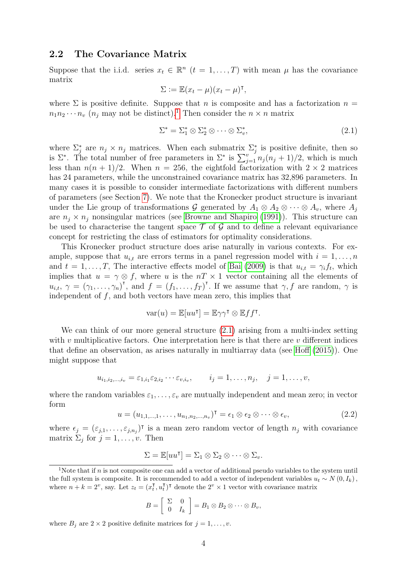### 2.2 The Covariance Matrix

Suppose that the i.i.d. series  $x_t \in \mathbb{R}^n$   $(t = 1, ..., T)$  with mean  $\mu$  has the covariance matrix

$$
\Sigma := \mathbb{E}(x_t - \mu)(x_t - \mu)^{\mathsf{T}},
$$

where  $\Sigma$  is positive definite. Suppose that n is composite and has a factorization  $n =$  $n_1 n_2 \cdots n_v$  $n_1 n_2 \cdots n_v$  $n_1 n_2 \cdots n_v$  ( $n_j$  may not be distinct).<sup>1</sup> Then consider the  $n \times n$  matrix

<span id="page-5-1"></span>
$$
\Sigma^* = \Sigma_1^* \otimes \Sigma_2^* \otimes \cdots \otimes \Sigma_v^*,\tag{2.1}
$$

where  $\Sigma_j^*$  are  $n_j \times n_j$  matrices. When each submatrix  $\Sigma_j^*$  is positive definite, then so is  $\Sigma^*$ . The total number of free parameters in  $\Sigma^*$  is  $\sum_{j=1}^v n_j(n_j+1)/2$ , which is much less than  $n(n + 1)/2$ . When  $n = 256$ , the eightfold factorization with  $2 \times 2$  matrices has 24 parameters, while the unconstrained covariance matrix has 32,896 parameters. In many cases it is possible to consider intermediate factorizations with different numbers of parameters (see Section [7\)](#page-31-0). We note that the Kronecker product structure is invariant under the Lie group of transformations G generated by  $A_1 \otimes A_2 \otimes \cdots \otimes A_v$ , where  $A_j$ are  $n_i \times n_j$  nonsingular matrices (see [Browne and Shapiro](#page-69-7) [\(1991\)](#page-69-7)). This structure can be used to characterise the tangent space  $\mathcal T$  of  $\mathcal G$  and to define a relevant equivariance concept for restricting the class of estimators for optimality considerations.

This Kronecker product structure does arise naturally in various contexts. For example, suppose that  $u_{i,t}$  are errors terms in a panel regression model with  $i = 1, \ldots, n$ and  $t = 1, \ldots, T$ , The interactive effects model of [Bai](#page-69-8) [\(2009\)](#page-69-8) is that  $u_{i,t} = \gamma_i f_t$ , which implies that  $u = \gamma \otimes f$ , where u is the  $n \times 1$  vector containing all the elements of  $u_{i,t}, \gamma = (\gamma_1, \ldots, \gamma_n)^{\mathsf{T}},$  and  $f = (f_1, \ldots, f_T)^{\mathsf{T}}$ . If we assume that  $\gamma, f$  are random,  $\gamma$  is independent of  $f$ , and both vectors have mean zero, this implies that

$$
\text{var}(u) = \mathbb{E}[uu^{\mathsf{T}}] = \mathbb{E}\gamma\gamma^{\mathsf{T}} \otimes \mathbb{E}ff^{\mathsf{T}}.
$$

We can think of our more general structure  $(2.1)$  arising from a multi-index setting with v multiplicative factors. One interpretation here is that there are v different indices that define an observation, as arises naturally in multiarray data (see [Hoff](#page-70-7) [\(2015\)](#page-70-7)). One might suppose that

$$
u_{i_1, i_2, ..., i_v} = \varepsilon_{1, i_1} \varepsilon_{2, i_2} \cdots \varepsilon_{v, i_v}, \qquad i_j = 1, ..., n_j, \quad j = 1, ..., v,
$$

where the random variables  $\varepsilon_1, \ldots, \varepsilon_v$  are mutually independent and mean zero; in vector form

$$
u = (u_{1,1,\dots,1},\dots,u_{n_1,n_2,\dots,n_v})^{\mathsf{T}} = \epsilon_1 \otimes \epsilon_2 \otimes \dots \otimes \epsilon_v,
$$
\n(2.2)

where  $\epsilon_j = (\epsilon_{j,1}, \ldots, \epsilon_{j,n_j})^{\dagger}$  is a mean zero random vector of length  $n_j$  with covariance matrix  $\Sigma_j$  for  $j = 1, \ldots, v$ . Then

$$
\Sigma = \mathbb{E}[uu^{\mathsf{T}}] = \Sigma_1 \otimes \Sigma_2 \otimes \cdots \otimes \Sigma_v.
$$

$$
B=\left[\begin{array}{cc} \Sigma & 0 \\ 0 & I_k \end{array}\right]=B_1\otimes B_2\otimes\cdots\otimes B_v,
$$

where  $B_j$  are  $2 \times 2$  positive definite matrices for  $j = 1, \ldots, v$ .

<span id="page-5-0"></span><sup>&</sup>lt;sup>1</sup>Note that if  $n$  is not composite one can add a vector of additional pseudo variables to the system until the full system is composite. It is recommended to add a vector of independent variables  $u_t \sim N(0, I_k)$ , where  $n + k = 2^v$ , say. Let  $z_t = (x_t^T)$  $_{t}^{\intercal}, u_{t}^{\intercal}$  $_{t}^{T}$ )<sup>T</sup> denote the  $2^{v} \times 1$  vector with covariance matrix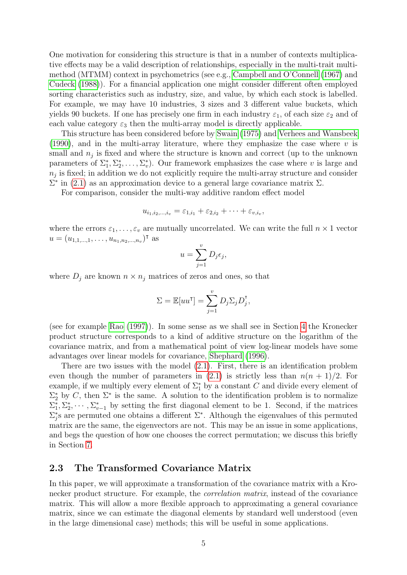One motivation for considering this structure is that in a number of contexts multiplicative effects may be a valid description of relationships, especially in the multi-trait multimethod (MTMM) context in psychometrics (see e.g., [Campbell and O'Connell](#page-69-9) [\(1967\)](#page-69-9) and [Cudeck](#page-69-10) [\(1988\)](#page-69-10)). For a financial application one might consider different often employed sorting characteristics such as industry, size, and value, by which each stock is labelled. For example, we may have 10 industries, 3 sizes and 3 different value buckets, which yields 90 buckets. If one has precisely one firm in each industry  $\varepsilon_1$ , of each size  $\varepsilon_2$  and of each value category  $\varepsilon_3$  then the multi-array model is directly applicable.

This structure has been considered before by [Swain](#page-72-2) [\(1975\)](#page-72-2) and [Verhees and Wansbeek](#page-72-3) [\(1990\)](#page-72-3), and in the multi-array literature, where they emphasize the case where  $v$  is small and  $n_j$  is fixed and where the structure is known and correct (up to the unknown parameters of  $\Sigma_1^*, \Sigma_2^*, \ldots, \Sigma_v^*$ . Our framework emphasizes the case where v is large and  $n_j$  is fixed; in addition we do not explicitly require the multi-array structure and consider  $\Sigma^*$  in [\(2.1\)](#page-5-1) as an approximation device to a general large covariance matrix  $\Sigma$ .

For comparison, consider the multi-way additive random effect model

$$
u_{i_1,i_2,\dots,i_v} = \varepsilon_{1,i_1} + \varepsilon_{2,i_2} + \dots + \varepsilon_{v,i_v},
$$

where the errors  $\varepsilon_1, \ldots, \varepsilon_n$  are mutually uncorrelated. We can write the full  $n \times 1$  vector  $u = (u_{1,1,...,1}, \ldots, u_{n_1,n_2,...,n_v})^{\mathsf{T}}$  as

$$
u = \sum_{j=1}^{v} D_j \epsilon_j,
$$

where  $D_j$  are known  $n \times n_j$  matrices of zeros and ones, so that

$$
\Sigma = \mathbb{E}[uu^{\mathsf{T}}] = \sum_{j=1}^{v} D_j \Sigma_j D_j^{\mathsf{T}},
$$

(see for example [Rao](#page-71-7) [\(1997\)](#page-71-7)). In some sense as we shall see in Section [4](#page-13-0) the Kronecker product structure corresponds to a kind of additive structure on the logarithm of the covariance matrix, and from a mathematical point of view log-linear models have some advantages over linear models for covariance, [Shephard](#page-71-8) [\(1996\)](#page-71-8).

There are two issues with the model [\(2.1\)](#page-5-1). First, there is an identification problem even though the number of parameters in  $(2.1)$  is strictly less than  $n(n + 1)/2$ . For example, if we multiply every element of  $\Sigma_{1}^{*}$  by a constant C and divide every element of  $\Sigma_{2}^{*}$  by C, then  $\Sigma^{*}$  is the same. A solution to the identification problem is to normalize  $\Sigma_1^*, \Sigma_2^*, \cdots, \Sigma_{v-1}^*$  by setting the first diagonal element to be 1. Second, if the matrices  $\Sigma_{j}^{*}$ s are permuted one obtains a different  $\Sigma^{*}$ . Although the eigenvalues of this permuted matrix are the same, the eigenvectors are not. This may be an issue in some applications, and begs the question of how one chooses the correct permutation; we discuss this briefly in Section [7.](#page-31-0)

#### <span id="page-6-0"></span>2.3 The Transformed Covariance Matrix

In this paper, we will approximate a transformation of the covariance matrix with a Kronecker product structure. For example, the *correlation matrix*, instead of the covariance matrix. This will allow a more flexible approach to approximating a general covariance matrix, since we can estimate the diagonal elements by standard well understood (even in the large dimensional case) methods; this will be useful in some applications.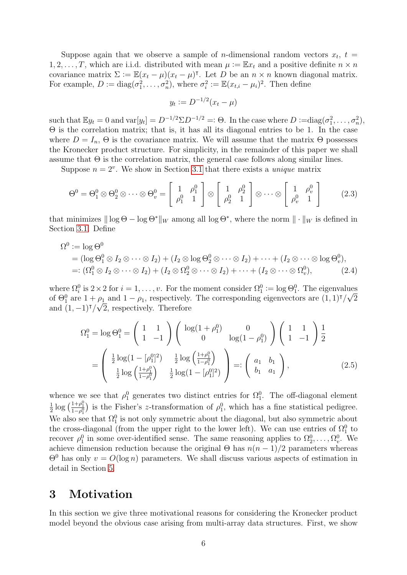Suppose again that we observe a sample of *n*-dimensional random vectors  $x_t$ ,  $t =$ 1, 2, ..., T, which are i.i.d. distributed with mean  $\mu := \mathbb{E}x_t$  and a positive definite  $n \times n$ covariance matrix  $\Sigma := \mathbb{E}(x_t - \mu)(x_t - \mu)$ <sup>T</sup>. Let D be an  $n \times n$  known diagonal matrix. For example,  $D := diag(\sigma_1^2, \ldots, \sigma_n^2)$ , where  $\sigma_i^2 := \mathbb{E}(x_{t,i} - \mu_i)^2$ . Then define

<span id="page-7-2"></span>
$$
y_t := D^{-1/2}(x_t - \mu)
$$

such that  $\mathbb{E}y_t = 0$  and  $\text{var}[y_t] = D^{-1/2} \Sigma D^{-1/2} =: \Theta$ . In the case where  $D := \text{diag}(\sigma_1^2, \dots, \sigma_n^2)$ , Θ is the correlation matrix; that is, it has all its diagonal entries to be 1. In the case where  $D = I_n$ ,  $\Theta$  is the covariance matrix. We will assume that the matrix  $\Theta$  possesses the Kronecker product structure. For simplicity, in the remainder of this paper we shall assume that  $\Theta$  is the correlation matrix, the general case follows along similar lines.

Suppose  $n = 2^v$ . We show in Section [3.1](#page-8-0) that there exists a *unique* matrix

<span id="page-7-3"></span>
$$
\Theta^0 = \Theta_1^0 \otimes \Theta_2^0 \otimes \cdots \otimes \Theta_v^0 = \begin{bmatrix} 1 & \rho_1^0 \\ \rho_1^0 & 1 \end{bmatrix} \otimes \begin{bmatrix} 1 & \rho_2^0 \\ \rho_2^0 & 1 \end{bmatrix} \otimes \cdots \otimes \begin{bmatrix} 1 & \rho_v^0 \\ \rho_v^0 & 1 \end{bmatrix}
$$
 (2.3)

that minimizes  $\|\log \Theta - \log \Theta^*\|_W$  among all  $\log \Theta^*$ , where the norm  $\|\cdot\|_W$  is defined in Section [3.1.](#page-8-0) Define

$$
\Omega^{0} := \log \Theta^{0}
$$
\n
$$
= (\log \Theta_{1}^{0} \otimes I_{2} \otimes \cdots \otimes I_{2}) + (I_{2} \otimes \log \Theta_{2}^{0} \otimes \cdots \otimes I_{2}) + \cdots + (I_{2} \otimes \cdots \otimes \log \Theta_{v}^{0}),
$$
\n
$$
=: (\Omega_{1}^{0} \otimes I_{2} \otimes \cdots \otimes I_{2}) + (I_{2} \otimes \Omega_{2}^{0} \otimes \cdots \otimes I_{2}) + \cdots + (I_{2} \otimes \cdots \otimes \Omega_{v}^{0}),
$$
\n(2.4)

where  $\Omega_i^0$  is  $2 \times 2$  for  $i = 1, \ldots, v$ . For the moment consider  $\Omega_1^0 := \log \Theta_1^0$ . The eigenvalues of  $\Theta_1^0$  are  $1 + \rho_1$  and  $1 - \rho_1$ , respectively. The corresponding eigenvectors are  $(1, 1)^\dagger / \sqrt{2}$ and  $(1, -1)$ <sup>T</sup>/ $\sqrt{2}$ , respectively. Therefore

<span id="page-7-1"></span>
$$
\Omega_1^0 = \log \Theta_1^0 = \begin{pmatrix} 1 & 1 \\ 1 & -1 \end{pmatrix} \begin{pmatrix} \log(1+\rho_1^0) & 0 \\ 0 & \log(1-\rho_1^0) \end{pmatrix} \begin{pmatrix} 1 & 1 \\ 1 & -1 \end{pmatrix} \frac{1}{2}
$$

$$
= \begin{pmatrix} \frac{1}{2} \log(1-[\rho_1^0]^2) & \frac{1}{2} \log\left(\frac{1+\rho_1^0}{1-\rho_1^0}\right) \\ \frac{1}{2} \log\left(\frac{1+\rho_1^0}{1-\rho_1^0}\right) & \frac{1}{2} \log(1-[\rho_1^0]^2) \end{pmatrix} =: \begin{pmatrix} a_1 & b_1 \\ b_1 & a_1 \end{pmatrix},
$$
(2.5)

whence we see that  $\rho_1^0$  generates two distinct entries for  $\Omega_1^0$ . The off-diagonal element 1  $\frac{1}{2}$ log  $\left(\frac{1+\rho_1^0}{1-\rho_1^0}\right)$  is the Fisher's z-transformation of  $\rho_1^0$ , which has a fine statistical pedigree. We also see that  $\Omega_1^0$  is not only symmetric about the diagonal, but also symmetric about the cross-diagonal (from the upper right to the lower left). We can use entries of  $\Omega_1^0$  to recover  $\rho_1^0$  in some over-identified sense. The same reasoning applies to  $\Omega_2^0, \ldots, \Omega_v^0$ . We achieve dimension reduction because the original  $\Theta$  has  $n(n-1)/2$  parameters whereas  $\Theta^0$  has only  $v = O(\log n)$  parameters. We shall discuss various aspects of estimation in detail in Section [5.](#page-17-0)

### <span id="page-7-0"></span>3 Motivation

In this section we give three motivational reasons for considering the Kronecker product model beyond the obvious case arising from multi-array data structures. First, we show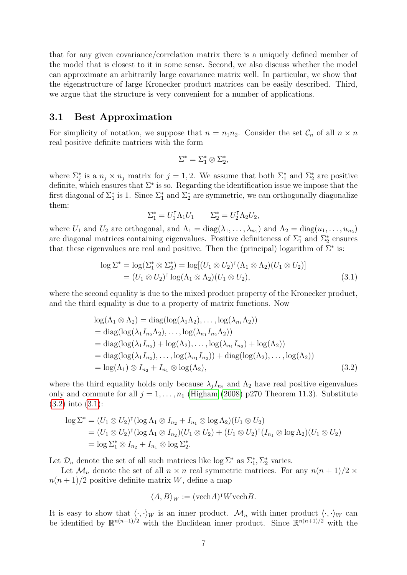that for any given covariance/correlation matrix there is a uniquely defined member of the model that is closest to it in some sense. Second, we also discuss whether the model can approximate an arbitrarily large covariance matrix well. In particular, we show that the eigenstructure of large Kronecker product matrices can be easily described. Third, we argue that the structure is very convenient for a number of applications.

#### <span id="page-8-0"></span>3.1 Best Approximation

For simplicity of notation, we suppose that  $n = n_1 n_2$ . Consider the set  $\mathcal{C}_n$  of all  $n \times n$ real positive definite matrices with the form

<span id="page-8-2"></span>
$$
\Sigma^*=\Sigma_1^*\otimes\Sigma_2^*,
$$

where  $\Sigma_j^*$  is a  $n_j \times n_j$  matrix for  $j = 1, 2$ . We assume that both  $\Sigma_1^*$  and  $\Sigma_2^*$  are positive definite, which ensures that  $\Sigma^*$  is so. Regarding the identification issue we impose that the first diagonal of  $\Sigma_1^*$  is 1. Since  $\Sigma_1^*$  and  $\Sigma_2^*$  are symmetric, we can orthogonally diagonalize them:

$$
\Sigma_1^* = U_1^{\mathsf{T}} \Lambda_1 U_1 \qquad \Sigma_2^* = U_2^{\mathsf{T}} \Lambda_2 U_2,
$$

where  $U_1$  and  $U_2$  are orthogonal, and  $\Lambda_1 = \text{diag}(\lambda_1, \ldots, \lambda_{n_1})$  and  $\Lambda_2 = \text{diag}(u_1, \ldots, u_{n_2})$ are diagonal matrices containing eigenvalues. Positive definiteness of  $\Sigma_1^*$  and  $\Sigma_2^*$  ensures that these eigenvalues are real and positive. Then the (principal) logarithm of  $\Sigma^*$  is:

$$
\log \Sigma^* = \log(\Sigma_1^* \otimes \Sigma_2^*) = \log[(U_1 \otimes U_2)^{\mathsf{T}} (\Lambda_1 \otimes \Lambda_2)(U_1 \otimes U_2)]
$$
  
=  $(U_1 \otimes U_2)^{\mathsf{T}} \log(\Lambda_1 \otimes \Lambda_2)(U_1 \otimes U_2),$  (3.1)

where the second equality is due to the mixed product property of the Kronecker product, and the third equality is due to a property of matrix functions. Now

$$
log(\Lambda_1 \otimes \Lambda_2) = diag(log(\lambda_1 \Lambda_2),..., log(\lambda_{n_1} \Lambda_2))
$$
  
= diag(log(\lambda\_1 I\_{n\_2} \Lambda\_2),..., log(\lambda\_{n\_1} I\_{n\_2} \Lambda\_2))  
= diag(log(\lambda\_1 I\_{n\_2}) + log(\Lambda\_2),..., log(\lambda\_{n\_1} I\_{n\_2}) + log(\Lambda\_2))  
= diag(log(\lambda\_1 I\_{n\_2}),..., log(\lambda\_{n\_1} I\_{n\_2})) + diag(log(\Lambda\_2),..., log(\Lambda\_2))  
= log(\Lambda\_1) \otimes I\_{n\_2} + I\_{n\_1} \otimes log(\Lambda\_2), (3.2)

where the third equality holds only because  $\lambda_i I_{n_2}$  and  $\Lambda_2$  have real positive eigenvalues only and commute for all  $j = 1, \ldots, n_1$  [\(Higham](#page-70-10) [\(2008\)](#page-70-10) p270 Theorem 11.3). Substitute [\(3.2\)](#page-8-1) into [\(3.1\)](#page-8-2):

$$
\log \Sigma^* = (U_1 \otimes U_2)^{\mathsf{T}} (\log \Lambda_1 \otimes I_{n_2} + I_{n_1} \otimes \log \Lambda_2) (U_1 \otimes U_2)
$$
  
=  $(U_1 \otimes U_2)^{\mathsf{T}} (\log \Lambda_1 \otimes I_{n_2}) (U_1 \otimes U_2) + (U_1 \otimes U_2)^{\mathsf{T}} (I_{n_1} \otimes \log \Lambda_2) (U_1 \otimes U_2)$   
=  $\log \Sigma_1^* \otimes I_{n_2} + I_{n_1} \otimes \log \Sigma_2^*.$ 

Let  $\mathcal{D}_n$  denote the set of all such matrices like  $\log \Sigma^*$  as  $\Sigma^*_1, \Sigma^*_2$  varies.

Let  $\mathcal{M}_n$  denote the set of all  $n \times n$  real symmetric matrices. For any  $n(n+1)/2 \times$  $n(n+1)/2$  positive definite matrix W, define a map

<span id="page-8-1"></span>
$$
\langle A, B \rangle_W := (\text{vech} A)^{\mathsf{T}} W \text{vech} B.
$$

It is easy to show that  $\langle \cdot, \cdot \rangle_W$  is an inner product.  $\mathcal{M}_n$  with inner product  $\langle \cdot, \cdot \rangle_W$  can be identified by  $\mathbb{R}^{n(n+1)/2}$  with the Euclidean inner product. Since  $\mathbb{R}^{n(n+1)/2}$  with the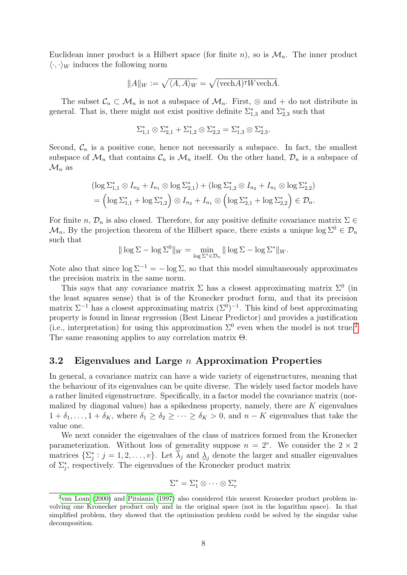Euclidean inner product is a Hilbert space (for finite n), so is  $\mathcal{M}_n$ . The inner product  $\langle \cdot, \cdot \rangle_W$  induces the following norm

$$
||A||_W := \sqrt{\langle A, A \rangle_W} = \sqrt{(\text{vech}A)^{\dagger} W \text{vech}A}.
$$

The subset  $\mathcal{C}_n \subset \mathcal{M}_n$  is not a subspace of  $\mathcal{M}_n$ . First,  $\otimes$  and + do not distribute in general. That is, there might not exist positive definite  $\Sigma_{1,3}^*$  and  $\Sigma_{2,3}^*$  such that

$$
\Sigma_{1,1}^* \otimes \Sigma_{2,1}^* + \Sigma_{1,2}^* \otimes \Sigma_{2,2}^* = \Sigma_{1,3}^* \otimes \Sigma_{2,3}^*.
$$

Second,  $C_n$  is a positive cone, hence not necessarily a subspace. In fact, the smallest subspace of  $\mathcal{M}_n$  that contains  $\mathcal{C}_n$  is  $\mathcal{M}_n$  itself. On the other hand,  $\mathcal{D}_n$  is a subspace of  $\mathcal{M}_n$  as

$$
(\log \Sigma_{1,1}^* \otimes I_{n_2} + I_{n_1} \otimes \log \Sigma_{2,1}^*) + (\log \Sigma_{1,2}^* \otimes I_{n_2} + I_{n_1} \otimes \log \Sigma_{2,2}^*)
$$
  
= 
$$
(\log \Sigma_{1,1}^* + \log \Sigma_{1,2}^*) \otimes I_{n_2} + I_{n_1} \otimes (\log \Sigma_{2,1}^* + \log \Sigma_{2,2}^*) \in \mathcal{D}_n.
$$

For finite  $n, \mathcal{D}_n$  is also closed. Therefore, for any positive definite covariance matrix  $\Sigma \in \mathcal{D}_n$  $\mathcal{M}_n$ , By the projection theorem of the Hilbert space, there exists a unique  $\log \Sigma^0 \in \mathcal{D}_n$ such that

$$
\|\log \Sigma - \log \Sigma^0\|_{W} = \min_{\log \Sigma^* \in \mathcal{D}_n} \|\log \Sigma - \log \Sigma^*\|_{W}.
$$

Note also that since  $\log \Sigma^{-1} = -\log \Sigma$ , so that this model simultaneously approximates the precision matrix in the same norm.

This says that any covariance matrix  $\Sigma$  has a closest approximating matrix  $\Sigma^0$  (in the least squares sense) that is of the Kronecker product form, and that its precision matrix  $\Sigma^{-1}$  has a closest approximating matrix  $(\Sigma^{0})^{-1}$ . This kind of best approximating property is found in linear regression (Best Linear Predictor) and provides a justification (i.e., interpretation) for using this approximation  $\Sigma^0$  even when the model is not true.<sup>[2](#page-9-0)</sup> The same reasoning applies to any correlation matrix Θ.

#### 3.2 Eigenvalues and Large  $n$  Approximation Properties

In general, a covariance matrix can have a wide variety of eigenstructures, meaning that the behaviour of its eigenvalues can be quite diverse. The widely used factor models have a rather limited eigenstructure. Specifically, in a factor model the covariance matrix (normalized by diagonal values) has a spikedness property, namely, there are  $K$  eigenvalues  $1 + \delta_1, \ldots, 1 + \delta_K$ , where  $\delta_1 \geq \delta_2 \geq \cdots \geq \delta_K > 0$ , and  $n - K$  eigenvalues that take the value one.

We next consider the eigenvalues of the class of matrices formed from the Kronecker parameterization. Without loss of generality suppose  $n = 2^v$ . We consider the  $2 \times 2$ matrices  $\{\Sigma_j^*: j = 1, 2, \ldots, v\}$ . Let  $\overline{\lambda}_j$  and  $\underline{\lambda}_j$  denote the larger and smaller eigenvalues of  $\Sigma_j^*$ , respectively. The eigenvalues of the Kronecker product matrix

$$
\Sigma^* = \Sigma_1^* \otimes \cdots \otimes \Sigma_v^*
$$

<span id="page-9-0"></span><sup>2</sup>[van Loan](#page-72-8) [\(2000\)](#page-72-8) and [Pitsianis](#page-71-9) [\(1997\)](#page-71-9) also considered this nearest Kronecker product problem involving one Kronecker product only and in the original space (not in the logarithm space). In that simplified problem, they showed that the optimisation problem could be solved by the singular value decomposition.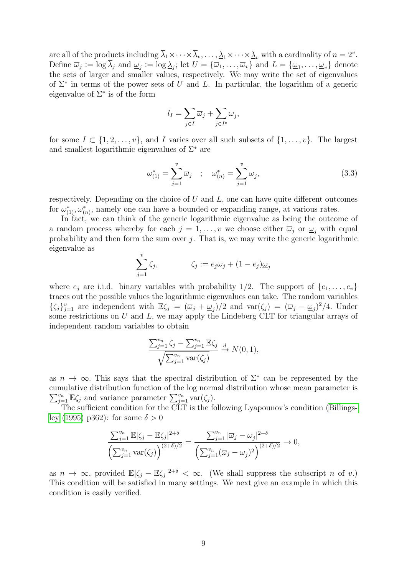are all of the products including  $\overline{\lambda}_1 \times \cdots \times \overline{\lambda}_v, \ldots, \underline{\lambda}_1 \times \cdots \times \underline{\lambda}_v$  with a cardinality of  $n = 2^v$ . Define  $\overline{\omega}_j := \log \overline{\lambda}_j$  and  $\underline{\omega}_j := \log \underline{\lambda}_j$ ; let  $U = {\overline{\omega}_1, \ldots, \overline{\omega}_v}$  and  $L = {\underline{\omega}_1, \ldots, \underline{\omega}_v}$  denote the sets of larger and smaller values, respectively. We may write the set of eigenvalues of  $\Sigma^*$  in terms of the power sets of U and L. In particular, the logarithm of a generic eigenvalue of  $\Sigma^*$  is of the form

$$
l_I = \sum_{j \in I} \overline{\omega}_j + \sum_{j \in I^c} \underline{\omega}_j,
$$

for some  $I \subset \{1, 2, \ldots, v\}$ , and I varies over all such subsets of  $\{1, \ldots, v\}$ . The largest and smallest logarithmic eigenvalues of  $\Sigma^*$  are

<span id="page-10-0"></span>
$$
\omega_{(1)}^* = \sum_{j=1}^v \overline{\omega}_j \quad ; \quad \omega_{(n)}^* = \sum_{j=1}^v \underline{\omega}_j,
$$
\n(3.3)

respectively. Depending on the choice of  $U$  and  $L$ , one can have quite different outcomes for  $\omega_{(1)}^*, \omega_{(n)}^*$ , namely one can have a bounded or expanding range, at various rates.

In fact, we can think of the generic logarithmic eigenvalue as being the outcome of a random process whereby for each  $j = 1, \ldots, v$  we choose either  $\overline{\omega}_j$  or  $\underline{\omega}_j$  with equal probability and then form the sum over  $j$ . That is, we may write the generic logarithmic eigenvalue as

$$
\sum_{j=1}^{v} \zeta_j, \qquad \zeta_j := e_j \overline{\omega}_j + (1 - e_j) \underline{\omega}_j
$$

where  $e_i$  are i.i.d. binary variables with probability 1/2. The support of  $\{e_1, \ldots, e_v\}$ traces out the possible values the logarithmic eigenvalues can take. The random variables  $\{\zeta_j\}_{j=1}^v$  are independent with  $\mathbb{E}\zeta_j = (\overline{\omega}_j + \underline{\omega}_j)/2$  and  $\text{var}(\zeta_j) = (\overline{\omega}_j - \underline{\omega}_j)^2/4$ . Under some restrictions on  $U$  and  $L$ , we may apply the Lindeberg CLT for triangular arrays of independent random variables to obtain

$$
\frac{\sum_{j=1}^{v_n} \zeta_j - \sum_{j=1}^{v_n} \mathbb{E}\zeta_j}{\sqrt{\sum_{j=1}^{v_n} \text{var}(\zeta_j)}} \xrightarrow{d} N(0, 1),
$$

as  $n \to \infty$ . This says that the spectral distribution of  $\Sigma^*$  can be represented by the cumulative distribution function of the log normal distribution whose mean parameter is  $\sum_{j=1}^{v_n} \mathbb{E} \zeta_j$  and variance parameter  $\sum_{j=1}^{v_n} \text{var}(\zeta_j)$ .

The sufficient condition for the  $\overline{CLT}$  is the following Lyapounov's condition [\(Billings](#page-69-11)[ley](#page-69-11) [\(1995\)](#page-69-11) p362): for some  $\delta > 0$ 

$$
\frac{\sum_{j=1}^{v_n} \mathbb{E}|\zeta_j - \mathbb{E}\zeta_j|^{2+\delta}}{\left(\sum_{j=1}^{v_n} \text{var}(\zeta_j)\right)^{(2+\delta)/2}} = \frac{\sum_{j=1}^{v_n} |\overline{\omega}_j - \underline{\omega}_j|^{2+\delta}}{\left(\sum_{j=1}^{v_n} (\overline{\omega}_j - \underline{\omega}_j)^2\right)^{(2+\delta)/2}} \to 0,
$$

as  $n \to \infty$ , provided  $\mathbb{E}|\zeta_j - \mathbb{E}\zeta_j|^{2+\delta} < \infty$ . (We shall suppress the subscript *n* of *v*.) This condition will be satisfied in many settings. We next give an example in which this condition is easily verified.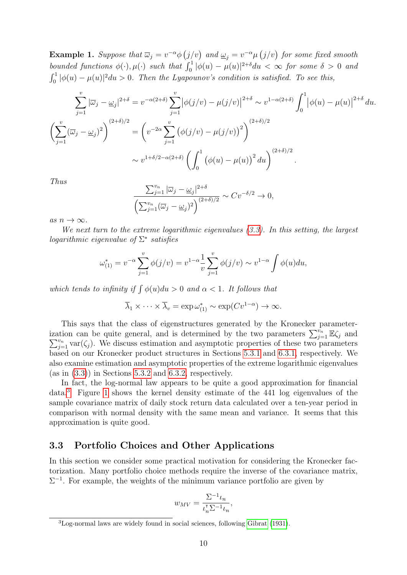<span id="page-11-1"></span>**Example 1.** Suppose that  $\overline{\omega}_j = v^{-\alpha} \phi(j/v)$  and  $\underline{\omega}_j = v^{-\alpha} \mu(j/v)$  for some fixed smooth bounded functions  $\phi(\cdot), \mu(\cdot)$  such that  $\int_0^1 |\phi(u) - \mu(u)|^{2+\delta} du < \infty$  for some  $\delta > 0$  and  $\int_0^1 |\phi(u) - \mu(u)|^2 du > 0$ . Then the Lyapounov's condition is satisfied. To see this,

$$
\sum_{j=1}^{v} |\overline{\omega}_{j} - \underline{\omega}_{j}|^{2+\delta} = v^{-\alpha(2+\delta)} \sum_{j=1}^{v} |\phi(j/v) - \mu(j/v)|^{2+\delta} \sim v^{1-\alpha(2+\delta)} \int_{0}^{1} |\phi(u) - \mu(u)|^{2+\delta} du.
$$
  

$$
\left(\sum_{j=1}^{v} (\overline{\omega}_{j} - \underline{\omega}_{j})^{2}\right)^{(2+\delta)/2} = \left(v^{-2\alpha} \sum_{j=1}^{v} (\phi(j/v) - \mu(j/v))^{2}\right)^{(2+\delta)/2}
$$

$$
\sim v^{1+\delta/2-\alpha(2+\delta)} \left(\int_{0}^{1} (\phi(u) - \mu(u))^{2} du\right)^{(2+\delta)/2}.
$$

Thus

$$
\frac{\sum_{j=1}^{v_n} |\overline{\omega}_j - \underline{\omega}_j|^{2+\delta}}{\left(\sum_{j=1}^{v_n} (\overline{\omega}_j - \underline{\omega}_j)^2\right)^{(2+\delta)/2}} \sim Cv^{-\delta/2} \to 0,
$$

as  $n \to \infty$ .

We next turn to the extreme logarithmic eigenvalues [\(3.3\)](#page-10-0). In this setting, the largest logarithmic eigenvalue of  $\Sigma^*$  satisfies

$$
\omega_{(1)}^* = v^{-\alpha} \sum_{j=1}^v \phi(j/v) = v^{1-\alpha} \frac{1}{v} \sum_{j=1}^v \phi(j/v) \sim v^{1-\alpha} \int \phi(u) du,
$$

which tends to infinity if  $\int \phi(u)du > 0$  and  $\alpha < 1$ . It follows that

 $\overline{\lambda}_1 \times \cdots \times \overline{\lambda}_v = \exp \omega_{(1)}^* \sim \exp(Cv^{1-\alpha}) \to \infty.$ 

This says that the class of eigenstructures generated by the Kronecker parameterization can be quite general, and is determined by the two parameters  $\sum_{j=1}^{v_n} \mathbb{E}\zeta_j$  and  $\sum_{j=1}^{v_n} \text{var}(\zeta_j)$ . We discuss estimation and asymptotic properties of these two parameters based on our Kronecker product structures in Sections [5.3.1](#page-19-0) and [6.3.1,](#page-29-0) respectively. We also examine estimation and asymptotic properties of the extreme logarithmic eigenvalues  $(as in (3.3))$  $(as in (3.3))$  $(as in (3.3))$  in Sections [5.3.2](#page-20-0) and [6.3.2,](#page-29-1) respectively.

In fact, the log-normal law appears to be quite a good approximation for financial data.[3](#page-11-0) Figure [1](#page-12-0) shows the kernel density estimate of the 441 log eigenvalues of the sample covariance matrix of daily stock return data calculated over a ten-year period in comparison with normal density with the same mean and variance. It seems that this approximation is quite good.

### <span id="page-11-2"></span>3.3 Portfolio Choices and Other Applications

In this section we consider some practical motivation for considering the Kronecker factorization. Many portfolio choice methods require the inverse of the covariance matrix,  $\Sigma^{-1}$ . For example, the weights of the minimum variance portfolio are given by

$$
w_{MV} = \frac{\Sigma^{-1} \iota_n}{\iota_n^{\mathsf{T}} \Sigma^{-1} \iota_n},
$$

<span id="page-11-0"></span><sup>3</sup>Log-normal laws are widely found in social sciences, following [Gibrat](#page-70-11) [\(1931\)](#page-70-11).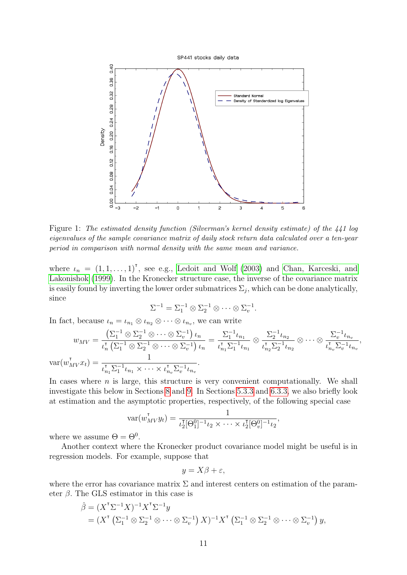

<span id="page-12-0"></span>Figure 1: The estimated density function (Silverman's kernel density estimate) of the 441 log eigenvalues of the sample covariance matrix of daily stock return data calculated over a ten-year period in comparison with normal density with the same mean and variance.

where  $\iota_n = (1, 1, \ldots, 1)^\mathsf{T}$ , see e.g., [Ledoit and Wolf](#page-70-1) [\(2003\)](#page-70-1) and [Chan, Karceski, and](#page-69-12) [Lakonishok](#page-69-12) [\(1999\)](#page-69-12). In the Kronecker structure case, the inverse of the covariance matrix is easily found by inverting the lower order submatrices  $\Sigma_j$ , which can be done analytically, since

$$
\Sigma^{-1} = \Sigma_1^{-1} \otimes \Sigma_2^{-1} \otimes \cdots \otimes \Sigma_v^{-1}.
$$

In fact, because  $\iota_n = \iota_{n_1} \otimes \iota_{n_2} \otimes \cdots \otimes \iota_{n_v}$ , we can write

$$
w_{MV} = \frac{\left(\sum_{1}^{-1} \otimes \sum_{2}^{-1} \otimes \cdots \otimes \sum_{v}^{-1}\right) \iota_{n}}{\iota_{n}^{\mathsf{T}}\left(\sum_{1}^{-1} \otimes \sum_{2}^{-1} \otimes \cdots \otimes \sum_{v}^{-1}\right) \iota_{n}} = \frac{\sum_{1}^{-1} \iota_{n_{1}}}{\iota_{n_{1}}^{\mathsf{T}}\sum_{1}^{-1} \iota_{n_{1}}} \otimes \frac{\sum_{2}^{-1} \iota_{n_{2}}}{\iota_{n_{2}}^{\mathsf{T}}\sum_{2}^{-1} \iota_{n_{2}}} \otimes \cdots \otimes \frac{\sum_{v}^{-1} \iota_{n_{v}}}{\iota_{n_{v}}^{\mathsf{T}}\sum_{v}^{-1} \iota_{n_{v}}},
$$

$$
var(w_{MV}^{\mathsf{T}} x_{t}) = \frac{1}{\iota_{n_{1}}^{\mathsf{T}}\sum_{1}^{-1} \iota_{n_{1}} \times \cdots \times \iota_{n_{v}}^{\mathsf{T}}\sum_{v}^{-1} \iota_{n_{v}}}.
$$

In cases where  $n$  is large, this structure is very convenient computationally. We shall investigate this below in Sections [8](#page-32-0) and [9.](#page-34-0) In Sections [5.3.3](#page-20-1) and [6.3.3,](#page-30-0) we also briefly look at estimation and the asymptotic properties, respectively, of the following special case

$$
\text{var}(w_{MV}^{\mathsf{T}} y_t) = \frac{1}{\iota_2^{\mathsf{T}}[\Theta_1^0]^{-1} \iota_2 \times \cdots \times \iota_2^{\mathsf{T}}[\Theta_v^0]^{-1} \iota_2},
$$

where we assume  $\Theta = \Theta^0$ .

Another context where the Kronecker product covariance model might be useful is in regression models. For example, suppose that

$$
y = X\beta + \varepsilon,
$$

where the error has covariance matrix  $\Sigma$  and interest centers on estimation of the parameter  $\beta$ . The GLS estimator in this case is

$$
\hat{\beta} = (X^{\mathsf{T}} \Sigma^{-1} X)^{-1} X^{\mathsf{T}} \Sigma^{-1} y \n= (X^{\mathsf{T}} \left( \Sigma_1^{-1} \otimes \Sigma_2^{-1} \otimes \cdots \otimes \Sigma_v^{-1} \right) X)^{-1} X^{\mathsf{T}} \left( \Sigma_1^{-1} \otimes \Sigma_2^{-1} \otimes \cdots \otimes \Sigma_v^{-1} \right) y,
$$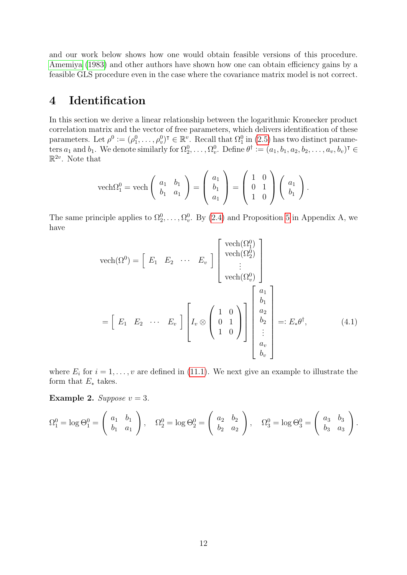and our work below shows how one would obtain feasible versions of this procedure. [Amemiya](#page-68-3) [\(1983\)](#page-68-3) and other authors have shown how one can obtain efficiency gains by a feasible GLS procedure even in the case where the covariance matrix model is not correct.

### <span id="page-13-0"></span>4 Identification

In this section we derive a linear relationship between the logarithmic Kronecker product correlation matrix and the vector of free parameters, which delivers identification of these parameters. Let  $\rho^0 := (\rho_1^0, \ldots, \rho_v^0)^\intercal \in \mathbb{R}^v$ . Recall that  $\Omega_1^0$  in  $(2.5)$  has two distinct parameters  $a_1$  and  $b_1$ . We denote similarly for  $\Omega_2^0, \ldots, \Omega_v^0$ . Define  $\theta^{\dagger} := (a_1, b_1, a_2, b_2, \ldots, a_v, b_v)$ <sup>T</sup>  $\mathbb{R}^{2v}$ . Note that

$$
\text{vech}\Omega_1^0 = \text{vech}\left(\begin{array}{cc} a_1 & b_1 \\ b_1 & a_1 \end{array}\right) = \left(\begin{array}{c} a_1 \\ b_1 \\ a_1 \end{array}\right) = \left(\begin{array}{cc} 1 & 0 \\ 0 & 1 \\ 1 & 0 \end{array}\right) \left(\begin{array}{c} a_1 \\ b_1 \end{array}\right).
$$

The same principle applies to  $\Omega_2^0, \ldots, \Omega_v^0$ . By [\(2.4\)](#page-7-2) and Proposition [5](#page-36-0) in Appendix A, we have

$$
\text{vech}(\Omega^0) = \begin{bmatrix} E_1 & E_2 & \cdots & E_v \end{bmatrix} \begin{bmatrix} \text{vech}(\Omega_1^0) \\ \text{vech}(\Omega_2^0) \\ \vdots \\ \text{vech}(\Omega_v^0) \end{bmatrix}
$$
\n
$$
= \begin{bmatrix} E_1 & E_2 & \cdots & E_v \end{bmatrix} \begin{bmatrix} I_v \otimes \begin{pmatrix} 1 & 0 \\ 0 & 1 \\ 1 & 0 \end{pmatrix} \end{bmatrix} \begin{bmatrix} a_1 \\ b_1 \\ b_2 \\ \vdots \\ b_v \end{bmatrix} =: E_* \theta^{\dagger}, \tag{4.1}
$$

where  $E_i$  for  $i = 1, \ldots, v$  are defined in [\(11.1\)](#page-36-1). We next give an example to illustrate the form that  $E_*$  takes.

<span id="page-13-1"></span>Example 2. Suppose  $v = 3$ .

$$
\Omega_1^0 = \log \Theta_1^0 = \begin{pmatrix} a_1 & b_1 \\ b_1 & a_1 \end{pmatrix}, \quad \Omega_2^0 = \log \Theta_2^0 = \begin{pmatrix} a_2 & b_2 \\ b_2 & a_2 \end{pmatrix}, \quad \Omega_3^0 = \log \Theta_3^0 = \begin{pmatrix} a_3 & b_3 \\ b_3 & a_3 \end{pmatrix}.
$$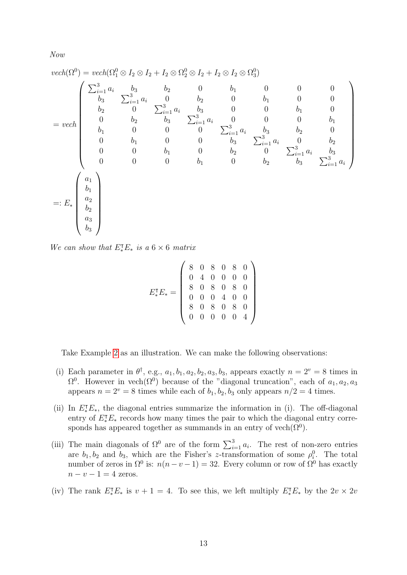Now

$$
vech(\Omega^{0}) = vech(\Omega_{1}^{0} \otimes I_{2} \otimes I_{2} + I_{2} \otimes \Omega_{2}^{0} \otimes I_{2} + I_{2} \otimes I_{2} \otimes \Omega_{3}^{0})
$$
\n
$$
\begin{pmatrix}\n\sum_{i=1}^{3} a_{i} & b_{3} & b_{2} & 0 & b_{1} & 0 & 0 & 0 \\
b_{3} & \sum_{i=1}^{3} a_{i} & 0 & b_{2} & 0 & b_{1} & 0 & 0 \\
b_{2} & 0 & \sum_{i=1}^{3} a_{i} & b_{3} & 0 & 0 & b_{1} & 0 \\
0 & b_{2} & b_{3} & \sum_{i=1}^{3} a_{i} & 0 & 0 & 0 & b_{1} \\
b_{1} & 0 & 0 & 0 & \sum_{i=1}^{3} a_{i} & b_{3} & b_{2} & 0 \\
0 & b_{1} & 0 & 0 & b_{3} & \sum_{i=1}^{3} a_{i} & 0 & b_{2} \\
0 & 0 & b_{1} & 0 & b_{2} & 0 & \sum_{i=1}^{3} a_{i} & b_{3} \\
0 & 0 & 0 & 0 & b_{1} & 0 & b_{2} & b_{3} & \sum_{i=1}^{3} a_{i}\n\end{pmatrix}
$$
\n
$$
=: E_{*}\n\begin{pmatrix}\na_{1} \\
b_{1} \\
a_{2} \\
b_{3} \\
b_{3}\n\end{pmatrix}
$$

We can show that  $E^{\intercal}_{*}E_{*}$  is a  $6 \times 6$  matrix

$$
E_{*}^{\mathsf{T}}E_{*} = \left(\begin{array}{cccccc} 8 & 0 & 8 & 0 & 8 & 0 \\ 0 & 4 & 0 & 0 & 0 & 0 \\ 8 & 0 & 8 & 0 & 8 & 0 \\ 0 & 0 & 0 & 4 & 0 & 0 \\ 8 & 0 & 8 & 0 & 8 & 0 \\ 0 & 0 & 0 & 0 & 0 & 4 \end{array}\right)
$$

Take Example [2](#page-13-1) as an illustration. We can make the following observations:

- (i) Each parameter in  $\theta^{\dagger}$ , e.g.,  $a_1, b_1, a_2, b_2, a_3, b_3$ , appears exactly  $n = 2^v = 8$  times in  $\Omega^0$ . However in vech $(\Omega^0)$  because of the "diagonal truncation", each of  $a_1, a_2, a_3$ appears  $n = 2^v = 8$  times while each of  $b_1, b_2, b_3$  only appears  $n/2 = 4$  times.
- (ii) In  $E_*^{\dagger}E_*$ , the diagonal entries summarize the information in (i). The off-diagonal entry of  $E^{\intercal}_{*}E_{*}$  records how many times the pair to which the diagonal entry corresponds has appeared together as summands in an entry of vech $(\Omega^0)$ .
- (iii) The main diagonals of  $\Omega^0$  are of the form  $\sum_{i=1}^3 a_i$ . The rest of non-zero entries are  $b_1, b_2$  and  $b_3$ , which are the Fisher's z-transformation of some  $\rho_i^0$ . The total number of zeros in  $\Omega^0$  is:  $n(n-v-1) = 32$ . Every column or row of  $\Omega^0$  has exactly  $n - v - 1 = 4$  zeros.
- (iv) The rank  $E_*^{\dagger}E_*$  is  $v+1=4$ . To see this, we left multiply  $E_*^{\dagger}E_*$  by the  $2v \times 2v$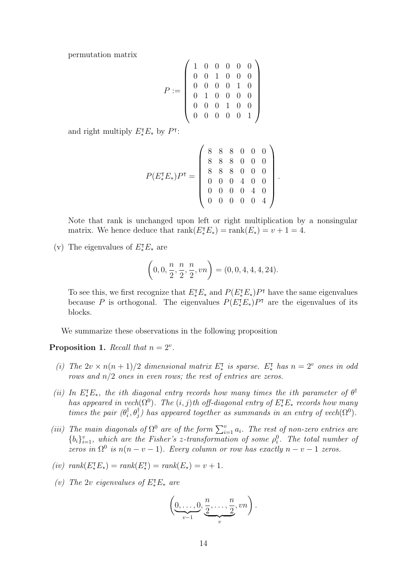permutation matrix

$$
P := \left(\begin{array}{cccccc} 1 & 0 & 0 & 0 & 0 & 0 \\ 0 & 0 & 1 & 0 & 0 & 0 \\ 0 & 0 & 0 & 0 & 1 & 0 \\ 0 & 1 & 0 & 0 & 0 & 0 \\ 0 & 0 & 0 & 1 & 0 & 0 \\ 0 & 0 & 0 & 0 & 0 & 1 \end{array}\right)
$$

and right multiply  $E_*^{\dagger}E_*$  by  $P^{\dagger}$ :

$$
P(E_{*}^{\mathsf{T}}E_{*})P^{\mathsf{T}} = \left(\begin{array}{cccccc} 8 & 8 & 8 & 0 & 0 & 0 \\ 8 & 8 & 8 & 0 & 0 & 0 \\ 8 & 8 & 8 & 0 & 0 & 0 \\ 0 & 0 & 0 & 4 & 0 & 0 \\ 0 & 0 & 0 & 0 & 4 & 0 \\ 0 & 0 & 0 & 0 & 0 & 4 \end{array}\right).
$$

Note that rank is unchanged upon left or right multiplication by a nonsingular matrix. We hence deduce that  $rank(E_{*}^{\dagger}E_{*}) = rank(E_{*}) = v + 1 = 4.$ 

(v) The eigenvalues of  $E^{\dagger}_*E_*$  are

$$
(0, 0, \frac{n}{2}, \frac{n}{2}, \frac{n}{2}, vn) = (0, 0, 4, 4, 4, 24).
$$

To see this, we first recognize that  $E_*^{\dagger}E_*$  and  $P(E_*^{\dagger}E_*)P^{\dagger}$  have the same eigenvalues because P is orthogonal. The eigenvalues  $P(E_{\ast}^{\dagger}E_{\ast})P^{\dagger}$  are the eigenvalues of its blocks.

We summarize these observations in the following proposition

<span id="page-15-0"></span>Proposition 1. Recall that  $n = 2^v$ .

- (i) The  $2v \times n(n+1)/2$  dimensional matrix  $E^{\dagger}_*$ <sup>1</sup>/<sub>\*</sub> is sparse.  $E^{\dagger}$  has  $n = 2^v$  ones in odd rows and  $n/2$  ones in even rows; the rest of entries are zeros.
- (ii) In  $E_{*}^{\dagger}E_{*}$ , the ith diagonal entry records how many times the ith parameter of  $\theta^{\dagger}$ has appeared in vech( $\Omega^0$ ). The  $(i, j)$ th off-diagonal entry of  $E^{\intercal}_*E_*$  records how many times the pair  $(\theta_i^{\dagger})$  $(\overline{t}_i^{\dagger},\theta_j^{\dagger})$  has appeared together as summands in an entry of vech( $\Omega^0$ ).
- (iii) The main diagonals of  $\Omega^0$  are of the form  $\sum_{i=1}^v a_i$ . The rest of non-zero entries are  ${b_i}_{i=1}^v$ , which are the Fisher's z-transformation of some  $\rho_i^0$ . The total number of zeros in  $\Omega^0$  is  $n(n-v-1)$ . Every column or row has exactly  $n-v-1$  zeros.
- $(iv)$   $rank(E_{*}^{\dagger}E_{*}) = rank(E_{*}^{\dagger})$  $x^{\text{T}}(F^{\text{T}}) = rank(E^{\text{T}}) = v + 1.$
- (v) The 2v eigenvalues of  $E^{\intercal}_{*}E_{*}$  are

$$
\left(\underbrace{0,\ldots,0}_{v-1},\underbrace{\frac{n}{2},\ldots,\frac{n}{2}}_{v},vn\right).
$$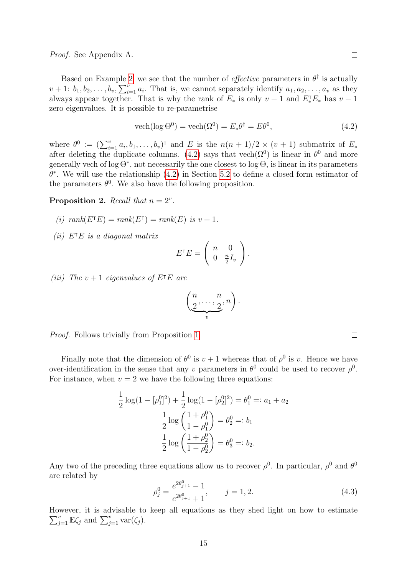$\Box$ 

Based on Example [2,](#page-13-1) we see that the number of *effective* parameters in  $\theta^{\dagger}$  is actually  $v+1$ :  $b_1, b_2, \ldots, b_v, \sum_{i=1}^v a_i$ . That is, we cannot separately identify  $a_1, a_2, \ldots, a_v$  as they always appear together. That is why the rank of  $E_*$  is only  $v + 1$  and  $E_*^{\dagger}E_*$  has  $v - 1$ zero eigenvalues. It is possible to re-parametrise

<span id="page-16-0"></span>
$$
\text{vech}(\log \Theta^0) = \text{vech}(\Omega^0) = E_* \theta^\dagger = E \theta^0,\tag{4.2}
$$

where  $\theta^0 := (\sum_{i=1}^v a_i, b_1, \ldots, b_v)^\intercal$  and E is the  $n(n+1)/2 \times (v+1)$  submatrix of  $E_*$ after deleting the duplicate columns. [\(4.2\)](#page-16-0) says that vech( $\Omega^0$ ) is linear in  $\theta^0$  and more generally vech of log  $\Theta^*$ , not necessarily the one closest to log  $\Theta$ , is linear in its parameters  $\theta^*$ . We will use the relationship [\(4.2\)](#page-16-0) in Section [5.2](#page-18-0) to define a closed form estimator of the parameters  $\theta^0$ . We also have the following proposition.

<span id="page-16-2"></span>Proposition 2. Recall that  $n = 2^v$ .

- (i)  $rank(E^{\dagger}E) = rank(E^{\dagger}) = rank(E)$  is  $v + 1$ .
- (ii)  $E^{\dagger}E$  is a diagonal matrix

$$
E^{\mathsf{T}}E = \left(\begin{array}{cc} n & 0 \\ 0 & \frac{n}{2}I_v \end{array}\right).
$$

(iii) The  $v + 1$  eigenvalues of  $E^{\dagger}E$  are

$$
\left(\underbrace{\frac{n}{2},\ldots,\frac{n}{2}}_{v},n\right).
$$

Proof. Follows trivially from Proposition [1.](#page-15-0)

Finally note that the dimension of  $\theta^0$  is  $v+1$  whereas that of  $\rho^0$  is v. Hence we have over-identification in the sense that any v parameters in  $\theta^0$  could be used to recover  $\rho^0$ . For instance, when  $v = 2$  we have the following three equations:

$$
\frac{1}{2}\log(1 - \left[\rho_1^0\right]^2) + \frac{1}{2}\log(1 - \left[\rho_2^0\right]^2) = \theta_1^0 =: a_1 + a_2
$$

$$
\frac{1}{2}\log\left(\frac{1 + \rho_1^0}{1 - \rho_1^0}\right) = \theta_2^0 =: b_1
$$

$$
\frac{1}{2}\log\left(\frac{1 + \rho_2^0}{1 - \rho_2^0}\right) = \theta_3^0 =: b_2.
$$

Any two of the preceding three equations allow us to recover  $\rho^0$ . In particular,  $\rho^0$  and  $\theta^0$ are related by

<span id="page-16-1"></span>
$$
\rho_j^0 = \frac{e^{2\theta_{j+1}^0} - 1}{e^{2\theta_{j+1}^0} + 1}, \qquad j = 1, 2.
$$
\n(4.3)

However, it is advisable to keep all equations as they shed light on how to estimate  $\sum_{j=1}^{v} \mathbb{E}\zeta_j$  and  $\sum_{j=1}^{v} \text{var}(\zeta_j)$ .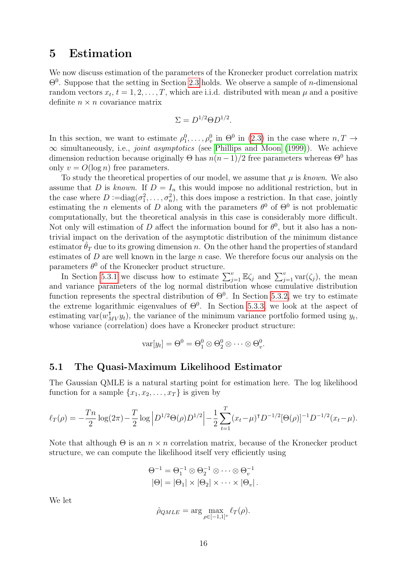### <span id="page-17-0"></span>5 Estimation

We now discuss estimation of the parameters of the Kronecker product correlation matrix  $\Theta^0$ . Suppose that the setting in Section [2.3](#page-6-0) holds. We observe a sample of *n*-dimensional random vectors  $x_t$ ,  $t = 1, 2, \ldots, T$ , which are i.i.d. distributed with mean  $\mu$  and a positive definite  $n \times n$  covariance matrix

$$
\Sigma = D^{1/2} \Theta D^{1/2}.
$$

In this section, we want to estimate  $\rho_1^0, \ldots, \rho_v^0$  in  $\Theta^0$  in [\(2.3\)](#page-7-3) in the case where  $n, T \to$  $\infty$  simultaneously, i.e., *joint asymptotics* (see [Phillips and Moon](#page-71-10) [\(1999\)](#page-71-10)). We achieve dimension reduction because originally  $\Theta$  has  $n(n-1)/2$  free parameters whereas  $\Theta^0$  has only  $v = O(\log n)$  free parameters.

To study the theoretical properties of our model, we assume that  $\mu$  is known. We also assume that D is known. If  $D = I_n$  this would impose no additional restriction, but in the case where  $D := diag(\sigma_1^2, \ldots, \sigma_n^2)$ , this does impose a restriction. In that case, jointly estimating the *n* elements of D along with the parameters  $\theta^0$  of  $\Theta^0$  is not problematic computationally, but the theoretical analysis in this case is considerably more difficult. Not only will estimation of D affect the information bound for  $\theta^0$ , but it also has a nontrivial impact on the derivation of the asymptotic distribution of the minimum distance estimator  $\hat{\theta}_T$  due to its growing dimension n. On the other hand the properties of standard estimates of  $D$  are well known in the large  $n$  case. We therefore focus our analysis on the parameters  $\theta^0$  of the Kronecker product structure.

In Section [5.3.1](#page-19-0) we discuss how to estimate  $\sum_{j=1}^{v} \mathbb{E}\zeta_j$  and  $\sum_{j=1}^{v} \text{var}(\zeta_j)$ , the mean and variance parameters of the log normal distribution whose cumulative distribution function represents the spectral distribution of  $\Theta^0$ . In Section [5.3.2,](#page-20-0) we try to estimate the extreme logarithmic eigenvalues of  $\Theta^0$ . In Section [5.3.3,](#page-20-1) we look at the aspect of estimating var $(w_M^{\dagger} y_t)$ , the variance of the minimum variance portfolio formed using  $y_t$ , whose variance (correlation) does have a Kronecker product structure:

$$
\text{var}[y_t] = \Theta^0 = \Theta_1^0 \otimes \Theta_2^0 \otimes \cdots \otimes \Theta_v^0.
$$

### 5.1 The Quasi-Maximum Likelihood Estimator

The Gaussian QMLE is a natural starting point for estimation here. The log likelihood function for a sample  $\{x_1, x_2, \ldots, x_T\}$  is given by

$$
\ell_T(\rho) = -\frac{Tn}{2}\log(2\pi) - \frac{T}{2}\log \left| D^{1/2}\Theta(\rho)D^{1/2} \right| - \frac{1}{2}\sum_{t=1}^T (x_t - \mu)^T D^{-1/2}[\Theta(\rho)]^{-1} D^{-1/2}(x_t - \mu).
$$

Note that although  $\Theta$  is an  $n \times n$  correlation matrix, because of the Kronecker product structure, we can compute the likelihood itself very efficiently using

$$
\Theta^{-1} = \Theta_1^{-1} \otimes \Theta_2^{-1} \otimes \cdots \otimes \Theta_v^{-1}
$$

$$
|\Theta| = |\Theta_1| \times |\Theta_2| \times \cdots \times |\Theta_v|.
$$

We let

$$
\hat{\rho}_{QMLE} = \arg \max_{\rho \in [-1,1]^v} \ell_T(\rho).
$$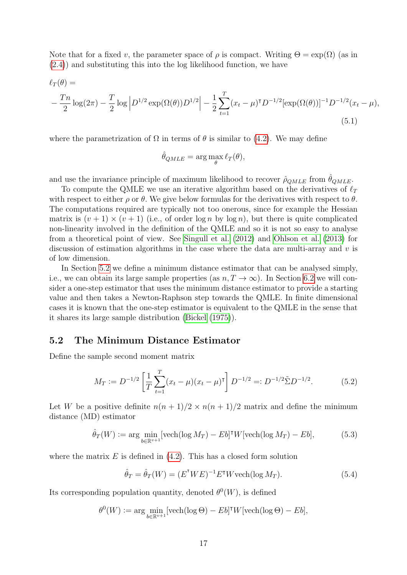Note that for a fixed v, the parameter space of  $\rho$  is compact. Writing  $\Theta = \exp(\Omega)$  (as in [\(2.4\)](#page-7-2)) and substituting this into the log likelihood function, we have

$$
\ell_T(\theta) =
$$
  

$$
-\frac{Tn}{2}\log(2\pi) - \frac{T}{2}\log |D^{1/2}\exp(\Omega(\theta))D^{1/2}| - \frac{1}{2}\sum_{t=1}^T (x_t - \mu)^T D^{-1/2}[\exp(\Omega(\theta))]^{-1} D^{-1/2}(x_t - \mu),
$$
  
(5.1)

where the parametrization of  $\Omega$  in terms of  $\theta$  is similar to [\(4.2\)](#page-16-0). We may define

<span id="page-18-4"></span>
$$
\hat{\theta}_{QMLE} = \arg \max_{\theta} \ell_T(\theta),
$$

and use the invariance principle of maximum likelihood to recover  $\rho_{QMLE}$  from  $\theta_{QMLE}$ .

To compute the QMLE we use an iterative algorithm based on the derivatives of  $\ell_T$ with respect to either  $\rho$  or  $\theta$ . We give below formulas for the derivatives with respect to  $\theta$ . The computations required are typically not too onerous, since for example the Hessian matrix is  $(v + 1) \times (v + 1)$  (i.e., of order  $\log n$  by  $\log n$ ), but there is quite complicated non-linearity involved in the definition of the QMLE and so it is not so easy to analyse from a theoretical point of view. See [Singull et al.](#page-72-4) [\(2012\)](#page-72-4) and [Ohlson et al.](#page-71-6) [\(2013\)](#page-71-6) for discussion of estimation algorithms in the case where the data are multi-array and  $v$  is of low dimension.

In Section [5.2](#page-18-0) we define a minimum distance estimator that can be analysed simply, i.e., we can obtain its large sample properties (as  $n, T \to \infty$ ). In Section [6.2](#page-26-0) we will consider a one-step estimator that uses the minimum distance estimator to provide a starting value and then takes a Newton-Raphson step towards the QMLE. In finite dimensional cases it is known that the one-step estimator is equivalent to the QMLE in the sense that it shares its large sample distribution [\(Bickel](#page-69-13) [\(1975\)](#page-69-13)).

### <span id="page-18-0"></span>5.2 The Minimum Distance Estimator

Define the sample second moment matrix

<span id="page-18-2"></span>
$$
M_T := D^{-1/2} \left[ \frac{1}{T} \sum_{t=1}^T (x_t - \mu)(x_t - \mu)^{\mathsf{T}} \right] D^{-1/2} =: D^{-1/2} \tilde{\Sigma} D^{-1/2}.
$$
 (5.2)

Let W be a positive definite  $n(n + 1)/2 \times n(n + 1)/2$  matrix and define the minimum distance (MD) estimator

<span id="page-18-1"></span>
$$
\hat{\theta}_T(W) := \arg \min_{b \in \mathbb{R}^{v+1}} [\text{vech}(\log M_T) - Eb]^{\dagger} W [\text{vech}(\log M_T) - Eb],\tag{5.3}
$$

where the matrix  $E$  is defined in  $(4.2)$ . This has a closed form solution

<span id="page-18-3"></span>
$$
\hat{\theta}_T = \hat{\theta}_T(W) = (E^{\mathsf{T}}WE)^{-1}E^{\mathsf{T}}W\text{vech}(\log M_T). \tag{5.4}
$$

Its corresponding population quantity, denoted  $\theta^0(W)$ , is defined

$$
\theta^0(W) := \arg\min_{b \in \mathbb{R}^{v+1}} [\text{vech}(\log \Theta) - Eb]^{\mathsf{T}} W[\text{vech}(\log \Theta) - Eb],
$$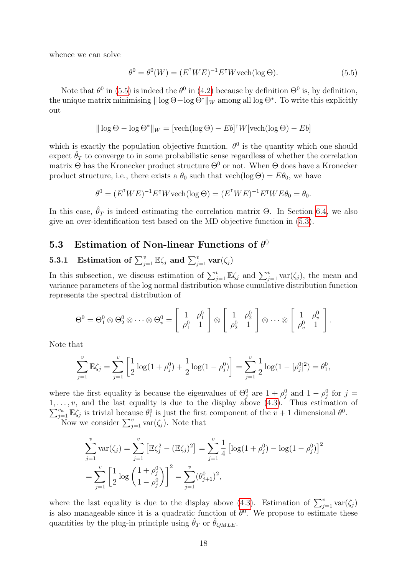whence we can solve

<span id="page-19-1"></span>
$$
\theta^0 = \theta^0(W) = (E^{\mathsf{T}}WE)^{-1}E^{\mathsf{T}}W\text{vech}(\log \Theta). \tag{5.5}
$$

Note that  $\theta^0$  in [\(5.5\)](#page-19-1) is indeed the  $\theta^0$  in [\(4.2\)](#page-16-0) because by definition  $\Theta^0$  is, by definition, the unique matrix minimising  $\|\log \Theta - \log \Theta^*\|_W$  among all log  $\Theta^*$ . To write this explicitly out

$$
\|\log \Theta - \log \Theta^*\|_{W} = [\text{vech}(\log \Theta) - Eb]^{\mathsf{T}} W[\text{vech}(\log \Theta) - Eb]
$$

which is exactly the population objective function.  $\theta^0$  is the quantity which one should expect  $\hat{\theta}_T$  to converge to in some probabilistic sense regardless of whether the correlation matrix  $\Theta$  has the Kronecker product structure  $\Theta^0$  or not. When  $\Theta$  does have a Kronecker product structure, i.e., there exists a  $\theta_0$  such that vech(log  $\Theta$ ) =  $E\theta_0$ , we have

$$
\theta^0 = (E^{\mathsf{T}} WE)^{-1} E^{\mathsf{T}} W \text{vech}(\log \Theta) = (E^{\mathsf{T}} WE)^{-1} E^{\mathsf{T}} WE \theta_0 = \theta_0.
$$

In this case,  $\hat{\theta}_T$  is indeed estimating the correlation matrix Θ. In Section [6.4,](#page-31-1) we also give an over-identification test based on the MD objective function in [\(5.3\)](#page-18-1).

### 5.3 Estimation of Non-linear Functions of  $\theta^0$

### <span id="page-19-0"></span>**5.3.1** Estimation of  $\sum_{j=1}^{v} \mathbb{E}\zeta_j$  and  $\sum_{j=1}^{v} \text{var}(\zeta_j)$

In this subsection, we discuss estimation of  $\sum_{j=1}^{v} \mathbb{E}\zeta_j$  and  $\sum_{j=1}^{v} \text{var}(\zeta_j)$ , the mean and variance parameters of the log normal distribution whose cumulative distribution function represents the spectral distribution of

$$
\Theta^0 = \Theta_1^0 \otimes \Theta_2^0 \otimes \cdots \otimes \Theta_v^0 = \begin{bmatrix} 1 & \rho_1^0 \\ \rho_1^0 & 1 \end{bmatrix} \otimes \begin{bmatrix} 1 & \rho_2^0 \\ \rho_2^0 & 1 \end{bmatrix} \otimes \cdots \otimes \begin{bmatrix} 1 & \rho_v^0 \\ \rho_v^0 & 1 \end{bmatrix}.
$$

Note that

$$
\sum_{j=1}^{v} \mathbb{E}\zeta_{j} = \sum_{j=1}^{v} \left[ \frac{1}{2} \log(1 + \rho_{j}^{0}) + \frac{1}{2} \log(1 - \rho_{j}^{0}) \right] = \sum_{j=1}^{v} \frac{1}{2} \log(1 - [\rho_{j}^{0}]^{2}) = \theta_{1}^{0},
$$

where the first equality is because the eigenvalues of  $\Theta_j^0$  are  $1 + \rho_j^0$  and  $1 - \rho_j^0$  for  $j =$  $1, \ldots, v$ , and the last equality is due to the display above  $(4.3)$ . Thus estimation of  $\sum_{j=1}^{v_n} \mathbb{E}\zeta_j$  is trivial because  $\theta_1^0$  is just the first component of the  $v+1$  dimensional  $\theta^0$ .

Now we consider  $\sum_{j=1}^{v} \text{var}(\zeta_j)$ . Note that

$$
\sum_{j=1}^{v} \text{var}(\zeta_j) = \sum_{j=1}^{v} \left[ \mathbb{E}\zeta_j^2 - (\mathbb{E}\zeta_j)^2 \right] = \sum_{j=1}^{v} \frac{1}{4} \left[ \log(1 + \rho_j^0) - \log(1 - \rho_j^0) \right]^2
$$

$$
= \sum_{j=1}^{v} \left[ \frac{1}{2} \log \left( \frac{1 + \rho_j^0}{1 - \rho_j^0} \right) \right]^2 = \sum_{j=1}^{v} (\theta_{j+1}^0)^2,
$$

where the last equality is due to the display above [\(4.3\)](#page-16-1). Estimation of  $\sum_{j=1}^{v} \text{var}(\zeta_j)$ is also manageable since it is a quadratic function of  $\theta^0$ . We propose to estimate these quantities by the plug-in principle using  $\hat{\theta}_T$  or  $\hat{\theta}_{QMLE}$ .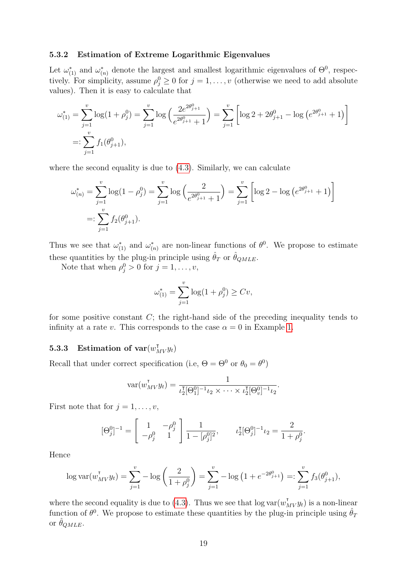#### <span id="page-20-0"></span>5.3.2 Estimation of Extreme Logarithmic Eigenvalues

Let  $\omega_{(1)}^*$  and  $\omega_{(n)}^*$  denote the largest and smallest logarithmic eigenvalues of  $\Theta^0$ , respectively. For simplicity, assume  $\rho_j^0 \geq 0$  for  $j = 1, \ldots, v$  (otherwise we need to add absolute values). Then it is easy to calculate that

$$
\omega_{(1)}^* = \sum_{j=1}^v \log(1+\rho_j^0) = \sum_{j=1}^v \log\left(\frac{2e^{2\theta_{j+1}^0}}{e^{2\theta_{j+1}^0}+1}\right) = \sum_{j=1}^v \left[\log 2 + 2\theta_{j+1}^0 - \log\left(e^{2\theta_{j+1}^0}+1\right)\right]
$$
  
=:  $\sum_{j=1}^v f_1(\theta_{j+1}^0),$ 

where the second equality is due to [\(4.3\)](#page-16-1). Similarly, we can calculate

$$
\omega_{(n)}^* = \sum_{j=1}^v \log(1 - \rho_j^0) = \sum_{j=1}^v \log\left(\frac{2}{e^{2\theta_{j+1}^0} + 1}\right) = \sum_{j=1}^v \left[ \log 2 - \log\left(e^{2\theta_{j+1}^0} + 1\right) \right]
$$
  
=: 
$$
\sum_{j=1}^v f_2(\theta_{j+1}^0).
$$

Thus we see that  $\omega_{(1)}^*$  and  $\omega_{(n)}^*$  are non-linear functions of  $\theta^0$ . We propose to estimate these quantities by the plug-in principle using  $\hat{\theta}_T$  or  $\hat{\theta}_{QMLE}$ .

Note that when  $\rho_j^0 > 0$  for  $j = 1, \ldots, v$ ,

$$
\omega_{(1)}^* = \sum_{j=1}^v \log(1 + \rho_j^0) \ge Cv,
$$

for some positive constant C; the right-hand side of the preceding inequality tends to infinity at a rate v. This corresponds to the case  $\alpha = 0$  in Example [1.](#page-11-1)

### <span id="page-20-1"></span>5.3.3 Estimation of  $var(w_{MV}^{\dagger}y_t)$

Recall that under correct specification (i.e,  $\Theta = \Theta^0$  or  $\theta_0 = \theta^0$ )

$$
\text{var}(w_{MV}^{\mathsf{T}} y_t) = \frac{1}{\iota_2^{\mathsf{T}}[\Theta_1^0]^{-1} \iota_2 \times \cdots \times \iota_2^{\mathsf{T}}[\Theta_v^0]^{-1} \iota_2}.
$$

First note that for  $j = 1, \ldots, v$ ,

$$
[\Theta_j^0]^{-1} = \begin{bmatrix} 1 & -\rho_j^0 \\ -\rho_j^0 & 1 \end{bmatrix} \frac{1}{1 - [\rho_j^0]^2}, \qquad \iota_2^{\mathsf{T}}[\Theta_j^0]^{-1} \iota_2 = \frac{2}{1 + \rho_j^0}.
$$

Hence

$$
\log \operatorname{var}(w_{MV}^{\mathsf{T}} y_t) = \sum_{j=1}^{v} -\log \left( \frac{2}{1+\rho_j^0} \right) = \sum_{j=1}^{v} -\log \left( 1 + e^{-2\theta_{j+1}^0} \right) =: \sum_{j=1}^{v} f_3(\theta_{j+1}^0),
$$

where the second equality is due to [\(4.3\)](#page-16-1). Thus we see that  $\log \text{var}(w_M^{\dagger} v y_t)$  is a non-linear function of  $\theta^0$ . We propose to estimate these quantities by the plug-in principle using  $\hat{\theta}_1$ or  $\theta_{QMLE}$ .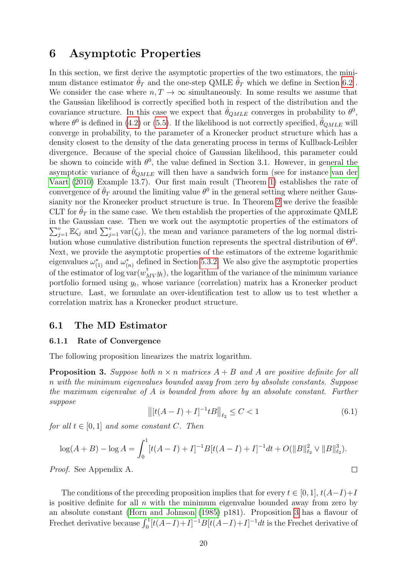### <span id="page-21-0"></span>6 Asymptotic Properties

In this section, we first derive the asymptotic properties of the two estimators, the minimum distance estimator  $\hat{\theta}_T$  and the one-step QMLE  $\hat{\theta}_T$  which we define in Section [6.2](#page-26-0). We consider the case where  $n, T \to \infty$  simultaneously. In some results we assume that the Gaussian likelihood is correctly specified both in respect of the distribution and the covariance structure. In this case we expect that  $\hat{\theta}_{QMLE}$  converges in probability to  $\theta^0$ , where  $\theta^0$  is defined in [\(4.2\)](#page-16-0) or [\(5.5\)](#page-19-1). If the likelihood is not correctly specified,  $\hat{\theta}_{QMLE}$  will converge in probability, to the parameter of a Kronecker product structure which has a density closest to the density of the data generating process in terms of Kullback-Leibler divergence. Because of the special choice of Gaussian likelihood, this parameter could be shown to coincide with  $\theta^0$ , the value defined in Section 3.1. However, in general the asymptotic variance of  $\hat{\theta}_{QMLE}$  will then have a sandwich form (see for instance [van der](#page-72-9) [Vaart](#page-72-9) [\(2010\)](#page-72-9) Example 13.7). Our first main result (Theorem [1\)](#page-23-0) establishes the rate of convergence of  $\hat{\theta}_T$  around the limiting value  $\theta^0$  in the general setting where neither Gaussianity nor the Kronecker product structure is true. In Theorem [2](#page-25-0) we derive the feasible CLT for  $\theta_T$  in the same case. We then establish the properties of the approximate QMLE in the Gaussian case. Then we work out the asymptotic properties of the estimators of  $\sum_{j=1}^{v} \mathbb{E}\zeta_j$  and  $\sum_{j=1}^{v} \text{var}(\zeta_j)$ , the mean and variance parameters of the log normal distribution whose cumulative distribution function represents the spectral distribution of  $\Theta^0$ . Next, we provide the asymptotic properties of the estimators of the extreme logarithmic eigenvalues  $\omega_{(1)}^*$  and  $\omega_{(n)}^*$  defined in Section [5.3.2.](#page-20-0) We also give the asymptotic properties of the estimator of log  $var(w_{MV}^{\dagger}y_t)$ , the logarithm of the variance of the minimum variance portfolio formed using  $y_t$ , whose variance (correlation) matrix has a Kronecker product structure. Last, we formulate an over-identification test to allow us to test whether a correlation matrix has a Kronecker product structure.

### 6.1 The MD Estimator

#### 6.1.1 Rate of Convergence

The following proposition linearizes the matrix logarithm.

<span id="page-21-1"></span>**Proposition 3.** Suppose both  $n \times n$  matrices  $A + B$  and A are positive definite for all n with the minimum eigenvalues bounded away from zero by absolute constants. Suppose the maximum eigenvalue of A is bounded from above by an absolute constant. Further suppose

<span id="page-21-2"></span>
$$
\left\| [t(A - I) + I]^{-1} tB \right\|_{\ell_2} \le C < 1 \tag{6.1}
$$

 $\Box$ 

for all  $t \in [0, 1]$  and some constant C. Then

$$
\log(A+B) - \log A = \int_0^1 [t(A-I) + I]^{-1} B[t(A-I) + I]^{-1} dt + O(||B||_{\ell_2}^2 \vee ||B||_{\ell_2}^3).
$$

Proof. See Appendix A.

The conditions of the preceding proposition implies that for every  $t \in [0,1], t(A-I)+I$ is positive definite for all  $n$  with the minimum eigenvalue bounded away from zero by an absolute constant [\(Horn and Johnson](#page-70-12) [\(1985\)](#page-70-12) p181). Proposition [3](#page-21-1) has a flavour of Frechet derivative because  $\int_0^1 [t(A-I)+I]^{-1}B[t(A-I)+I]^{-1}dt$  is the Frechet derivative of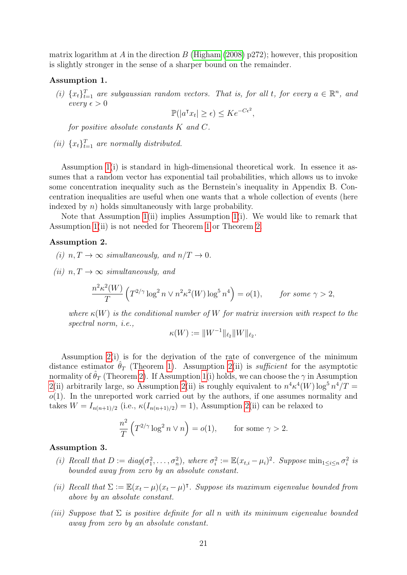matrix logarithm at A in the direction B [\(Higham](#page-70-10)  $(2008)$  p272); however, this proposition is slightly stronger in the sense of a sharper bound on the remainder.

#### <span id="page-22-0"></span>Assumption 1.

(i)  $\{x_t\}_{t=1}^T$  are subgaussian random vectors. That is, for all t, for every  $a \in \mathbb{R}^n$ , and  $every \in > 0$ 

$$
\mathbb{P}(|a^{\mathsf{T}}x_t| \geq \epsilon) \leq Ke^{-C\epsilon^2},
$$

for positive absolute constants  $K$  and  $C$ .

(ii)  $\{x_t\}_{t=1}^T$  are normally distributed.

Assumption [1\(](#page-22-0)i) is standard in high-dimensional theoretical work. In essence it assumes that a random vector has exponential tail probabilities, which allows us to invoke some concentration inequality such as the Bernstein's inequality in Appendix B. Concentration inequalities are useful when one wants that a whole collection of events (here indexed by  $n$ ) holds simultaneously with large probability.

Note that Assumption [1\(](#page-22-0)ii) implies Assumption [1\(](#page-22-0)i). We would like to remark that Assumption [1\(](#page-22-0)ii) is not needed for Theorem [1](#page-23-0) or Theorem [2.](#page-25-0)

#### <span id="page-22-1"></span>Assumption 2.

(i)  $n, T \rightarrow \infty$  simultaneously, and  $n/T \rightarrow 0$ .

(ii)  $n, T \rightarrow \infty$  simultaneously, and

$$
\frac{n^2 \kappa^2(W)}{T} \left( T^{2/\gamma} \log^2 n \vee n^2 \kappa^2(W) \log^5 n^4 \right) = o(1), \quad \text{for some } \gamma > 2,
$$

where  $\kappa(W)$  is the conditional number of W for matrix inversion with respect to the spectral norm, i.e.,

$$
\kappa(W) := \|W^{-1}\|_{\ell_2} \|W\|_{\ell_2}.
$$

Assumption [2\(](#page-22-1)i) is for the derivation of the rate of convergence of the minimum distance estimator  $\hat{\theta}_T$  (Theorem [1\)](#page-23-0). Assumption [2\(](#page-22-1)ii) is *sufficient* for the asymptotic normality of  $\hat{\theta}_T$  (Theorem [2\)](#page-25-0). If Assumption [1\(](#page-22-0)i) holds, we can choose the  $\gamma$  in Assumption [2\(](#page-22-1)ii) arbitrarily large, so Assumption [2\(](#page-22-1)ii) is roughly equivalent to  $n^4 \kappa^4(W) \log^5 n^4/T =$  $o(1)$ . In the unreported work carried out by the authors, if one assumes normality and takes  $W = I_{n(n+1)/2}$  (i.e.,  $\kappa(I_{n(n+1)/2}) = 1$ ), Assumption [2\(](#page-22-1)ii) can be relaxed to

$$
\frac{n^2}{T}\left(T^{2/\gamma}\log^2 n \vee n\right) = o(1), \quad \text{for some } \gamma > 2.
$$

#### <span id="page-22-2"></span>Assumption 3.

- (i) Recall that  $D := diag(\sigma_1^2, \ldots, \sigma_n^2)$ , where  $\sigma_i^2 := \mathbb{E}(x_{t,i} \mu_i)^2$ . Suppose  $\min_{1 \leq i \leq n} \sigma_i^2$  is bounded away from zero by an absolute constant.
- (ii) Recall that  $\Sigma := \mathbb{E}(x_t \mu)(x_t \mu)$ <sup>T</sup>. Suppose its maximum eigenvalue bounded from above by an absolute constant.
- (iii) Suppose that  $\Sigma$  is positive definite for all n with its minimum eigenvalue bounded away from zero by an absolute constant.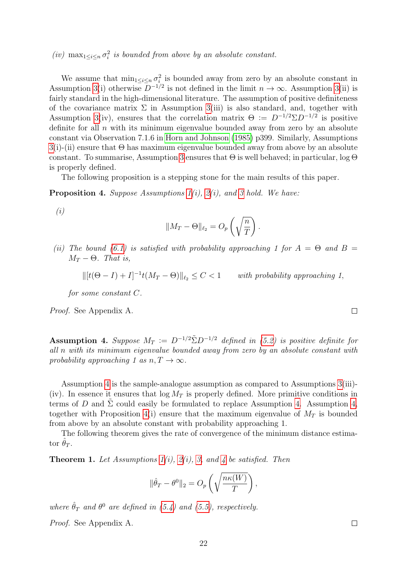(iv)  $\max_{1 \leq i \leq n} \sigma_i^2$  is bounded from above by an absolute constant.

We assume that  $\min_{1 \leq i \leq n} \sigma_i^2$  is bounded away from zero by an absolute constant in Assumption [3\(](#page-22-2)i) otherwise  $D^{-1/2}$  is not defined in the limit  $n \to \infty$ . Assumption 3(ii) is fairly standard in the high-dimensional literature. The assumption of positive definiteness of the covariance matrix  $\Sigma$  in Assumption [3\(](#page-22-2)iii) is also standard, and, together with Assumption [3\(](#page-22-2)iv), ensures that the correlation matrix  $\Theta := D^{-1/2} \Sigma D^{-1/2}$  is positive definite for all  $n$  with its minimum eigenvalue bounded away from zero by an absolute constant via Observation 7.1.6 in [Horn and Johnson](#page-70-12) [\(1985\)](#page-70-12) p399. Similarly, Assumptions  $3(i)$  $3(i)$ -(ii) ensure that  $\Theta$  has maximum eigenvalue bounded away from above by an absolute constant. To summarise, Assumption [3](#page-22-2) ensures that  $\Theta$  is well behaved; in particular,  $\log \Theta$ is properly defined.

The following proposition is a stepping stone for the main results of this paper.

<span id="page-23-2"></span>**Proposition 4.** Suppose Assumptions  $1(i)$ ,  $2(i)$ , and [3](#page-22-2) hold. We have:

(i)

$$
||M_T - \Theta||_{\ell_2} = O_p\left(\sqrt{\frac{n}{T}}\right).
$$

(ii) The bound [\(6.1\)](#page-21-2) is satisfied with probability approaching 1 for  $A = \Theta$  and  $B = \Theta$  $M_T - \Theta$ . That is,

$$
\| [t(\Theta - I) + I]^{-1} t(M_T - \Theta) \|_{\ell_2} \le C < 1 \quad \text{with probability approaching } 1,
$$

for some constant C.

Proof. See Appendix A.

<span id="page-23-1"></span>Assumption 4. Suppose  $M_T := D^{-1/2} \tilde{\Sigma} D^{-1/2}$  defined in [\(5.2\)](#page-18-2) is positive definite for all n with its minimum eigenvalue bounded away from zero by an absolute constant with probability approaching 1 as  $n, T \rightarrow \infty$ .

Assumption [4](#page-23-1) is the sample-analogue assumption as compared to Assumptions [3\(](#page-22-2)iii)- (iv). In essence it ensures that  $\log M_T$  is properly defined. More primitive conditions in terms of D and  $\Sigma$  could easily be formulated to replace Assumption [4.](#page-23-1) Assumption [4,](#page-23-1) together with Proposition [4\(](#page-23-2)i) ensure that the maximum eigenvalue of  $M_T$  is bounded from above by an absolute constant with probability approaching 1.

The following theorem gives the rate of convergence of the minimum distance estimator  $\theta_T$ .

<span id="page-23-0"></span>**Theorem 1.** Let Assumptions  $1(i)$ ,  $2(i)$ , [3,](#page-22-2) and [4](#page-23-1) be satisfied. Then

$$
\|\hat{\theta}_T - \theta^0\|_2 = O_p\left(\sqrt{\frac{n\kappa(W)}{T}}\right),\,
$$

where  $\hat{\theta}_T$  and  $\theta^0$  are defined in [\(5.4\)](#page-18-3) and [\(5.5\)](#page-19-1), respectively.

Proof. See Appendix A.

 $\Box$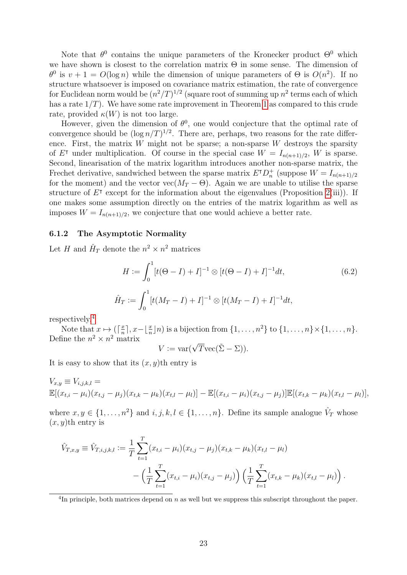Note that  $\theta^0$  contains the unique parameters of the Kronecker product  $\Theta^0$  which we have shown is closest to the correlation matrix Θ in some sense. The dimension of  $\theta^0$  is  $v+1 = O(\log n)$  while the dimension of unique parameters of  $\Theta$  is  $O(n^2)$ . If no structure whatsoever is imposed on covariance matrix estimation, the rate of convergence for Euclidean norm would be  $(n^2/T)^{1/2}$  (square root of summing up  $n^2$  terms each of which has a rate  $1/T$ ). We have some rate improvement in Theorem [1](#page-23-0) as compared to this crude rate, provided  $\kappa(W)$  is not too large.

However, given the dimension of  $\theta^0$ , one would conjecture that the optimal rate of convergence should be  $(\log n/T)^{1/2}$ . There are, perhaps, two reasons for the rate difference. First, the matrix  $W$  might not be sparse; a non-sparse  $W$  destroys the sparsity of  $E^{\dagger}$  under multiplication. Of course in the special case  $W = I_{n(n+1)/2}$ , W is sparse. Second, linearisation of the matrix logarithm introduces another non-sparse matrix, the Frechet derivative, sandwiched between the sparse matrix  $E^{\dagger} D_n^+$  (suppose  $W = I_{n(n+1)/2}$ for the moment) and the vector vec( $M_T - \Theta$ ). Again we are unable to utilise the sparse structure of  $E^{\dagger}$  except for the information about the eigenvalues (Proposition [2\(](#page-16-2)iii)). If one makes some assumption directly on the entries of the matrix logarithm as well as imposes  $W = I_{n(n+1)/2}$ , we conjecture that one would achieve a better rate.

#### 6.1.2 The Asymptotic Normality

Let H and  $\hat{H}_T$  denote the  $n^2 \times n^2$  matrices

$$
H := \int_0^1 [t(\Theta - I) + I]^{-1} \otimes [t(\Theta - I) + I]^{-1} dt,
$$
  

$$
\hat{H}_T := \int_0^1 [t(M_T - I) + I]^{-1} \otimes [t(M_T - I) + I]^{-1} dt,
$$
\n(6.2)

respectively.[4](#page-24-0)

Note that  $x \mapsto (\lceil \frac{x}{x} \rceil)$  $\frac{\pi}{n}$ ,  $x-\lfloor \frac{x}{n} \rfloor n$  is a bijection from  $\{1,\ldots,n^2\}$  to  $\{1,\ldots,n\}\times\{1,\ldots,n\}.$ Define the  $n^2 \times n^2$  matrix<br> $V := \text{var}(\sqrt{T}\text{vec}(\tilde{\Sigma} - \Sigma)).$ 

$$
V \coloneqq \text{var}(\sqrt{T}\text{vec}(\tilde{\Sigma} - \Sigma)).
$$

It is easy to show that its  $(x, y)$ th entry is

$$
V_{x,y} \equiv V_{i,j,k,l} =
$$
  
\n
$$
\mathbb{E}[(x_{t,i} - \mu_i)(x_{t,j} - \mu_j)(x_{t,k} - \mu_k)(x_{t,l} - \mu_l)] - \mathbb{E}[(x_{t,i} - \mu_i)(x_{t,j} - \mu_j)]\mathbb{E}[(x_{t,k} - \mu_k)(x_{t,l} - \mu_l)],
$$

where  $x, y \in \{1, \ldots, n^2\}$  and  $i, j, k, l \in \{1, \ldots, n\}$ . Define its sample analogue  $\hat{V}_T$  whose  $(x, y)$ th entry is

$$
\hat{V}_{T,x,y} \equiv \hat{V}_{T,i,j,k,l} := \frac{1}{T} \sum_{t=1}^{T} (x_{t,i} - \mu_i)(x_{t,j} - \mu_j)(x_{t,k} - \mu_k)(x_{t,l} - \mu_l) \n- \left(\frac{1}{T} \sum_{t=1}^{T} (x_{t,i} - \mu_i)(x_{t,j} - \mu_j)\right) \left(\frac{1}{T} \sum_{t=1}^{T} (x_{t,k} - \mu_k)(x_{t,l} - \mu_l)\right).
$$

<span id="page-24-0"></span> ${}^{4}$ In principle, both matrices depend on n as well but we suppress this subscript throughout the paper.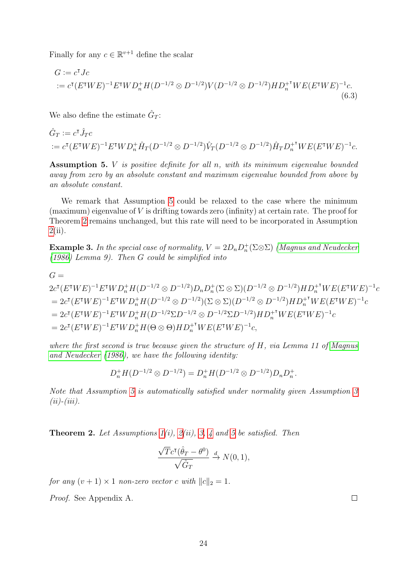Finally for any  $c \in \mathbb{R}^{v+1}$  define the scalar

<span id="page-25-2"></span>
$$
G := c^{\mathsf{T}} J c
$$
  
 :=  $c^{\mathsf{T}} (E^{\mathsf{T}} W E)^{-1} E^{\mathsf{T}} W D_n^+ H (D^{-1/2} \otimes D^{-1/2}) V (D^{-1/2} \otimes D^{-1/2}) H D_n^{+ \mathsf{T}} W E (E^{\mathsf{T}} W E)^{-1} c.$   
(6.3)

We also define the estimate  $\hat{G}_T$ :

$$
\hat{G}_T := c^{\dagger} \hat{J}_T c
$$
  
 :=  $c^{\dagger} (E^{\dagger} W E)^{-1} E^{\dagger} W D_n^+ \hat{H}_T (D^{-1/2} \otimes D^{-1/2}) \hat{V}_T (D^{-1/2} \otimes D^{-1/2}) \hat{H}_T D_n^{+ \dagger} W E (E^{\dagger} W E)^{-1} c$ .

<span id="page-25-1"></span>Assumption 5. V is positive definite for all n, with its minimum eigenvalue bounded away from zero by an absolute constant and maximum eigenvalue bounded from above by an absolute constant.

We remark that Assumption [5](#page-25-1) could be relaxed to the case where the minimum (maximum) eigenvalue of V is drifting towards zero (infinity) at certain rate. The proof for Theorem [2](#page-25-0) remains unchanged, but this rate will need to be incorporated in Assumption  $2(ii)$  $2(ii)$ .

**Example 3.** In the special case of normality,  $V = 2D_n D_n^+(\Sigma \otimes \Sigma)$  [\(Magnus and Neudecker](#page-71-11) [\(1986\)](#page-71-11) Lemma 9). Then G could be simplified into

$$
G =
$$

 $2c^{\intercal} (E^{\intercal}WE)^{-1}E^{\intercal}WD_{n}^{+}H(D^{-1/2}\otimes D^{-1/2})D_{n}D_{n}^{+}(\Sigma\otimes\Sigma)(D^{-1/2}\otimes D^{-1/2})HD_{n}^{+^{\intercal}WE(E^{\intercal}WE)^{-1}C$  $=2c^{\intercal}(E^{\intercal}WE)^{-1}E^{\intercal}WD_{n}^{+}H(D^{-1/2}\otimes D^{-1/2})(\Sigma\otimes\Sigma)(D^{-1/2}\otimes D^{-1/2})HD_{n}^{+{\intercal}}WE(E^{\intercal}WE)^{-1}c$  $= 2c^{T} (E^{T}WE)^{-1}E^{T}WD_{n}^{+}H(D^{-1/2}\Sigma D^{-1/2} \otimes D^{-1/2}\Sigma D^{-1/2})HD_{n}^{+T}WE(E^{T}WE)^{-1}c$ =  $2c^{\mathsf{T}}(E^{\mathsf{T}}WE)^{-1}E^{\mathsf{T}}WD_{n}^{+}H(\Theta\otimes \Theta)HD_{n}^{+\mathsf{T}}WE(E^{\mathsf{T}}WE)^{-1}c,$ 

where the first second is true because given the structure of H, via Lemma 11 of [Magnus](#page-71-11) [and Neudecker](#page-71-11) [\(1986\)](#page-71-11), we have the following identity:

$$
D_n^+H(D^{-1/2}\otimes D^{-1/2})=D_n^+H(D^{-1/2}\otimes D^{-1/2})D_nD_n^+.
$$

Note that Assumption [5](#page-25-1) is automatically satisfied under normality given Assumption [3](#page-22-2)  $(ii)-(iii)$ .

<span id="page-25-0"></span>**Theorem 2.** Let Assumptions  $1(i)$ ,  $2(ii)$ ,  $3$ ,  $4$  and  $5$  be satisfied. Then

$$
\frac{\sqrt{T}c^{\mathsf{T}}(\hat{\theta}_T - \theta^0)}{\sqrt{\hat{G}_T}} \xrightarrow{d} N(0, 1),
$$

for any  $(v + 1) \times 1$  non-zero vector c with  $||c||_2 = 1$ .

Proof. See Appendix A.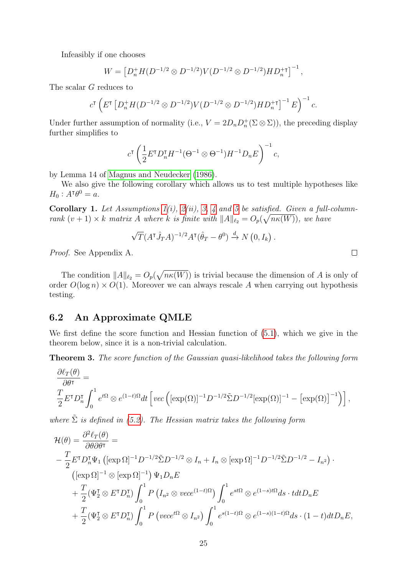Infeasibly if one chooses

$$
W = \left[ D_n^+ H (D^{-1/2} \otimes D^{-1/2}) V (D^{-1/2} \otimes D^{-1/2}) H D_n^{+T} \right]^{-1},
$$

The scalar G reduces to

$$
c^{T} \left( E^{T} \left[ D_{n}^{+} H (D^{-1/2} \otimes D^{-1/2}) V (D^{-1/2} \otimes D^{-1/2}) H D_{n}^{+T} \right]^{-1} E \right)^{-1} c.
$$

Under further assumption of normality (i.e.,  $V = 2D_n D_n^+(\Sigma \otimes \Sigma)$ ), the preceding display further simplifies to

$$
c^{\mathsf{T}} \left( \frac{1}{2} E^{\mathsf{T}} D_n^{\mathsf{T}} H^{-1} (\Theta^{-1} \otimes \Theta^{-1}) H^{-1} D_n E \right)^{-1} c,
$$

by Lemma 14 of [Magnus and Neudecker](#page-71-11) [\(1986\)](#page-71-11).

We also give the following corollary which allows us to test multiple hypotheses like  $H_0: A^{\dagger} \theta^0 = a.$ 

<span id="page-26-1"></span>Corollary 1. Let Assumptions  $1(i)$ ,  $2(ii)$ , [3,](#page-22-2) [4](#page-23-1) and [5](#page-25-1) be satisfied. Given a full-columnrank  $(v + 1) \times k$  matrix A where k is finite with  $||A||_{\ell_2} = O_p(\sqrt{n\kappa(W)})$ , we have

$$
\sqrt{T}(A^{\dagger}\hat{J}_T A)^{-1/2}A^{\dagger}(\hat{\theta}_T - \theta^0) \xrightarrow{d} N(0, I_k).
$$

Proof. See Appendix A.

The condition  $||A||_{\ell_2} = O_p(\sqrt{n\kappa(W)})$  is trivial because the dimension of A is only of order  $O(\log n) \times O(1)$ . Moreover we can always rescale A when carrying out hypothesis testing.

### <span id="page-26-0"></span>6.2 An Approximate QMLE

We first define the score function and Hessian function of [\(5.1\)](#page-18-4), which we give in the theorem below, since it is a non-trivial calculation.

Theorem 3. The score function of the Gaussian quasi-likelihood takes the following form

$$
\frac{\partial \ell_T(\theta)}{\partial \theta^{\mathsf{T}}} =
$$
\n
$$
\frac{T}{2} E^{\mathsf{T}} D_n^{\mathsf{T}} \int_0^1 e^{t\Omega} \otimes e^{(1-t)\Omega} dt \left[ vec \left( [\exp(\Omega)]^{-1} D^{-1/2} \tilde{\Sigma} D^{-1/2} [\exp(\Omega)]^{-1} - [\exp(\Omega)]^{-1} \right) \right],
$$

where  $\tilde{\Sigma}$  is defined in [\(5.2\)](#page-18-2). The Hessian matrix takes the following form

$$
\mathcal{H}(\theta) = \frac{\partial^2 \ell_T(\theta)}{\partial \theta \partial \theta^{\intercal}} =
$$
\n
$$
- \frac{T}{2} E^{\intercal} D_n^{\intercal} \Psi_1 \left( [\exp \Omega]^{-1} D^{-1/2} \tilde{\Sigma} D^{-1/2} \otimes I_n + I_n \otimes [\exp \Omega]^{-1} D^{-1/2} \tilde{\Sigma} D^{-1/2} - I_{n^2} \right) \cdot
$$
\n
$$
\left( [\exp \Omega]^{-1} \otimes [\exp \Omega]^{-1} \right) \Psi_1 D_n E
$$
\n
$$
+ \frac{T}{2} (\Psi_2^{\intercal} \otimes E^{\intercal} D_n^{\intercal}) \int_0^1 P \left( I_{n^2} \otimes vece^{(1-t)\Omega} \right) \int_0^1 e^{st\Omega} \otimes e^{(1-s)t\Omega} ds \cdot t dt D_n E
$$
\n
$$
+ \frac{T}{2} (\Psi_2^{\intercal} \otimes E^{\intercal} D_n^{\intercal}) \int_0^1 P \left( vece^{t\Omega} \otimes I_{n^2} \right) \int_0^1 e^{s(1-t)\Omega} \otimes e^{(1-s)(1-t)\Omega} ds \cdot (1-t) dt D_n E,
$$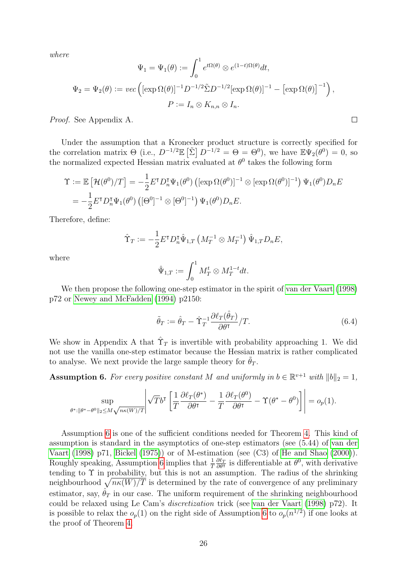where

$$
\Psi_1 = \Psi_1(\theta) := \int_0^1 e^{t\Omega(\theta)} \otimes e^{(1-t)\Omega(\theta)} dt,
$$
  

$$
\Psi_2 = \Psi_2(\theta) := vec\left( [\exp \Omega(\theta)]^{-1} D^{-1/2} \tilde{\Sigma} D^{-1/2} [\exp \Omega(\theta)]^{-1} - [\exp \Omega(\theta)]^{-1} \right),
$$
  

$$
P := I_n \otimes K_{n,n} \otimes I_n.
$$

Proof. See Appendix A.

Under the assumption that a Kronecker product structure is correctly specified for the correlation matrix  $\Theta$  (i.e.,  $D^{-1/2}\mathbb{E} \left[ \tilde{\Sigma} \right] D^{-1/2} = \Theta = \Theta^0$ ), we have  $\mathbb{E} \Psi_2(\theta^0) = 0$ , so the normalized expected Hessian matrix evaluated at  $\theta^0$  takes the following form

$$
\Upsilon := \mathbb{E}\left[\mathcal{H}(\theta^0)/T\right] = -\frac{1}{2}E^{\mathsf{T}}D_n^{\mathsf{T}}\Psi_1(\theta^0)\left([\exp\Omega(\theta^0)]^{-1}\otimes[\exp\Omega(\theta^0)]^{-1}\right)\Psi_1(\theta^0)D_nE
$$

$$
= -\frac{1}{2}E^{\mathsf{T}}D_n^{\mathsf{T}}\Psi_1(\theta^0)\left([\Theta^0]^{-1}\otimes[\Theta^0]^{-1}\right)\Psi_1(\theta^0)D_nE.
$$

Therefore, define:

$$
\hat{\Upsilon}_T := -\frac{1}{2} E^{\mathsf{T}} D_n^{\mathsf{T}} \hat{\Psi}_{1,T} \left( M_T^{-1} \otimes M_T^{-1} \right) \hat{\Psi}_{1,T} D_n E,
$$

where

$$
\hat{\Psi}_{1,T} := \int_0^1 M_T^t \otimes M_T^{1-t} dt.
$$

We then propose the following one-step estimator in the spirit of [van der Vaart](#page-72-10) [\(1998\)](#page-72-10) p72 or [Newey and McFadden](#page-71-12) [\(1994\)](#page-71-12) p2150:

$$
\tilde{\theta}_T := \hat{\theta}_T - \hat{\Upsilon}_T^{-1} \frac{\partial \ell_T(\hat{\theta}_T)}{\partial \theta^{\mathsf{T}}} / T.
$$
\n(6.4)

We show in Appendix A that  $\hat{\Upsilon}_T$  is invertible with probability approaching 1. We did not use the vanilla one-step estimator because the Hessian matrix is rather complicated to analyse. We next provide the large sample theory for  $\theta_T$ .

<span id="page-27-0"></span>**Assumption 6.** For every positive constant M and uniformly in  $b \in \mathbb{R}^{v+1}$  with  $||b||_2 = 1$ ,

$$
\sup_{\theta^*:\|\theta^*-\theta^0\|_2\leq M\sqrt{n\kappa(W)/T}}\left|\sqrt{T}b^{\intercal}\left[\frac{1}{T}\frac{\partial\ell_T(\theta^*)}{\partial\theta^{\intercal}}-\frac{1}{T}\frac{\partial\ell_T(\theta^0)}{\partial\theta^{\intercal}}-\Upsilon(\theta^*-\theta^0)\right]\right|=o_p(1).
$$

Assumption [6](#page-27-0) is one of the sufficient conditions needed for Theorem [4.](#page-28-0) This kind of assumption is standard in the asymptotics of one-step estimators (see (5.44) of [van der](#page-72-10) [Vaart](#page-72-10) [\(1998\)](#page-72-10) p71, [Bickel](#page-69-13) [\(1975\)](#page-69-13)) or of M-estimation (see (C3) of [He and Shao](#page-70-13) [\(2000\)](#page-70-13)). Roughly speaking, Assumption [6](#page-27-0) implies that  $\frac{1}{7}$  $\frac{\partial \ell_T}{\partial \theta^{\dagger}}$  is differentiable at  $\theta^0$ , with derivative tending to  $\Upsilon$  in probability, but this is not an assumption. The radius of the shrinking neighbourhood  $\sqrt{n\kappa(W)/T}$  is determined by the rate of convergence of any preliminary estimator, say,  $\hat{\theta}_T$  in our case. The uniform requirement of the shrinking neighbourhood could be relaxed using Le Cam's discretization trick (see [van der Vaart](#page-72-10) [\(1998\)](#page-72-10) p72). It is possible to relax the  $o_p(1)$  on the right side of Assumption [6](#page-27-0) to  $o_p(n^{1/2})$  if one looks at the proof of Theorem [4.](#page-28-0)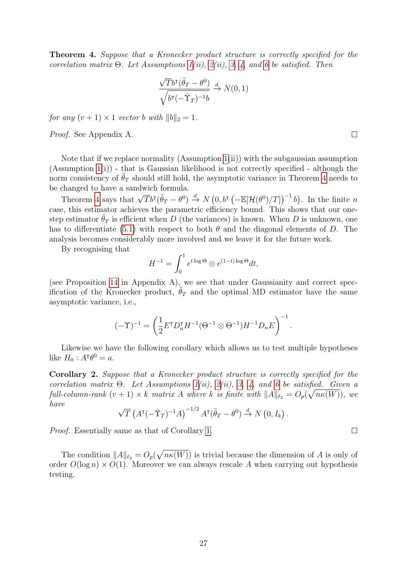<span id="page-28-0"></span>Theorem 4. Suppose that a Kronecker product structure is correctly specified for the correlation matrix  $\Theta$ . Let Assumptions [1\(](#page-22-0)ii), [2\(](#page-22-1)ii), [3,](#page-22-2) [4,](#page-23-1) and [6](#page-27-0) be satisfied. Then

$$
\frac{\sqrt{T}b^{\dagger}(\tilde{\theta}_{T}-\theta^{0})}{\sqrt{b^{\dagger}(-\hat{\Upsilon}_{T})^{-1}b}} \xrightarrow{d} N(0,1)
$$

for any  $(v + 1) \times 1$  vector b with  $||b||_2 = 1$ .

Proof. See Appendix A.

Note that if we replace normality (Assumption [1\(](#page-22-0)ii)) with the subgaussian assumption  $(Assumption 1(i))$  $(Assumption 1(i))$  $(Assumption 1(i))$  - that is Gaussian likelihood is not correctly specified - although the norm consistency of  $\theta_T$  should still hold, the asymptotic variance in Theorem [4](#page-28-0) needs to be changed to have a sandwich formula.

Theorem [4](#page-28-0) says that  $\sqrt{T}b^{\dagger}(\tilde{\theta}_T - \theta^0) \stackrel{d}{\rightarrow} N(0, b^{\dagger}(-\mathbb{E}[\mathcal{H}(\theta^0)/T])^{-1}b)$ . In the finite n case, this estimator achieves the parametric efficiency bound. This shows that our onestep estimator  $\tilde{\theta}_T$  is efficient when D (the variances) is known. When D is unknown, one has to differentiate [\(5.1\)](#page-18-4) with respect to both  $\theta$  and the diagonal elements of D. The analysis becomes considerably more involved and we leave it for the future work.

By recognising that

$$
H^{-1} = \int_0^1 e^{t \log \Theta} \otimes e^{(1-t) \log \Theta} dt,
$$

(see Proposition [14](#page-60-0) in Appendix A), we see that under Gaussianity and correct specification of the Kronecker product,  $\theta_T$  and the optimal MD estimator have the same asymptotic variance, i.e.,

$$
(-\Upsilon)^{-1} = \left(\frac{1}{2}E^{\mathsf{T}}D_n^{\mathsf{T}}H^{-1}(\Theta^{-1}\otimes \Theta^{-1})H^{-1}D_nE\right)^{-1}.
$$

Likewise we have the following corollary which allows us to test multiple hypotheses like  $H_0: A^{\dagger} \theta^0 = a$ .

Corollary 2. Suppose that a Kronecker product structure is correctly specified for the correlation matrix  $\Theta$ . Let Assumptions [1\(](#page-22-0)ii), [2\(](#page-22-1)ii), [3,](#page-22-2) [4,](#page-23-1) and [6](#page-27-0) be satisfied. Given a full-column-rank  $(v + 1) \times k$  matrix A where k is finite with  $||A||_{\ell_2} = O_p(\sqrt{n\kappa(W)})$ , we have √

$$
\sqrt{T} \left( A^{\mathsf{T}} \left( -\hat{\Upsilon}_T \right)^{-1} A \right)^{-1/2} A^{\mathsf{T}} \left( \tilde{\theta}_T - \theta^0 \right) \xrightarrow{d} N \left( 0, I_k \right).
$$

Proof. Essentially same as that of Corollary [1.](#page-26-1)

The condition  $||A||_{\ell_2} = O_p(\sqrt{n\kappa(W)})$  is trivial because the dimension of A is only of order  $O(\log n) \times O(1)$ . Moreover we can always rescale A when carrying out hypothesis testing.

 $\Box$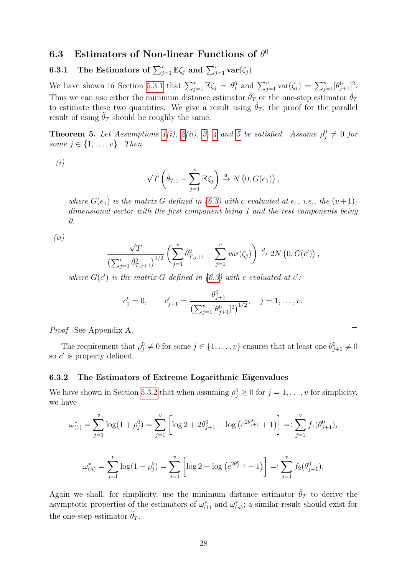### 6.3 Estimators of Non-linear Functions of  $\theta^0$

### <span id="page-29-0"></span>**6.3.1** The Estimators of  $\sum_{j=1}^{v} \mathbb{E}\zeta_j$  and  $\sum_{j=1}^{v} \text{var}(\zeta_j)$

We have shown in Section [5.3.1](#page-19-0) that  $\sum_{j=1}^{v} \mathbb{E}\zeta_j = \theta_1^0$  and  $\sum_{j=1}^{v} \text{var}(\zeta_j) = \sum_{j=1}^{v} [\theta_{j+1}^0]^2$ . Thus we can use either the minimum distance estimator  $\hat{\theta}_T$  or the one-step estimator  $\tilde{\theta}_T$ to estimate these two quantities. We give a result using  $\hat{\theta}_T$ ; the proof for the parallel result of using  $\theta_T$  should be roughly the same.

**Theorem [5](#page-25-1).** Let Assumptions [1\(](#page-22-0)i), [2\(](#page-22-1)ii), [3,](#page-22-2) [4](#page-23-1) and 5 be satisfied. Assume  $\rho_j^0 \neq 0$  for some  $j \in \{1, \ldots, v\}$ . Then

(i)

$$
\sqrt{T}\left(\hat{\theta}_{T,1}-\sum_{j=1}^v \mathbb{E}\zeta_j\right) \stackrel{d}{\to} N\left(0,G(e_1)\right),\,
$$

where  $G(e_1)$  is the matrix G defined in [\(6.3\)](#page-25-2) with c evaluated at  $e_1$ , i.e., the  $(v+1)$ dimensional vector with the first component being 1 and the rest components being  $\theta$ .

(ii)

$$
\frac{\sqrt{T}}{\left(\sum_{j=1}^v \hat{\theta}_{T,j+1}^2\right)^{1/2}} \left(\sum_{j=1}^v \hat{\theta}_{T,j+1}^2 - \sum_{j=1}^v var(\zeta_j)\right) \stackrel{d}{\to} 2N\left(0, G(c')\right),
$$

where  $G(c')$  is the matrix G defined in [\(6.3\)](#page-25-2) with c evaluated at c'.

$$
c'_1 = 0, \qquad c'_{j+1} = \frac{\theta_{j+1}^0}{\left(\sum_{j=1}^v [\theta_{j+1}^0]^2\right)^{1/2}}, \quad j = 1, \dots, v.
$$

 $\Box$ 

Proof. See Appendix A.

The requirement that  $\rho_j^0 \neq 0$  for some  $j \in \{1, \ldots, v\}$  ensures that at least one  $\theta_{j+1}^0 \neq 0$ so  $c'$  is properly defined.

#### <span id="page-29-1"></span>6.3.2 The Estimators of Extreme Logarithmic Eigenvalues

We have shown in Section [5.3.2](#page-20-0) that when assuming  $\rho_j^0 \geq 0$  for  $j = 1, \ldots, v$  for simplicity, we have

$$
\omega_{(1)}^* = \sum_{j=1}^v \log(1 + \rho_j^0) = \sum_{j=1}^v \left[ \log 2 + 2\theta_{j+1}^0 - \log \left( e^{2\theta_{j+1}^0} + 1 \right) \right] =: \sum_{j=1}^v f_1(\theta_{j+1}^0),
$$
  

$$
\omega_{(n)}^* = \sum_{j=1}^v \log(1 - \rho_j^0) = \sum_{j=1}^v \left[ \log 2 - \log \left( e^{2\theta_{j+1}^0} + 1 \right) \right] =: \sum_{j=1}^v f_2(\theta_{j+1}^0).
$$

Again we shall, for simplicity, use the minimum distance estimator  $\hat{\theta}_T$  to derive the asymptotic properties of the estimators of  $\omega_{(1)}^*$  and  $\omega_{(n)}^*$ ; a similar result should exist for the one-step estimator  $\hat{\theta}_T$ .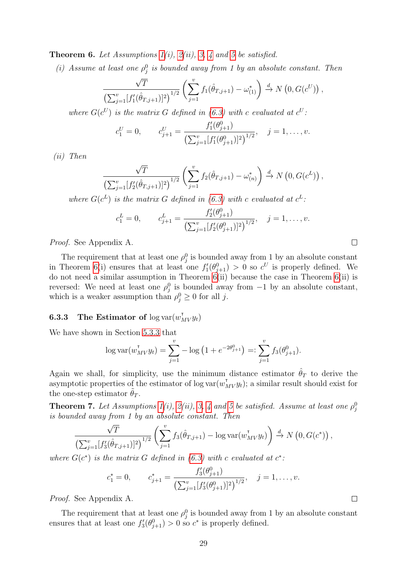<span id="page-30-1"></span>**Theorem 6.** Let Assumptions  $1(i)$ ,  $2(ii)$ , [3,](#page-22-2) [4](#page-23-1) and [5](#page-25-1) be satisfied.

(i) Assume at least one  $\rho_j^0$  is bounded away from 1 by an absolute constant. Then

$$
\frac{\sqrt{T}}{\left(\sum_{j=1}^v [f'_1(\hat{\theta}_{T,j+1})]^2\right)^{1/2}} \left(\sum_{j=1}^v f_1(\hat{\theta}_{T,j+1}) - \omega_{(1)}^*\right) \xrightarrow{d} N\left(0, G(c^U)\right),
$$

where  $G(c^U)$  is the matrix G defined in [\(6.3\)](#page-25-2) with c evaluated at  $c^U$ .

$$
c_1^U = 0, \qquad c_{j+1}^U = \frac{f_1'(\theta_{j+1}^0)}{\left(\sum_{j=1}^v [f_1'(\theta_{j+1}^0)]^2\right)^{1/2}}, \quad j = 1, \dots, v.
$$

(ii) Then

$$
\frac{\sqrt{T}}{\left(\sum_{j=1}^v [f'_2(\hat{\theta}_{T,j+1})]^2\right)^{1/2}} \left(\sum_{j=1}^v f_2(\hat{\theta}_{T,j+1}) - \omega_{(n)}^*\right) \xrightarrow{d} N\left(0, G(c^L)\right),
$$

where  $G(c^L)$  is the matrix G defined in [\(6.3\)](#page-25-2) with c evaluated at  $c^L$ .

$$
c_1^L = 0,
$$
  $c_{j+1}^L = \frac{f'_2(\theta_{j+1}^0)}{(\sum_{j=1}^v [f'_2(\theta_{j+1}^0)]^2)^{1/2}}, \quad j = 1, ..., v.$ 

Proof. See Appendix A.

The requirement that at least one  $\rho_j^0$  is bounded away from 1 by an absolute constant in Theorem [6\(](#page-30-1)i) ensures that at least one  $f'_{1}(\theta_{j+1}^{0}) > 0$  so  $c^{U}$  is properly defined. We do not need a similar assumption in Theorem  $6(ii)$  because the case in Theorem  $6(ii)$  is reversed: We need at least one  $\rho_j^0$  is bounded away from  $-1$  by an absolute constant, which is a weaker assumption than  $\rho_j^0 \geq 0$  for all j.

### <span id="page-30-0"></span>**6.3.3** The Estimator of  $\log \text{var}(w_{MV}^{\mathsf{T}} y_t)$

We have shown in Section [5.3.3](#page-20-1) that

$$
\log \operatorname{var}(w_{MV}^{\mathsf{T}} y_t) = \sum_{j=1}^{v} -\log \left( 1 + e^{-2\theta_{j+1}^0} \right) =: \sum_{j=1}^{v} f_3(\theta_{j+1}^0).
$$

Again we shall, for simplicity, use the minimum distance estimator  $\hat{\theta}_T$  to derive the asymptotic properties of the estimator of log  $var(w_{MV}^{\dagger}y_t)$ ; a similar result should exist for the one-step estimator  $\theta_T$ .

**Theorem 7.** Let Assumptions [1\(](#page-22-0)i), [2\(](#page-22-1)ii), [3,](#page-22-2) [4](#page-23-1) and [5](#page-25-1) be satisfied. Assume at least one  $\rho_j^0$ is bounded away from 1 by an absolute constant. Then

$$
\frac{\sqrt{T}}{\left(\sum_{j=1}^v [f'_3(\hat{\theta}_{T,j+1})]^2\right)^{1/2}} \left(\sum_{j=1}^v f_3(\hat{\theta}_{T,j+1}) - \log \text{var}(w_{MV}^{\mathsf{T}} y_t)\right) \stackrel{d}{\to} N\left(0, G(c^*)\right),
$$

where  $G(c^*)$  is the matrix G defined in [\(6.3\)](#page-25-2) with c evaluated at  $c^*$ .

$$
c_1^* = 0,
$$
  $c_{j+1}^* = \frac{f_3'(\theta_{j+1}^0)}{(\sum_{j=1}^v [f_3'(\theta_{j+1}^0)]^2)^{1/2}}, \quad j = 1, ..., v.$ 

Proof. See Appendix A.

The requirement that at least one  $\rho_j^0$  is bounded away from 1 by an absolute constant ensures that at least one  $f'_{3}(\theta_{j+1}^{0}) > 0$  so  $c^*$  is properly defined.

 $\Box$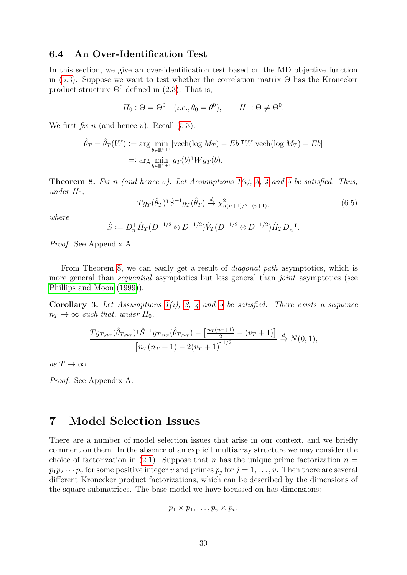### <span id="page-31-1"></span>6.4 An Over-Identification Test

In this section, we give an over-identification test based on the MD objective function in [\(5.3\)](#page-18-1). Suppose we want to test whether the correlation matrix  $\Theta$  has the Kronecker product structure  $\Theta^0$  defined in [\(2.3\)](#page-7-3). That is,

$$
H_0: \Theta = \Theta^0 \quad (i.e., \theta_0 = \theta^0), \qquad H_1: \Theta \neq \Theta^0.
$$

We first  $\hat{f}$ x n (and hence v). Recall [\(5.3\)](#page-18-1):

$$
\hat{\theta}_T = \hat{\theta}_T(W) := \arg \min_{b \in \mathbb{R}^{v+1}} [\text{vech}(\log M_T) - Eb]^{\mathsf{T}} W[\text{vech}(\log M_T) - Eb]
$$

$$
=: \arg \min_{b \in \mathbb{R}^{v+1}} g_T(b)^{\mathsf{T}} W g_T(b).
$$

<span id="page-31-2"></span>**Theorem 8.** Fix n (and hence v). Let Assumptions  $1(i)$ , [3,](#page-22-2) [4](#page-23-1) and [5](#page-25-1) be satisfied. Thus, under  $H_0$ ,

$$
Tg_T(\hat{\theta}_T)^{\dagger} \hat{S}^{-1} g_T(\hat{\theta}_T) \xrightarrow{d} \chi^2_{n(n+1)/2-(v+1)},\tag{6.5}
$$

where

$$
\hat{S} := D_n^+ \hat{H}_T (D^{-1/2} \otimes D^{-1/2}) \hat{V}_T (D^{-1/2} \otimes D^{-1/2}) \hat{H}_T D_n^+.
$$

Proof. See Appendix A.

From Theorem [8,](#page-31-2) we can easily get a result of *diagonal path* asymptotics, which is more general than *sequential* asymptotics but less general than *joint* asymptotics (see [Phillips and Moon](#page-71-10) [\(1999\)](#page-71-10)).

**Corollary 3.** Let Assumptions  $1(i)$ , [3,](#page-22-2) [4](#page-23-1) and [5](#page-25-1) be satisfied. There exists a sequence  $n_T \rightarrow \infty$  such that, under  $H_0$ ,

$$
\frac{Tg_{T,n_T}(\hat{\theta}_{T,n_T})^{\dagger} \hat{S}^{-1} g_{T,n_T}(\hat{\theta}_{T,n_T}) - \left[\frac{n_T(n_T+1)}{2} - (v_T+1)\right]}{\left[n_T(n_T+1) - 2(v_T+1)\right]^{1/2}} \xrightarrow{d} N(0,1),
$$

as  $T \to \infty$ .

Proof. See Appendix A.

### <span id="page-31-0"></span>7 Model Selection Issues

There are a number of model selection issues that arise in our context, and we briefly comment on them. In the absence of an explicit multiarray structure we may consider the choice of factorization in [\(2.1\)](#page-5-1). Suppose that n has the unique prime factorization  $n =$  $p_1p_2\cdots p_v$  for some positive integer v and primes  $p_j$  for  $j=1,\ldots,v$ . Then there are several different Kronecker product factorizations, which can be described by the dimensions of the square submatrices. The base model we have focussed on has dimensions:

$$
p_1 \times p_1, \ldots, p_v \times p_v,
$$

 $\Box$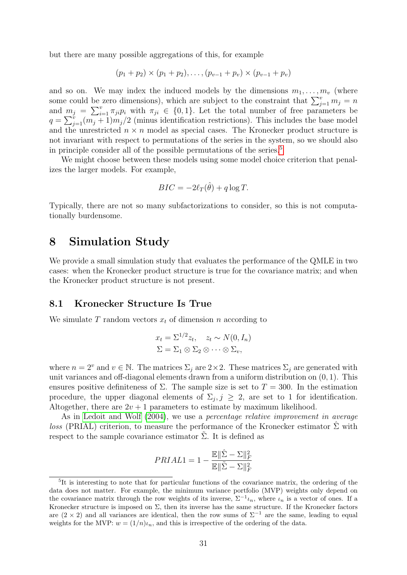but there are many possible aggregations of this, for example

$$
(p_1 + p_2) \times (p_1 + p_2), \ldots, (p_{v-1} + p_v) \times (p_{v-1} + p_v)
$$

and so on. We may index the induced models by the dimensions  $m_1, \ldots, m_v$  (where some could be zero dimensions), which are subject to the constraint that  $\sum_{j=1}^{v} m_j = n$ and  $m_j = \sum_{i=1}^v \pi_{ji} p_i$  with  $\pi_{ji} \in \{0,1\}$ . Let the total number of free parameters be  $q = \sum_{j=1}^{v} (m_j + 1) m_j/2$  (minus identification restrictions). This includes the base model and the unrestricted  $n \times n$  model as special cases. The Kronecker product structure is not invariant with respect to permutations of the series in the system, so we should also in principle consider all of the possible permutations of the series.<sup>[5](#page-32-1)</sup>

We might choose between these models using some model choice criterion that penalizes the larger models. For example,

$$
BIC = -2\ell_T(\hat{\theta}) + q \log T.
$$

Typically, there are not so many subfactorizations to consider, so this is not computationally burdensome.

### <span id="page-32-0"></span>8 Simulation Study

We provide a small simulation study that evaluates the performance of the QMLE in two cases: when the Kronecker product structure is true for the covariance matrix; and when the Kronecker product structure is not present.

### 8.1 Kronecker Structure Is True

We simulate  $T$  random vectors  $x_t$  of dimension n according to

$$
x_t = \Sigma^{1/2} z_t, \quad z_t \sim N(0, I_n)
$$
  

$$
\Sigma = \Sigma_1 \otimes \Sigma_2 \otimes \cdots \otimes \Sigma_v,
$$

where  $n = 2^v$  and  $v \in \mathbb{N}$ . The matrices  $\Sigma_j$  are  $2 \times 2$ . These matrices  $\Sigma_j$  are generated with unit variances and off-diagonal elements drawn from a uniform distribution on  $(0, 1)$ . This ensures positive definiteness of  $\Sigma$ . The sample size is set to  $T = 300$ . In the estimation procedure, the upper diagonal elements of  $\Sigma_j, j \geq 2$ , are set to 1 for identification. Altogether, there are  $2v + 1$  parameters to estimate by maximum likelihood.

As in [Ledoit and Wolf](#page-70-14) [\(2004\)](#page-70-14), we use a *percentage relative improvement in average* loss (PRIAL) criterion, to measure the performance of the Kronecker estimator  $\Sigma$  with respect to the sample covariance estimator  $\tilde{\Sigma}$ . It is defined as

$$
PRIAL1 = 1 - \frac{\mathbb{E} \|\hat{\Sigma} - \Sigma\|_F^2}{\mathbb{E} \|\tilde{\Sigma} - \Sigma\|_F^2}
$$

<span id="page-32-1"></span><sup>5</sup> It is interesting to note that for particular functions of the covariance matrix, the ordering of the data does not matter. For example, the minimum variance portfolio (MVP) weights only depend on the covariance matrix through the row weights of its inverse,  $\Sigma^{-1} \iota_n$ , where  $\iota_n$  is a vector of ones. If a Kronecker structure is imposed on  $\Sigma$ , then its inverse has the same structure. If the Kronecker factors are  $(2 \times 2)$  and all variances are identical, then the row sums of  $\Sigma^{-1}$  are the same, leading to equal weights for the MVP:  $w = (1/n)\iota_n$ , and this is irrespective of the ordering of the data.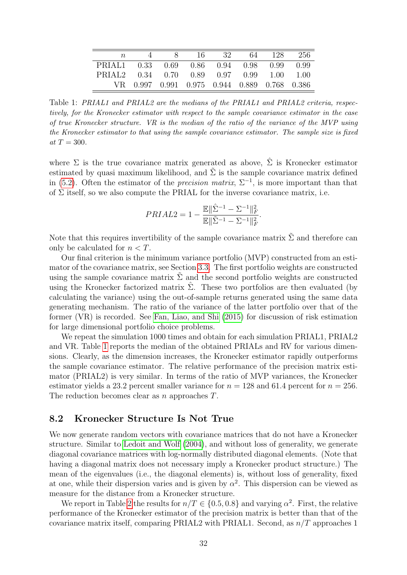|                                           |  | - 16 - | 32                                           | 64 128 | - 256 |
|-------------------------------------------|--|--------|----------------------------------------------|--------|-------|
| PRIAL1 0.33 0.69 0.86 0.94 0.98 0.99 0.99 |  |        |                                              |        |       |
| PRIAL2 0.34 0.70 0.89 0.97 0.99 1.00 1.00 |  |        |                                              |        |       |
|                                           |  |        | VR 0.997 0.991 0.975 0.944 0.889 0.768 0.386 |        |       |

<span id="page-33-0"></span>Table 1: PRIAL1 and PRIAL2 are the medians of the PRIAL1 and PRIAL2 criteria, respectively, for the Kronecker estimator with respect to the sample covariance estimator in the case of true Kronecker structure. VR is the median of the ratio of the variance of the MVP using the Kronecker estimator to that using the sample covariance estimator. The sample size is fixed at  $T = 300$ .

where  $\Sigma$  is the true covariance matrix generated as above,  $\Sigma$  is Kronecker estimator estimated by quasi maximum likelihood, and  $\tilde{\Sigma}$  is the sample covariance matrix defined in [\(5.2\)](#page-18-2). Often the estimator of the *precision matrix*,  $\Sigma^{-1}$ , is more important than that of  $\Sigma$  itself, so we also compute the PRIAL for the inverse covariance matrix, i.e.

$$
PRIAL2 = 1 - \frac{\mathbb{E}\|\hat{\Sigma}^{-1} - \Sigma^{-1}\|_F^2}{\mathbb{E}\|\tilde{\Sigma}^{-1} - \Sigma^{-1}\|_F^2}.
$$

Note that this requires invertibility of the sample covariance matrix  $\Sigma$  and therefore can only be calculated for  $n < T$ .

Our final criterion is the minimum variance portfolio (MVP) constructed from an estimator of the covariance matrix, see Section [3.3.](#page-11-2) The first portfolio weights are constructed using the sample covariance matrix  $\Sigma$  and the second portfolio weights are constructed using the Kronecker factorized matrix  $\Sigma$ . These two portfolios are then evaluated (by calculating the variance) using the out-of-sample returns generated using the same data generating mechanism. The ratio of the variance of the latter portfolio over that of the former (VR) is recorded. See [Fan, Liao, and Shi](#page-70-15) [\(2015\)](#page-70-15) for discussion of risk estimation for large dimensional portfolio choice problems.

We repeat the simulation 1000 times and obtain for each simulation PRIAL1, PRIAL2 and VR. Table [1](#page-33-0) reports the median of the obtained PRIALs and RV for various dimensions. Clearly, as the dimension increases, the Kronecker estimator rapidly outperforms the sample covariance estimator. The relative performance of the precision matrix estimator (PRIAL2) is very similar. In terms of the ratio of MVP variances, the Kronecker estimator yields a 23.2 percent smaller variance for  $n = 128$  and 61.4 percent for  $n = 256$ . The reduction becomes clear as n approaches T.

### 8.2 Kronecker Structure Is Not True

We now generate random vectors with covariance matrices that do not have a Kronecker structure. Similar to [Ledoit and Wolf](#page-70-14) [\(2004\)](#page-70-14), and without loss of generality, we generate diagonal covariance matrices with log-normally distributed diagonal elements. (Note that having a diagonal matrix does not necessary imply a Kronecker product structure.) The mean of the eigenvalues (i.e., the diagonal elements) is, without loss of generality, fixed at one, while their dispersion varies and is given by  $\alpha^2$ . This dispersion can be viewed as measure for the distance from a Kronecker structure.

We report in Table [2](#page-34-1) the results for  $n/T \in \{0.5, 0.8\}$  and varying  $\alpha^2$ . First, the relative performance of the Kronecker estimator of the precision matrix is better than that of the covariance matrix itself, comparing PRIAL2 with PRIAL1. Second, as  $n/T$  approaches 1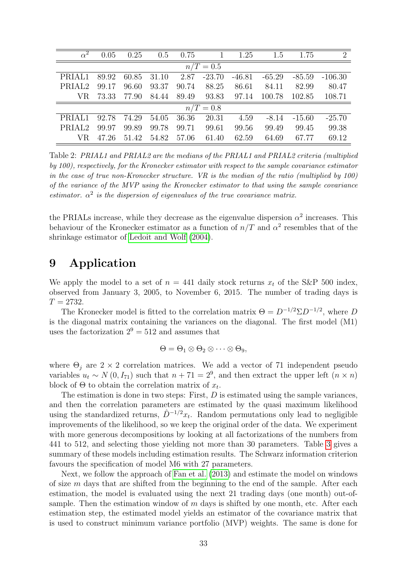| $\overline{\alpha}^2$ | 0.05  | 0.25  | 0.5   | 0.75  | $\mathbf{1}$ | 1.25     | 1.5      | 1.75     | 2         |  |
|-----------------------|-------|-------|-------|-------|--------------|----------|----------|----------|-----------|--|
| $n/T = 0.5$           |       |       |       |       |              |          |          |          |           |  |
| PRIAL1                | 89.92 | 60.85 | 31.10 | 2.87  | $-23.70$     | $-46.81$ | $-65.29$ | -85.59   | $-106.30$ |  |
| PRIAL <sub>2</sub>    | 99.17 | 96.60 | 93.37 | 90.74 | 88.25        | 86.61    | 84.11    | 82.99    | 80.47     |  |
| VR.                   | 73.33 | 77.90 | 84.44 | 89.49 | 93.83        | 97.14    | 100.78   | 102.85   | 108.71    |  |
| $n/T = 0.8$           |       |       |       |       |              |          |          |          |           |  |
| PRIAL1                | 92.78 | 74.29 | 54.05 | 36.36 | 20.31        | 4.59     | $-8.14$  | $-15.60$ | $-25.70$  |  |
| PRIAL <sub>2</sub>    | 99.97 | 99.89 | 99.78 | 99.71 | 99.61        | 99.56    | 99.49    | 99.45    | 99.38     |  |
| VR.                   | 47.26 | 51.42 | 54.82 | 57.06 | 61.40        | 62.59    | 64.69    | 67.77    | 69.12     |  |

<span id="page-34-1"></span>Table 2: PRIAL1 and PRIAL2 are the medians of the PRIAL1 and PRIAL2 criteria (multiplied by 100), respectively, for the Kronecker estimator with respect to the sample covariance estimator in the case of true non-Kronecker structure. VR is the median of the ratio (multiplied by 100) of the variance of the MVP using the Kronecker estimator to that using the sample covariance estimator.  $\alpha^2$  is the dispersion of eigenvalues of the true covariance matrix.

the PRIALs increase, while they decrease as the eigenvalue dispersion  $\alpha^2$  increases. This behaviour of the Kronecker estimator as a function of  $n/T$  and  $\alpha^2$  resembles that of the shrinkage estimator of [Ledoit and Wolf](#page-70-14) [\(2004\)](#page-70-14).

### <span id="page-34-0"></span>9 Application

We apply the model to a set of  $n = 441$  daily stock returns  $x_t$  of the S&P 500 index, observed from January 3, 2005, to November 6, 2015. The number of trading days is  $T = 2732.$ 

The Kronecker model is fitted to the correlation matrix  $\Theta = D^{-1/2} \Sigma D^{-1/2}$ , where D is the diagonal matrix containing the variances on the diagonal. The first model (M1) uses the factorization  $2^9 = 512$  and assumes that

$$
\Theta = \Theta_1 \otimes \Theta_2 \otimes \cdots \otimes \Theta_9,
$$

where  $\Theta_j$  are  $2 \times 2$  correlation matrices. We add a vector of 71 independent pseudo variables  $u_t \sim N(0, I_{71})$  such that  $n + 71 = 2^9$ , and then extract the upper left  $(n \times n)$ block of  $\Theta$  to obtain the correlation matrix of  $x_t$ .

The estimation is done in two steps: First,  $D$  is estimated using the sample variances, and then the correlation parameters are estimated by the quasi maximum likelihood using the standardized returns,  $\hat{D}^{-1/2}x_t$ . Random permutations only lead to negligible improvements of the likelihood, so we keep the original order of the data. We experiment with more generous decompositions by looking at all factorizations of the numbers from 441 to 512, and selecting those yielding not more than 30 parameters. Table [3](#page-35-1) gives a summary of these models including estimation results. The Schwarz information criterion favours the specification of model M6 with 27 parameters.

Next, we follow the approach of [Fan et al.](#page-70-0) [\(2013\)](#page-70-0) and estimate the model on windows of size  $m$  days that are shifted from the beginning to the end of the sample. After each estimation, the model is evaluated using the next 21 trading days (one month) out-ofsample. Then the estimation window of  $m$  days is shifted by one month, etc. After each estimation step, the estimated model yields an estimator of the covariance matrix that is used to construct minimum variance portfolio (MVP) weights. The same is done for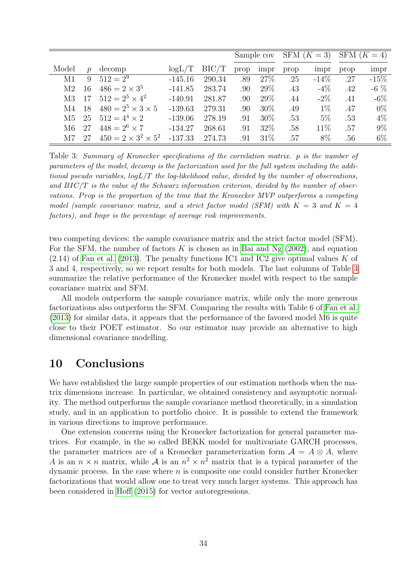|                |               |                                 |           |        | Sample cov |             | $\overline{\text{SFM}}$ $(K=3)$ |         | SFM $(K=4)$ |         |
|----------------|---------------|---------------------------------|-----------|--------|------------|-------------|---------------------------------|---------|-------------|---------|
| Model          | $\mathcal{D}$ | decomp                          | logL/T    | BIC/T  | prop       | <i>impr</i> | prop                            | impr    | prop        | impr    |
| M1             | 9             | $512 = 2^9$                     | $-145.16$ | 290.34 | .89        | 27\%        | .25                             | $-14\%$ | .27         | $-15\%$ |
| M <sub>2</sub> | 16            | $486 = 2 \times 3^5$            | $-141.85$ | 283.74 | .90        | 29\%        | .43                             | $-4\%$  | .42         | $-6\%$  |
| M3             | 17            | $512 = 2^5 \times 4^2$          | $-140.91$ | 281.87 | .90        | 29\%        | .44                             | $-2\%$  | .41         | $-6\%$  |
| M4             | 18            | $480 = 2^5 \times 3 \times 5$   | $-139.63$ | 279.31 | .90        | 30\%        | .49                             | $1\%$   | .47         | $0\%$   |
| M5             | 25            | $512 = 4^4 \times 2$            | $-139.06$ | 278.19 | .91        | $30\%$      | .53                             | $5\%$   | .53         | $4\%$   |
| M6             | 27            | $448 = 2^6 \times 7$            | $-134.27$ | 268.61 | .91        | 32\%        | .58                             | 11\%    | .57         | $9\%$   |
| M7             | 27            | $450 = 2 \times 3^2 \times 5^2$ | $-137.33$ | 274.73 | .91        | 31\%        | .57                             | 8%      | .56         | $6\%$   |

<span id="page-35-1"></span>Table 3: Summary of Kronecker specifications of the correlation matrix. p is the number of parameters of the model, decomp is the factorization used for the full system including the additional pseudo variables,  $logL/T$  the log-likelihood value, divided by the number of observations, and  $BIC/T$  is the value of the Schwarz information criterion, divided by the number of observations. Prop is the proportion of the time that the Kronecker MVP outperforms a competing model (sample covariance matrix, and a strict factor model (SFM) with  $K = 3$  and  $K = 4$ factors), and Impr is the percentage of average risk improvements.

two competing devices: the sample covariance matrix and the strict factor model (SFM). For the SFM, the number of factors  $K$  is chosen as in [Bai and Ng](#page-69-14)  $(2002)$ , and equation  $(2.14)$  of [Fan et al.](#page-70-0) [\(2013\)](#page-70-0). The penalty functions IC1 and IC2 give optimal values K of 3 and 4, respectively, so we report results for both models. The last columns of Table [3](#page-35-1) summarize the relative performance of the Kronecker model with respect to the sample covariance matrix and SFM.

All models outperform the sample covariance matrix, while only the more generous factorizations also outperform the SFM. Comparing the results with Table 6 of [Fan et al.](#page-70-0) [\(2013\)](#page-70-0) for similar data, it appears that the performance of the favored model M6 is quite close to their POET estimator. So our estimator may provide an alternative to high dimensional covariance modelling.

### <span id="page-35-0"></span>10 Conclusions

We have established the large sample properties of our estimation methods when the matrix dimensions increase. In particular, we obtained consistency and asymptotic normality. The method outperforms the sample covariance method theoretically, in a simulation study, and in an application to portfolio choice. It is possible to extend the framework in various directions to improve performance.

One extension concerns using the Kronecker factorization for general parameter matrices. For example, in the so called BEKK model for multivariate GARCH processes, the parameter matrices are of a Kronecker parameterization form  $\mathcal{A} = A \otimes A$ , where A is an  $n \times n$  matrix, while A is an  $n^2 \times n^2$  matrix that is a typical parameter of the dynamic process. In the case where  $n$  is composite one could consider further Kronecker factorizations that would allow one to treat very much larger systems. This approach has been considered in [Hoff](#page-70-7) [\(2015\)](#page-70-7) for vector autoregressions.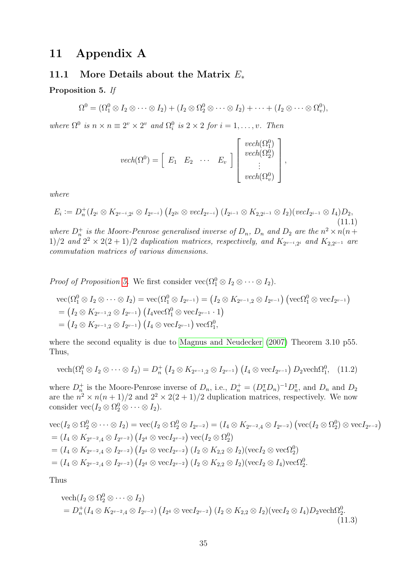# 11 Appendix A

#### 11.1 More Details about the Matrix  $E_*$

<span id="page-36-0"></span>Proposition 5. If

 $\Omega^0 = (\Omega_1^0 \otimes I_2 \otimes \cdots \otimes I_2) + (I_2 \otimes \Omega_2^0 \otimes \cdots \otimes I_2) + \cdots + (I_2 \otimes \cdots \otimes \Omega_v^0),$ 

where  $\Omega^0$  is  $n \times n \equiv 2^v \times 2^v$  and  $\Omega_i^0$  is  $2 \times 2$  for  $i = 1, \ldots, v$ . Then

$$
vech(\Omega^0) = \begin{bmatrix} E_1 & E_2 & \cdots & E_v \end{bmatrix} \begin{bmatrix} vech(\Omega_1^0) \\ vech(\Omega_2^0) \\ \vdots \\ vech(\Omega_v^0) \end{bmatrix},
$$

where

$$
E_i := D_n^+(I_{2^i} \otimes K_{2^{v-i},2^i} \otimes I_{2^{v-i}}) (I_{2^{2i}} \otimes vecI_{2^{v-i}}) (I_{2^{i-1}} \otimes K_{2,2^{i-1}} \otimes I_2) (vecI_{2^{i-1}} \otimes I_4) D_2,
$$
\n(11.1)

where  $D_n^+$  is the Moore-Penrose generalised inverse of  $D_n$ ,  $D_n$  and  $D_2$  are the  $n^2 \times n(n+1)$ 1)/2 and  $2^2 \times 2(2+1)/2$  duplication matrices, respectively, and  $K_{2^{v-i},2^i}$  and  $K_{2,2^{i-1}}$  are commutation matrices of various dimensions.

*Proof of Proposition [5.](#page-36-0)* We first consider  $\text{vec}(\Omega_1^0 \otimes I_2 \otimes \cdots \otimes I_2)$ .

$$
\begin{array}{l} \operatorname{vec}(\Omega_1^0\otimes I_2\otimes \cdots \otimes I_2)=\operatorname{vec}(\Omega_1^0\otimes I_{2^{v-1}})=\left(I_2\otimes K_{2^{v-1},2}\otimes I_{2^{v-1}}\right)\left(\operatorname{vec}\Omega_1^0\otimes \operatorname{vec} I_{2^{v-1}}\right)\\qquad \qquad =\left(I_2\otimes K_{2^{v-1},2}\otimes I_{2^{v-1}}\right)\left(I_4\operatorname{vec}\Omega_1^0\otimes \operatorname{vec} I_{2^{v-1}}\cdot 1\right)\\qquad \qquad =\left(I_2\otimes K_{2^{v-1},2}\otimes I_{2^{v-1}}\right)\left(I_4\otimes \operatorname{vec} I_{2^{v-1}}\right)\operatorname{vec}\Omega_1^0, \end{array}
$$

where the second equality is due to [Magnus and Neudecker](#page-71-0) [\(2007\)](#page-71-0) Theorem 3.10 p55. Thus,

<span id="page-36-1"></span>
$$
\text{vech}(\Omega_1^0 \otimes I_2 \otimes \cdots \otimes I_2) = D_n^+ \left( I_2 \otimes K_{2^{v-1},2} \otimes I_{2^{v-1}} \right) \left( I_4 \otimes \text{vec} I_{2^{v-1}} \right) D_2 \text{vech} \Omega_1^0, \quad (11.2)
$$

where  $D_n^+$  is the Moore-Penrose inverse of  $D_n$ , i.e.,  $D_n^+ = (D_n^{\dagger} D_n)^{-1} D_n^{\dagger}$ , and  $D_n$  and  $D_2$ are the  $n^2 \times n(n+1)/2$  and  $2^2 \times 2(2+1)/2$  duplication matrices, respectively. We now consider  $\text{vec}(I_2 \otimes \Omega_2^0 \otimes \cdots \otimes I_2).$ 

$$
\begin{aligned}\n\text{vec}(I_2 \otimes \Omega_2^0 \otimes \cdots \otimes I_2) &= \text{vec}(I_2 \otimes \Omega_2^0 \otimes I_{2^{v-2}}) = (I_4 \otimes K_{2^{v-2},4} \otimes I_{2^{v-2}}) \left(\text{vec}(I_2 \otimes \Omega_2^0) \otimes \text{vec}I_{2^{v-2}}\right) \\
&= (I_4 \otimes K_{2^{v-2},4} \otimes I_{2^{v-2}}) \left(I_{2^4} \otimes \text{vec}I_{2^{v-2}}\right) \text{vec}(I_2 \otimes \Omega_2^0) \\
&= (I_4 \otimes K_{2^{v-2},4} \otimes I_{2^{v-2}}) \left(I_{2^4} \otimes \text{vec}I_{2^{v-2}}\right) (I_2 \otimes K_{2,2} \otimes I_2) (\text{vec}I_2 \otimes \text{vec}\Omega_2^0) \\
&= (I_4 \otimes K_{2^{v-2},4} \otimes I_{2^{v-2}}) \left(I_{2^4} \otimes \text{vec}I_{2^{v-2}}\right) (I_2 \otimes K_{2,2} \otimes I_2) (\text{vec}I_2 \otimes I_4) \text{vec}\Omega_2^0.\n\end{aligned}
$$

Thus

<span id="page-36-2"></span>
$$
\text{vech}(I_2 \otimes \Omega_2^0 \otimes \cdots \otimes I_2)
$$
\n
$$
= D_n^+(I_4 \otimes K_{2^{v-2},4} \otimes I_{2^{v-2}}) (I_{2^4} \otimes \text{vec}I_{2^{v-2}}) (I_2 \otimes K_{2,2} \otimes I_2) (\text{vec}I_2 \otimes I_4) D_2 \text{vec}I_{2^0}^0.
$$
\n(11.3)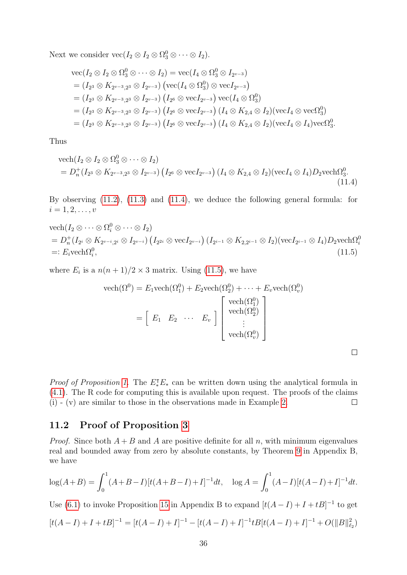Next we consider  $\text{vec}(I_2 \otimes I_2 \otimes \Omega_3^0 \otimes \cdots \otimes I_2).$ 

$$
\begin{aligned} &\text{vec}(I_2 \otimes I_2 \otimes \Omega_3^0 \otimes \cdots \otimes I_2) = \text{vec}(I_4 \otimes \Omega_3^0 \otimes I_{2^{v-3}}) \\ &= (I_{2^3} \otimes K_{2^{v-3},2^3} \otimes I_{2^{v-3}}) \left( \text{vec}(I_4 \otimes \Omega_3^0) \otimes \text{vec}I_{2^{v-3}} \right) \\ &= (I_{2^3} \otimes K_{2^{v-3},2^3} \otimes I_{2^{v-3}}) \left( I_{2^6} \otimes \text{vec}I_{2^{v-3}} \right) \text{vec}(I_4 \otimes \Omega_3^0) \\ &= (I_{2^3} \otimes K_{2^{v-3},2^3} \otimes I_{2^{v-3}}) \left( I_{2^6} \otimes \text{vec}I_{2^{v-3}} \right) (I_4 \otimes K_{2,4} \otimes I_2) (\text{vec}I_4 \otimes \text{vec}\Omega_3^0) \\ &= (I_{2^3} \otimes K_{2^{v-3},2^3} \otimes I_{2^{v-3}}) \left( I_{2^6} \otimes \text{vec}I_{2^{v-3}} \right) (I_4 \otimes K_{2,4} \otimes I_2) (\text{vec}I_4 \otimes I_4) \text{vec}\Omega_3^0. \end{aligned}
$$

Thus

vech
$$
(I_2 \otimes I_2 \otimes \Omega_3^0 \otimes \cdots \otimes I_2)
$$
  
=  $D_n^+(I_{2^3} \otimes K_{2^{\nu-3},2^3} \otimes I_{2^{\nu-3}}) (I_{2^6} \otimes \text{vec} I_{2^{\nu-3}}) (I_4 \otimes K_{2,4} \otimes I_2) (\text{vec} I_4 \otimes I_4) D_2 \text{vech} \Omega_3^0.$  (11.4)

By observing [\(11.2\)](#page-36-1), [\(11.3\)](#page-36-2) and [\(11.4\)](#page-37-0), we deduce the following general formula: for  $i = 1, 2, \ldots, v$ 

$$
\begin{aligned}\n\text{vech}(I_2 \otimes \cdots \otimes \Omega_i^0 \otimes \cdots \otimes I_2) \\
&= D_n^+(I_{2^i} \otimes K_{2^{v-i},2^i} \otimes I_{2^{v-i}}) \left( I_{2^{2i}} \otimes \text{vec} I_{2^{v-i}} \right) (I_{2^{i-1}} \otimes K_{2,2^{i-1}} \otimes I_2) (\text{vec} I_{2^{i-1}} \otimes I_4) D_2 \text{vech} \Omega_i^0 \\
&=: E_i \text{vech} \Omega_i^0,\n\end{aligned} \tag{11.5}
$$

where  $E_i$  is a  $n(n+1)/2 \times 3$  matrix. Using [\(11.5\)](#page-37-1), we have

$$
\text{vech}(\Omega^0) = E_1 \text{vech}(\Omega_1^0) + E_2 \text{vech}(\Omega_2^0) + \dots + E_v \text{vech}(\Omega_v^0)
$$

$$
= \begin{bmatrix} E_1 & E_2 & \cdots & E_v \end{bmatrix} \begin{bmatrix} \text{vech}(\Omega_1^0) \\ \text{vech}(\Omega_2^0) \\ \vdots \\ \text{vech}(\Omega_v^0) \end{bmatrix}
$$

<span id="page-37-1"></span><span id="page-37-0"></span>

*Proof of Proposition [1.](#page-15-0)* The  $E^{\intercal}_{*}E_{*}$  can be written down using the analytical formula in [\(4.1\)](#page-13-0). The R code for computing this is available upon request. The proofs of the claims (i) - (v) are similar to those in the observations made in Example [2.](#page-13-1)  $\Box$ 

#### 11.2 Proof of Proposition [3](#page-21-0)

*Proof.* Since both  $A + B$  and A are positive definite for all n, with minimum eigenvalues real and bounded away from zero by absolute constants, by Theorem [9](#page-65-0) in Appendix B, we have

$$
\log(A+B) = \int_0^1 (A+B-I)[t(A+B-I)+I]^{-1}dt, \quad \log A = \int_0^1 (A-I)[t(A-I)+I]^{-1}dt.
$$

Use [\(6.1\)](#page-21-1) to invoke Proposition [15](#page-65-1) in Appendix B to expand  $[t(A-I) + I + tB]^{-1}$  to get  $[t(A-I) + I + tB]^{-1} = [t(A-I) + I]^{-1} - [t(A-I) + I]^{-1}tB[t(A-I) + I]^{-1} + O(||B||_{\ell_2}^2)$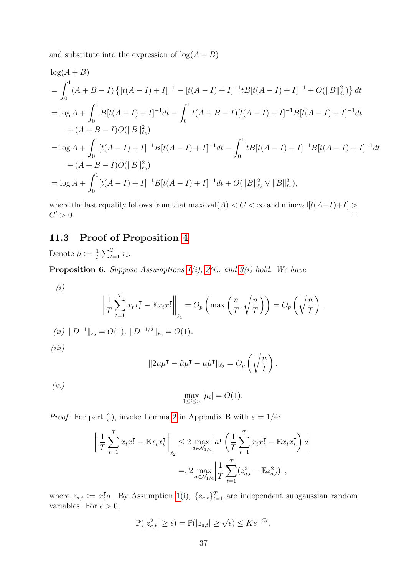and substitute into the expression of  $log(A + B)$ 

$$
\begin{split}\n&\log(A+B) \\
&= \int_0^1 (A+B-I) \left\{ [t(A-I) + I]^{-1} - [t(A-I) + I]^{-1} t B[t(A-I) + I]^{-1} + O(\|B\|_{\ell_2}^2) \right\} dt \\
&= \log A + \int_0^1 B[t(A-I) + I]^{-1} dt - \int_0^1 t(A+B-I)[t(A-I) + I]^{-1} B[t(A-I) + I]^{-1} dt \\
&+ (A+B-I)O(\|B\|_{\ell_2}^2)\n\end{split}
$$
\n
$$
= \log A + \int_0^1 [t(A-I) + I]^{-1} B[t(A-I) + I]^{-1} dt - \int_0^1 t B[t(A-I) + I]^{-1} B[t(A-I) + I]^{-1} dt \\
+ (A+B-I)O(\|B\|_{\ell_2}^2)\n\end{split}
$$

where the last equality follows from that maxeval(A) <  $C < \infty$  and mineval[ $t(A-I)+I$ ] >  $C' > 0.$  $\Box$ 

# 11.3 Proof of Proposition [4](#page-23-0)

Denote  $\hat{\mu} := \frac{1}{7}$  $\frac{1}{T} \sum_{t=1}^T x_t.$ 

<span id="page-38-0"></span>**Proposition 6.** Suppose Assumptions  $1(i)$ ,  $2(i)$ , and  $3(i)$  hold. We have

(i)  
\n
$$
\left\| \frac{1}{T} \sum_{t=1}^{T} x_t x_t^{\mathsf{T}} - \mathbb{E} x_t x_t^{\mathsf{T}} \right\|_{\ell_2} = O_p\left(\max\left(\frac{n}{T}, \sqrt{\frac{n}{T}}\right)\right) = O_p\left(\sqrt{\frac{n}{T}}\right).
$$
\n(ii)  
\n(iii)  
\n
$$
\|D^{-1}\|_{\ell_2} = O(1), \|D^{-1/2}\|_{\ell_2} = O(1).
$$
\n(iii)  
\n
$$
\|2\mu \mu^{\mathsf{T}} - \hat{\mu} \mu^{\mathsf{T}} - \mu \hat{\mu}^{\mathsf{T}}\|_{\ell_2} = O_p\left(\sqrt{\frac{n}{T}}\right).
$$

$$
||2\mu\mu^{\mathsf{T}} - \hat{\mu}\mu^{\mathsf{T}} - \mu\hat{\mu}^{\mathsf{T}}||_{\ell_2} = O_p\left(\sqrt{\frac{n}{T}}\right)
$$

 $(iv)$ 

$$
\max_{1 \le i \le n} |\mu_i| = O(1).
$$

*Proof.* For part (i), invoke Lemma [2](#page-66-0) in Appendix B with  $\varepsilon = 1/4$ :

$$
\left\| \frac{1}{T} \sum_{t=1}^{T} x_t x_t^{\mathsf{T}} - \mathbb{E} x_t x_t^{\mathsf{T}} \right\|_{\ell_2} \le 2 \max_{a \in \mathcal{N}_{1/4}} \left| a^{\mathsf{T}} \left( \frac{1}{T} \sum_{t=1}^{T} x_t x_t^{\mathsf{T}} - \mathbb{E} x_t x_t^{\mathsf{T}} \right) a \right|
$$
  
=: 
$$
2 \max_{a \in \mathcal{N}_{1/4}} \left| \frac{1}{T} \sum_{t=1}^{T} (z_{a,t}^2 - \mathbb{E} z_{a,t}^2) \right|,
$$

where  $z_{a,t} := x_t^{\dagger} a$ . By Assumption [1\(](#page-22-0)i),  $\{z_{a,t}\}_{t=1}^T$  are independent subgaussian random variables. For  $\epsilon > 0$ ,

$$
\mathbb{P}(|z_{a,t}^2| \geq \epsilon) = \mathbb{P}(|z_{a,t}| \geq \sqrt{\epsilon}) \leq Ke^{-C\epsilon}.
$$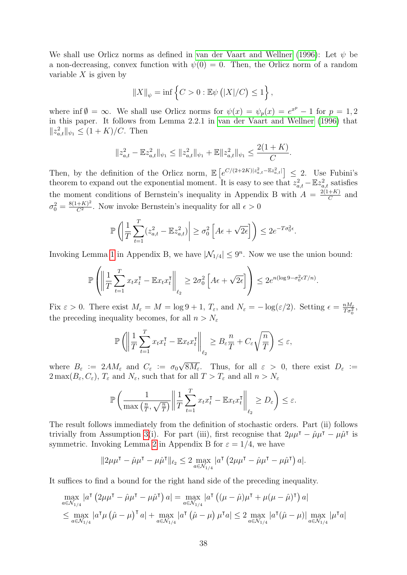We shall use Orlicz norms as defined in [van der Vaart and Wellner](#page-72-0) [\(1996\)](#page-72-0): Let  $\psi$  be a non-decreasing, convex function with  $\psi(0) = 0$ . Then, the Orlicz norm of a random variable  $X$  is given by

$$
||X||_{\psi} = \inf \left\{ C > 0 : \mathbb{E}\psi(|X|/C) \le 1 \right\},\
$$

where inf  $\emptyset = \infty$ . We shall use Orlicz norms for  $\psi(x) = \psi_p(x) = e^{x^p} - 1$  for  $p = 1, 2$ in this paper. It follows from Lemma 2.2.1 in [van der Vaart and Wellner](#page-72-0) [\(1996\)](#page-72-0) that  $||z_{a,t}^2||_{\psi_1} \leq (1+K)/C$ . Then

$$
||z_{a,t}^2 - \mathbb{E}z_{a,t}^2||_{\psi_1} \le ||z_{a,t}^2||_{\psi_1} + \mathbb{E}||z_{a,t}^2||_{\psi_1} \le \frac{2(1+K)}{C}.
$$

Then, by the definition of the Orlicz norm,  $\mathbb{E}\left[e^{C/(2+2K)|z_{a,t}^2-\mathbb{E}z_{a,t}^2|}\right] \leq 2$ . Use Fubini's theorem to expand out the exponential moment. It is easy to see that  $z_{a,t}^2 - \mathbb{E}z_{a,t}^2$  satisfies the moment conditions of Bernstein's inequality in Appendix B with  $A = \frac{2(1+K)}{C}$  $\frac{1+K}{C}$  and  $\sigma_0^2 = \frac{8(1+K)^2}{C^2}$  $\frac{+K}{C^2}$ . Now invoke Bernstein's inequality for all  $\epsilon > 0$ 

$$
\mathbb{P}\left(\left|\frac{1}{T}\sum_{t=1}^T (z_{a,t}^2 - \mathbb{E}z_{a,t}^2)\right| \ge \sigma_0^2 \left[A\epsilon + \sqrt{2\epsilon}\right]\right) \le 2e^{-T\sigma_0^2\epsilon}.
$$

Invoking Lemma [1](#page-66-1) in Appendix B, we have  $|\mathcal{N}_{1/4}| \leq 9^n$ . Now we use the union bound:

$$
\mathbb{P}\left(\left\|\frac{1}{T}\sum_{t=1}^T x_t x_t^{\intercal} - \mathbb{E} x_t x_t^{\intercal}\right\|_{\ell_2} \ge 2\sigma_0^2 \left[A\epsilon + \sqrt{2\epsilon}\right]\right) \le 2e^{n(\log 9 - \sigma_0^2 \epsilon T/n)}.
$$

Fix  $\varepsilon > 0$ . There exist  $M_{\varepsilon} = M = \log 9 + 1$ ,  $T_{\varepsilon}$ , and  $N_{\varepsilon} = -\log(\varepsilon/2)$ . Setting  $\epsilon = \frac{nM_{\varepsilon}}{T\sigma_0^2}$ , the preceding inequality becomes, for all  $n > N_{\epsilon}$ 

$$
\mathbb{P}\left(\left\|\frac{1}{T}\sum_{t=1}^T x_t x_t^{\mathsf{T}} - \mathbb{E} x_t x_t^{\mathsf{T}}\right\|_{\ell_2} \ge B_{\varepsilon} \frac{n}{T} + C_{\varepsilon} \sqrt{\frac{n}{T}}\right) \le \varepsilon,
$$

where  $B_{\varepsilon} := 2AM_{\varepsilon}$  and  $C_{\varepsilon} := \sigma_0$ √  $\overline{8M_{\varepsilon}}$ . Thus, for all  $\varepsilon > 0$ , there exist  $D_{\varepsilon} :=$  $2 \max(B_\varepsilon, C_\varepsilon)$ ,  $T_\varepsilon$  and  $N_\varepsilon$ , such that for all  $T > T_\varepsilon$  and all  $n > N_\varepsilon$ 

$$
\mathbb{P}\left(\frac{1}{\max\left(\frac{n}{T},\sqrt{\frac{n}{T}}\right)}\left\|\frac{1}{T}\sum_{t=1}^T x_t x_t^{\mathsf{T}} - \mathbb{E} x_t x_t^{\mathsf{T}}\right\|_{\ell_2} \ge D_{\varepsilon}\right) \le \varepsilon.
$$

The result follows immediately from the definition of stochastic orders. Part (ii) follows trivially from Assumption [3\(](#page-22-2)i). For part (iii), first recognise that  $2\mu\mu^{\dagger} - \hat{\mu}\mu^{\dagger} - \mu\hat{\mu}^{\dagger}$  is symmetric. Invoking Lemma [2](#page-66-0) in Appendix B for  $\varepsilon = 1/4$ , we have

$$
||2\mu\mu^{\mathsf{T}} - \hat{\mu}\mu^{\mathsf{T}} - \mu\hat{\mu}^{\mathsf{T}}||_{\ell_2} \leq 2 \max_{a \in \mathcal{N}_{1/4}} |a^{\mathsf{T}} (2\mu\mu^{\mathsf{T}} - \hat{\mu}\mu^{\mathsf{T}} - \mu\hat{\mu}^{\mathsf{T}}) a|.
$$

It suffices to find a bound for the right hand side of the preceding inequality.

$$
\max_{a \in \mathcal{N}_{1/4}} |a^{\mathsf{T}} (2\mu\mu^{\mathsf{T}} - \hat{\mu}\mu^{\mathsf{T}} - \mu\hat{\mu}^{\mathsf{T}}) a| = \max_{a \in \mathcal{N}_{1/4}} |a^{\mathsf{T}} ((\mu - \hat{\mu})\mu^{\mathsf{T}} + \mu(\mu - \hat{\mu})^{\mathsf{T}}) a|
$$
  
\n
$$
\leq \max_{a \in \mathcal{N}_{1/4}} |a^{\mathsf{T}} \mu(\hat{\mu} - \mu)^{\mathsf{T}} a| + \max_{a \in \mathcal{N}_{1/4}} |a^{\mathsf{T}} (\hat{\mu} - \mu) \mu^{\mathsf{T}} a| \leq 2 \max_{a \in \mathcal{N}_{1/4}} |a^{\mathsf{T}} (\hat{\mu} - \mu)| \max_{a \in \mathcal{N}_{1/4}} |\mu^{\mathsf{T}} a|
$$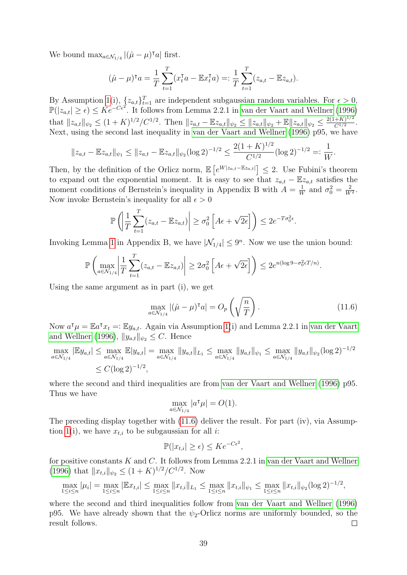We bound  $\max_{a \in \mathcal{N}_{1/4}} |(\hat{\mu} - \mu)^{\dagger} a|$  first.

$$
(\hat{\mu} - \mu)^{\mathsf{T}} a = \frac{1}{T} \sum_{t=1}^{T} (x_t^{\mathsf{T}} a - \mathbb{E} x_t^{\mathsf{T}} a) =: \frac{1}{T} \sum_{t=1}^{T} (z_{a,t} - \mathbb{E} z_{a,t}).
$$

By Assumption [1\(](#page-22-0)i),  $\{z_{a,t}\}_{t=1}^T$  are independent subgaussian random variables. For  $\epsilon > 0$ ,  $\mathbb{P}(|z_{a,t}| \geq \epsilon) \leq Ke^{-C\epsilon^2}$ . It follows from Lemma 2.2.1 in [van der Vaart and Wellner](#page-72-0) [\(1996\)](#page-72-0) that  $||z_{a,t}||_{\psi_2} \leq (1+K)^{1/2}/C^{1/2}$ . Then  $||z_{a,t} - \mathbb{E}z_{a,t}||_{\psi_2} \leq ||z_{a,t}||_{\psi_2} + \mathbb{E}||z_{a,t}||_{\psi_2} \leq \frac{2(1+K)^{1/2}}{C^{1/2}}$  $\frac{(+K)^{1/2}}{C^{1/2}}$ . Next, using the second last inequality in [van der Vaart and Wellner](#page-72-0) [\(1996\)](#page-72-0) p95, we have

$$
||z_{a,t} - \mathbb{E}z_{a,t}||_{\psi_1} \le ||z_{a,t} - \mathbb{E}z_{a,t}||_{\psi_2} (\log 2)^{-1/2} \le \frac{2(1+K)^{1/2}}{C^{1/2}} (\log 2)^{-1/2} =: \frac{1}{W}
$$

Then, by the definition of the Orlicz norm,  $\mathbb{E}\left[e^{W|z_{a,t}-\mathbb{E}z_{a,t}|}\right] \leq 2$ . Use Fubini's theorem to expand out the exponential moment. It is easy to see that  $z_{a,t} - \mathbb{E}z_{a,t}$  satisfies the moment conditions of Bernstein's inequality in Appendix B with  $A = \frac{1}{W}$  $\frac{1}{W}$  and  $\sigma_0^2 = \frac{2}{W}$  $\frac{2}{W^2}$ . Now invoke Bernstein's inequality for all  $\epsilon > 0$ 

$$
\mathbb{P}\left(\left|\frac{1}{T}\sum_{t=1}^T(z_{a,t}-\mathbb{E}z_{a,t})\right|\geq \sigma_0^2\left[A\epsilon+\sqrt{2\epsilon}\right]\right)\leq 2e^{-T\sigma_0^2\epsilon}.
$$

Invoking Lemma [1](#page-66-1) in Appendix B, we have  $|\mathcal{N}_{1/4}| \leq 9^n$ . Now we use the union bound:

$$
\mathbb{P}\left(\max_{a\in\mathcal{N}_{1/4}}\left|\frac{1}{T}\sum_{t=1}^T(z_{a,t}-\mathbb{E}z_{a,t})\right|\geq 2\sigma_0^2\left[A\epsilon+\sqrt{2\epsilon}\right]\right)\leq 2e^{n(\log 9-\sigma_0^2\epsilon T/n)}.
$$

Using the same argument as in part (i), we get

<span id="page-40-0"></span>
$$
\max_{a \in \mathcal{N}_{1/4}} |(\hat{\mu} - \mu)^{\mathsf{T}} a| = O_p\left(\sqrt{\frac{n}{T}}\right). \tag{11.6}
$$

.

Now  $a^{\dagger} \mu = \mathbb{E} a^{\dagger} x_t =: \mathbb{E} y_{a,t}$ . Again via Assumption [1\(](#page-22-0)i) and Lemma 2.2.1 in [van der Vaart](#page-72-0) [and Wellner](#page-72-0) [\(1996\)](#page-72-0),  $||y_{a,t}||_{\psi_2} \leq C$ . Hence

$$
\max_{a \in \mathcal{N}_{1/4}} |\mathbb{E} y_{a,t}| \le \max_{a \in \mathcal{N}_{1/4}} \mathbb{E} |y_{a,t}| = \max_{a \in \mathcal{N}_{1/4}} \|y_{a,t}\|_{L_1} \le \max_{a \in \mathcal{N}_{1/4}} \|y_{a,t}\|_{\psi_1} \le \max_{a \in \mathcal{N}_{1/4}} \|y_{a,t}\|_{\psi_2} (\log 2)^{-1/2}
$$
  

$$
\le C (\log 2)^{-1/2},
$$

where the second and third inequalities are from [van der Vaart and Wellner](#page-72-0) [\(1996\)](#page-72-0) p95. Thus we have

$$
\max_{a \in \mathcal{N}_{1/4}} |a^{\mathsf{T}} \mu| = O(1).
$$

The preceding display together with [\(11.6\)](#page-40-0) deliver the result. For part (iv), via Assump-tion [1\(](#page-22-0)i), we have  $x_{t,i}$  to be subgaussian for all *i*:

$$
\mathbb{P}(|x_{t,i}| \ge \epsilon) \le K e^{-C\epsilon^2},
$$

for positive constants  $K$  and  $C$ . It follows from Lemma 2.2.1 in [van der Vaart and Wellner](#page-72-0) [\(1996\)](#page-72-0) that  $||x_{t,i}||_{\psi_2} \leq (1+K)^{1/2}/C^{1/2}$ . Now

$$
\max_{1 \le i \le n} |\mu_i| = \max_{1 \le i \le n} |\mathbb{E}x_{t,i}| \le \max_{1 \le i \le n} \|x_{t,i}\|_{L_1} \le \max_{1 \le i \le n} \|x_{t,i}\|_{\psi_1} \le \max_{1 \le i \le n} \|x_{t,i}\|_{\psi_2} (\log 2)^{-1/2},
$$

where the second and third inequalities follow from [van der Vaart and Wellner](#page-72-0) [\(1996\)](#page-72-0) p95. We have already shown that the  $\psi_2$ -Orlicz norms are uniformly bounded, so the result follows.  $\Box$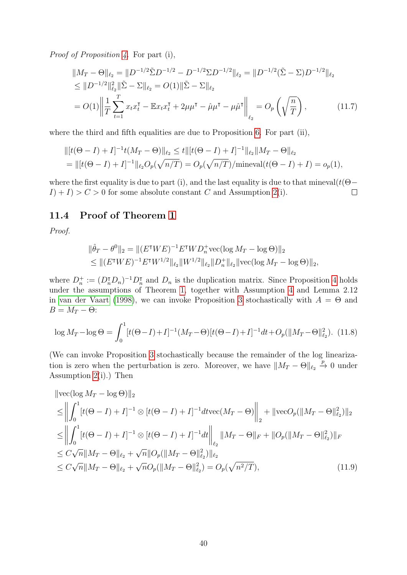Proof of Proposition [4.](#page-23-0) For part (i),

<span id="page-41-1"></span>
$$
\|M_T - \Theta\|_{\ell_2} = \|D^{-1/2}\tilde{\Sigma}D^{-1/2} - D^{-1/2}\Sigma D^{-1/2}\|_{\ell_2} = \|D^{-1/2}(\tilde{\Sigma} - \Sigma)D^{-1/2}\|_{\ell_2}
$$
  
\n
$$
\leq \|D^{-1/2}\|_{\ell_2}^2 \|\tilde{\Sigma} - \Sigma\|_{\ell_2} = O(1)\|\tilde{\Sigma} - \Sigma\|_{\ell_2}
$$
  
\n
$$
= O(1) \left\|\frac{1}{T}\sum_{t=1}^T x_t x_t^{\mathsf{T}} - \mathbb{E}x_t x_t^{\mathsf{T}} + 2\mu \mu^{\mathsf{T}} - \hat{\mu}\mu^{\mathsf{T}} - \mu \hat{\mu}^{\mathsf{T}}\right\|_{\ell_2} = O_p\left(\sqrt{\frac{n}{T}}\right),
$$
 (11.7)

where the third and fifth equalities are due to Proposition [6.](#page-38-0) For part (ii),

$$
\begin{aligned} &\| [t(\Theta - I) + I]^{-1} t(M_T - \Theta) \|_{\ell_2} \le t \| [t(\Theta - I) + I]^{-1} \|_{\ell_2} \| M_T - \Theta \|_{\ell_2} \\ &= \| [t(\Theta - I) + I]^{-1} \|_{\ell_2} O_p(\sqrt{n/T}) = O_p(\sqrt{n/T}) / \text{mineval}(t(\Theta - I) + I) = o_p(1), \end{aligned}
$$

where the first equality is due to part (i), and the last equality is due to that mineval( $t(\Theta I$  + I) > C > 0 for some absolute constant C and Assumption [2\(](#page-22-1)i).  $\Box$ 

### 11.4 Proof of Theorem [1](#page-23-1)

Proof.

$$
\|\hat{\theta}_T - \theta^0\|_2 = \| (E^{\mathsf{T}}WE)^{-1}E^{\mathsf{T}}WD_n^+\text{vec}(\log M_T - \log \Theta) \|_2
$$
  
\$\leq\$ 
$$
\|(E^{\mathsf{T}}WE)^{-1}E^{\mathsf{T}}W^{1/2}\|_{\ell_2} \|W^{1/2}\|_{\ell_2} \|D_n^+\|_{\ell_2} \|\text{vec}(\log M_T - \log \Theta)\|_2,
$$

where  $D_n^+ := (D_n^{\dagger} D_n)^{-1} D_n^{\dagger}$  and  $D_n$  is the duplication matrix. Since Proposition [4](#page-23-0) holds under the assumptions of Theorem [1,](#page-23-1) together with Assumption [4](#page-23-2) and Lemma 2.12 in [van der Vaart](#page-72-1) [\(1998\)](#page-72-1), we can invoke Proposition [3](#page-21-0) stochastically with  $A = \Theta$  and  $B = M_T - \Theta$ :

<span id="page-41-0"></span>
$$
\log M_T - \log \Theta = \int_0^1 [t(\Theta - I) + I]^{-1} (M_T - \Theta) [t(\Theta - I) + I]^{-1} dt + O_p(||M_T - \Theta||_{\ell_2}^2). \tag{11.8}
$$

(We can invoke Proposition [3](#page-21-0) stochastically because the remainder of the log linearization is zero when the perturbation is zero. Moreover, we have  $||M_T - \Theta||_{\ell_2} \stackrel{p}{\to} 0$  under Assumption  $2(i)$ .) Then

$$
\|\text{vec}(\log M_T - \log \Theta)\|_2
$$
\n
$$
\leq \left\| \int_0^1 [t(\Theta - I) + I]^{-1} \otimes [t(\Theta - I) + I]^{-1} dt \text{vec}(M_T - \Theta) \right\|_2 + \|\text{vec}O_p(\|M_T - \Theta\|_{\ell_2}^2) \|_2
$$
\n
$$
\leq \left\| \int_0^1 [t(\Theta - I) + I]^{-1} \otimes [t(\Theta - I) + I]^{-1} dt \right\|_{\ell_2} \|M_T - \Theta\|_F + \|O_p(\|M_T - \Theta\|_{\ell_2}^2) \|_F
$$
\n
$$
\leq C\sqrt{n} \|M_T - \Theta\|_{\ell_2} + \sqrt{n} \|O_p(\|M_T - \Theta\|_{\ell_2}^2) \|_{\ell_2}
$$
\n
$$
\leq C\sqrt{n} \|M_T - \Theta\|_{\ell_2} + \sqrt{n} O_p(\|M_T - \Theta\|_{\ell_2}^2) = O_p(\sqrt{n^2/T}), \tag{11.9}
$$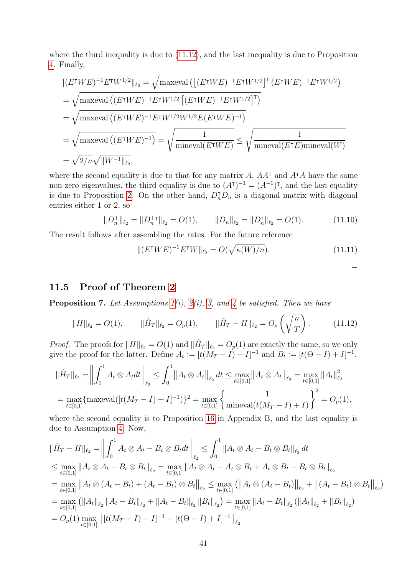where the third inequality is due to [\(11.12\)](#page-42-0), and the last inequality is due to Proposition [4.](#page-23-0) Finally,

$$
||(E^{\mathsf{T}}WE)^{-1}E^{\mathsf{T}}W^{1/2}||_{\ell_2} = \sqrt{\max \text{eval}\left(\left[(E^{\mathsf{T}}WE)^{-1}E^{\mathsf{T}}W^{1/2}\right]^{\mathsf{T}}(E^{\mathsf{T}}WE)^{-1}E^{\mathsf{T}}W^{1/2}\right)}
$$
  
=  $\sqrt{\max \text{eval}\left((E^{\mathsf{T}}WE)^{-1}E^{\mathsf{T}}W^{1/2}\left[(E^{\mathsf{T}}WE)^{-1}E^{\mathsf{T}}W^{1/2}\right]^{\mathsf{T}}\right)}$   
=  $\sqrt{\max \text{eval}\left((E^{\mathsf{T}}WE)^{-1}E^{\mathsf{T}}W^{1/2}W^{1/2}E(E^{\mathsf{T}}WE)^{-1}\right)}$   
=  $\sqrt{\max \text{eval}\left((E^{\mathsf{T}}WE)^{-1}\right)} = \sqrt{\frac{1}{\min \text{eval}(E^{\mathsf{T}}WE)}} \le \sqrt{\frac{1}{\min \text{eval}(E^{\mathsf{T}}E)\min \text{eval}(W)}}$   
=  $\sqrt{2/n}\sqrt{||W^{-1}||_{\ell_2}},$ 

where the second equality is due to that for any matrix  $A$ ,  $AA^{\dagger}$  and  $A^{\dagger}A$  have the same non-zero eigenvalues, the third equality is due to  $(A^{\dagger})^{-1} = (A^{-1})^{\dagger}$ , and the last equality is due to Proposition [2.](#page-16-0) On the other hand,  $D_n^T D_n$  is a diagonal matrix with diagonal entries either 1 or 2, so

<span id="page-42-2"></span>
$$
||D_n^+||_{\ell_2} = ||D_n^+||_{\ell_2} = O(1), \qquad ||D_n||_{\ell_2} = ||D_n^+||_{\ell_2} = O(1). \tag{11.10}
$$

The result follows after assembling the rates. For the future reference

<span id="page-42-1"></span>
$$
\| (E^{\mathsf{T}}WE)^{-1}E^{\mathsf{T}}W \|_{\ell_2} = O(\sqrt{\kappa(W)/n}).\tag{11.11}
$$

### 11.5 Proof of Theorem [2](#page-25-0)

<span id="page-42-3"></span>**Proposition 7.** Let Assumptions  $1(i)$ ,  $2(i)$ , [3,](#page-22-2) and [4](#page-23-2) be satisfied. Then we have

<span id="page-42-0"></span>
$$
||H||_{\ell_2} = O(1), \qquad ||\hat{H}_T||_{\ell_2} = O_p(1), \qquad ||\hat{H}_T - H||_{\ell_2} = O_p\left(\sqrt{\frac{n}{T}}\right). \tag{11.12}
$$

*Proof.* The proofs for  $||H||_{\ell_2} = O(1)$  and  $||\hat{H}_T||_{\ell_2} = O_p(1)$  are exactly the same, so we only give the proof for the latter. Define  $A_t := [t(M_T - I) + I]^{-1}$  and  $B_t := [t(\Theta - I) + I]^{-1}$ .

$$
\|\hat{H}_T\|_{\ell_2} = \left\| \int_0^1 A_t \otimes A_t dt \right\|_{\ell_2} \le \int_0^1 \|A_t \otimes A_t\|_{\ell_2} dt \le \max_{t \in [0,1]} \|A_t \otimes A_t\|_{\ell_2} = \max_{t \in [0,1]} \|A_t\|_{\ell_2}^2
$$
  
=  $\max_{t \in [0,1]} \{\max \{ \max \text{eval}([t(M_T - I) + I]^{-1}) \}^2 = \max_{t \in [0,1]} \left\{ \frac{1}{\min \text{eval}(t(M_T - I) + I)} \right\}^2 = O_p(1),$ 

where the second equality is to Proposition [16](#page-67-0) in Appendix B, and the last equality is due to Assumption [4.](#page-23-2) Now,

$$
\|\hat{H}_T - H\|_{\ell_2} = \left\| \int_0^1 A_t \otimes A_t - B_t \otimes B_t dt \right\|_{\ell_2} \leq \int_0^1 \|A_t \otimes A_t - B_t \otimes B_t\|_{\ell_2} dt
$$
  
\n
$$
\leq \max_{t \in [0,1]} \|A_t \otimes A_t - B_t \otimes B_t\|_{\ell_2} = \max_{t \in [0,1]} \|A_t \otimes A_t - A_t \otimes B_t + A_t \otimes B_t - B_t \otimes B_t\|_{\ell_2}
$$
  
\n
$$
= \max_{t \in [0,1]} \|A_t \otimes (A_t - B_t) + (A_t - B_t) \otimes B_t\|_{\ell_2} \leq \max_{t \in [0,1]} (||A_t \otimes (A_t - B_t)||_{\ell_2} + ||(A_t - B_t) \otimes B_t||_{\ell_2})
$$
  
\n
$$
= \max_{t \in [0,1]} (||A_t||_{\ell_2} ||A_t - B_t||_{\ell_2} + ||A_t - B_t||_{\ell_2} ||B_t||_{\ell_2}) = \max_{t \in [0,1]} ||A_t - B_t||_{\ell_2} (||A_t||_{\ell_2} + ||B_t||_{\ell_2})
$$
  
\n
$$
= O_p(1) \max_{t \in [0,1]} ||[t(M_T - I) + I]^{-1} - [t(\Theta - I) + I]^{-1}||_{\ell_2}
$$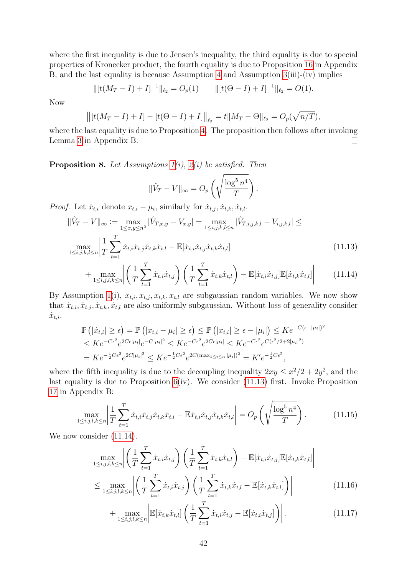where the first inequality is due to Jensen's inequality, the third equality is due to special properties of Kronecker product, the fourth equality is due to Proposition [16](#page-67-0) in Appendix B, and the last equality is because Assumption [4](#page-23-2) and Assumption [3\(](#page-22-2)iii)-(iv) implies

$$
\| [t(M_T - I) + I]^{-1} \|_{\ell_2} = O_p(1) \qquad \| [t(\Theta - I) + I]^{-1} \|_{\ell_2} = O(1).
$$

Now

$$
\left\| [t(M_T - I) + I] - [t(\Theta - I) + I] \right\|_{\ell_2} = t \| M_T - \Theta \right\|_{\ell_2} = O_p(\sqrt{n/T}),
$$

where the last equality is due to Proposition [4.](#page-23-0) The proposition then follows after invoking Lemma [3](#page-66-2) in Appendix B.  $\Box$ 

<span id="page-43-5"></span>**Proposition 8.** Let Assumptions  $1(i)$ ,  $2(i)$  be satisfied. Then

<span id="page-43-1"></span><span id="page-43-0"></span>
$$
\|\hat{V}_T - V\|_{\infty} = O_p\left(\sqrt{\frac{\log^5 n^4}{T}}\right).
$$

*Proof.* Let  $\dot{x}_{t,i}$  denote  $x_{t,i} - \mu_i$ , similarly for  $\dot{x}_{t,j}, \dot{x}_{t,k}, \dot{x}_{t,l}$ .

$$
\|\hat{V}_T - V\|_{\infty} := \max_{1 \le x, y \le n^2} |\hat{V}_{T,x,y} - V_{x,y}| = \max_{1 \le i,j,k,l \le n} |\hat{V}_{T,i,j,k,l} - V_{i,j,k,l}| \le \max_{1 \le i,j,k,l \le n} \left| \frac{1}{T} \sum_{t=1}^T \dot{x}_{t,i} \dot{x}_{t,j} \dot{x}_{t,k} \dot{x}_{t,l} - \mathbb{E}[\dot{x}_{t,i} \dot{x}_{t,j} \dot{x}_{t,k} \dot{x}_{t,l}] \right|
$$
\n(11.13)

$$
+\max_{1\leq i,j,l,k\leq n}\left|\left(\frac{1}{T}\sum_{t=1}^T\dot{x}_{t,i}\dot{x}_{t,j}\right)\left(\frac{1}{T}\sum_{t=1}^T\dot{x}_{t,k}\dot{x}_{t,l}\right)-\mathbb{E}[\dot{x}_{t,i}\dot{x}_{t,j}]\mathbb{E}[\dot{x}_{t,k}\dot{x}_{t,l}]\right| \tag{11.14}
$$

By Assumption [1\(](#page-22-0)i),  $x_{t,i}, x_{t,j}, x_{t,k}, x_{t,l}$  are subgaussian random variables. We now show that  $\dot{x}_{t,i}, \dot{x}_{t,i}, \dot{x}_{t,k}, \dot{x}_{t,l}$  are also uniformly subgaussian. Without loss of generality consider  $x_{t,i}.$ 

$$
\mathbb{P}(|\dot{x}_{t,i}| \geq \epsilon) = \mathbb{P}(|x_{t,i} - \mu_i| \geq \epsilon) \leq \mathbb{P}(|x_{t,i}| \geq \epsilon - |\mu_i|) \leq Ke^{-C(\epsilon - |\mu_i|)^2} \leq Ke^{-C\epsilon^2}e^{2C\epsilon|\mu_i|}e^{-C|\mu_i|^2} \leq Ke^{-C\epsilon^2}e^{2C\epsilon|\mu_i|} \leq Ke^{-C\epsilon^2}e^{C(\epsilon^2/2 + 2|\mu_i|^2)} \n= Ke^{-\frac{1}{2}C\epsilon^2}e^{2C|\mu_i|^2} \leq Ke^{-\frac{1}{2}C\epsilon^2}e^{2C(\max_{1 \leq i \leq n} |\mu_i|)^2} = K'e^{-\frac{1}{2}C\epsilon^2},
$$

where the fifth inequality is due to the decoupling inequality  $2xy \leq x^2/2 + 2y^2$ , and the last equality is due to Proposition  $6(iv)$ . We consider  $(11.13)$  first. Invoke Proposition [17](#page-67-1) in Appendix B:

<span id="page-43-4"></span>
$$
\max_{1 \le i,j,l,k \le n} \left| \frac{1}{T} \sum_{t=1}^T \dot{x}_{t,i} \dot{x}_{t,j} \dot{x}_{t,k} \dot{x}_{t,l} - \mathbb{E} \dot{x}_{t,i} \dot{x}_{t,j} \dot{x}_{t,k} \dot{x}_{t,l} \right| = O_p\left(\sqrt{\frac{\log^5 n^4}{T}}\right). \tag{11.15}
$$

We now consider  $(11.14)$ .

$$
\max_{1 \le i,j,l,k \le n} \left| \left( \frac{1}{T} \sum_{t=1}^{T} \dot{x}_{t,i} \dot{x}_{t,j} \right) \left( \frac{1}{T} \sum_{t=1}^{T} \dot{x}_{t,k} \dot{x}_{t,l} \right) - \mathbb{E}[\dot{x}_{t,i} \dot{x}_{t,j}] \mathbb{E}[\dot{x}_{t,k} \dot{x}_{t,l}] \right|
$$
\n
$$
\le \max_{1 \le i \le n} \left| \left( \frac{1}{T} \sum_{t=1}^{T} \dot{x}_{t,i} \dot{x}_{t,j} \right) \left( \frac{1}{T} \sum_{t=1}^{T} \dot{x}_{t,k} \dot{x}_{t,l} - \mathbb{E}[\dot{x}_{t,k} \dot{x}_{t,l}] \right) \right| \tag{11.16}
$$

$$
\leq \max_{1 \leq i,j,l,k \leq n} \left| \left( \frac{1}{T} \sum_{t=1}^T \dot{x}_{t,i} \dot{x}_{t,j} \right) \left( \frac{1}{T} \sum_{t=1}^T \dot{x}_{t,k} \dot{x}_{t,l} - \mathbb{E}[\dot{x}_{t,k} \dot{x}_{t,l}] \right) \right| \tag{11.16}
$$

<span id="page-43-3"></span><span id="page-43-2"></span>
$$
+\max_{1\leq i,j,l,k\leq n}\bigg|\mathbb{E}[\dot{x}_{t,k}\dot{x}_{t,l}]\left(\frac{1}{T}\sum_{t=1}^{T}\dot{x}_{t,i}\dot{x}_{t,j}-\mathbb{E}[\dot{x}_{t,i}\dot{x}_{t,j}]\right)\bigg|\,. \tag{11.17}
$$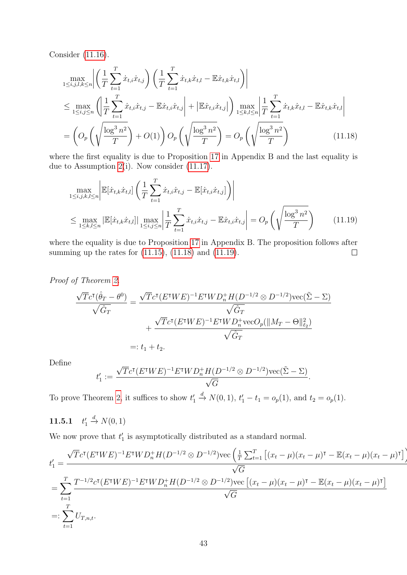Consider [\(11.16\)](#page-43-2).

$$
\max_{1 \le i,j,l,k \le n} \left| \left( \frac{1}{T} \sum_{t=1}^{T} \dot{x}_{t,i} \dot{x}_{t,j} \right) \left( \frac{1}{T} \sum_{t=1}^{T} \dot{x}_{t,k} \dot{x}_{t,l} - \mathbb{E} \dot{x}_{t,k} \dot{x}_{t,l} \right) \right|
$$
\n
$$
\le \max_{1 \le i,j \le n} \left( \left| \frac{1}{T} \sum_{t=1}^{T} \dot{x}_{t,i} \dot{x}_{t,j} - \mathbb{E} \dot{x}_{t,i} \dot{x}_{t,j} \right| + \left| \mathbb{E} \dot{x}_{t,i} \dot{x}_{t,j} \right| \right) \max_{1 \le k,l \le n} \left| \frac{1}{T} \sum_{t=1}^{T} \dot{x}_{t,k} \dot{x}_{t,l} - \mathbb{E} \dot{x}_{t,k} \dot{x}_{t,l} \right|
$$
\n
$$
= \left( O_p \left( \sqrt{\frac{\log^3 n^2}{T}} \right) + O(1) \right) O_p \left( \sqrt{\frac{\log^3 n^2}{T}} \right) = O_p \left( \sqrt{\frac{\log^3 n^2}{T}} \right) \tag{11.18}
$$

where the first equality is due to Proposition [17](#page-67-1) in Appendix B and the last equality is due to Assumption [2\(](#page-22-1)i). Now consider [\(11.17\)](#page-43-3).

<span id="page-44-1"></span><span id="page-44-0"></span> $\overline{a}$ 

$$
\max_{1 \le i,j,k,l \le n} \left| \mathbb{E}[\dot{x}_{t,k}\dot{x}_{t,l}] \left( \frac{1}{T} \sum_{t=1}^{T} \dot{x}_{t,i}\dot{x}_{t,j} - \mathbb{E}[\dot{x}_{t,i}\dot{x}_{t,j}] \right) \right|
$$
\n
$$
\le \max_{1 \le k,l \le n} \left| \mathbb{E}[\dot{x}_{t,k}\dot{x}_{t,l}] \right| \max_{1 \le i,j \le n} \left| \frac{1}{T} \sum_{t=1}^{T} \dot{x}_{t,i}\dot{x}_{t,j} - \mathbb{E}\dot{x}_{t,i}\dot{x}_{t,j} \right| = O_p\left(\sqrt{\frac{\log^3 n^2}{T}}\right) \tag{11.19}
$$

where the equality is due to Proposition [17](#page-67-1) in Appendix B. The proposition follows after summing up the rates for [\(11.15\)](#page-43-4), [\(11.18\)](#page-44-0) and [\(11.19\)](#page-44-1).  $\Box$ 

Proof of Theorem [2.](#page-25-0)

$$
\frac{\sqrt{T}c^{\mathsf{T}}(\hat{\theta}_T - \theta^0)}{\sqrt{\hat{G}_T}} = \frac{\sqrt{T}c^{\mathsf{T}}(E^{\mathsf{T}}WE)^{-1}E^{\mathsf{T}}WD_n^+H(D^{-1/2}\otimes D^{-1/2})\text{vec}(\tilde{\Sigma} - \Sigma)}{\sqrt{\hat{G}_T}}
$$

$$
+ \frac{\sqrt{T}c^{\mathsf{T}}(E^{\mathsf{T}}WE)^{-1}E^{\mathsf{T}}WD_n^+\text{vec}O_p(\|M_T - \Theta\|_{\ell_2}^2)}{\sqrt{\hat{G}_T}}
$$

$$
=: t_1 + t_2.
$$

Define

$$
t'_1 := \frac{\sqrt{T}c^{\intercal}(E^{\intercal}WE)^{-1}E^{\intercal}WD_{n}^{+}H(D^{-1/2}\otimes D^{-1/2})\text{vec}(\tilde{\Sigma}-\Sigma)}{\sqrt{G}}.
$$

To prove Theorem [2,](#page-25-0) it suffices to show  $t_1'$  $\stackrel{d}{\to} N(0, 1), t'_1 - t_1 = o_p(1), \text{ and } t_2 = o_p(1).$ 

<span id="page-44-2"></span>11.5.1  $t_1'$  $\stackrel{d}{\rightarrow} N(0,1)$ 

We now prove that  $t_1'$  is asymptotically distributed as a standard normal.

$$
t'_{1} = \frac{\sqrt{T}c^{T}(E^{T}WE)^{-1}E^{T}WD_{n}^{+}H(D^{-1/2}\otimes D^{-1/2})\text{vec}\left(\frac{1}{T}\sum_{t=1}^{T}\left[(x_{t}-\mu)(x_{t}-\mu)^{T}-\mathbb{E}(x_{t}-\mu)(x_{t}-\mu)^{T}\right]\right)}{\sqrt{G}}
$$
  
= 
$$
\sum_{t=1}^{T}\frac{T^{-1/2}c^{T}(E^{T}WE)^{-1}E^{T}WD_{n}^{+}H(D^{-1/2}\otimes D^{-1/2})\text{vec}\left[(x_{t}-\mu)(x_{t}-\mu)^{T}-\mathbb{E}(x_{t}-\mu)(x_{t}-\mu)^{T}\right]}{\sqrt{G}}
$$
  
=: 
$$
\sum_{t=1}^{T}U_{T,n,t}.
$$

 $\overline{a}$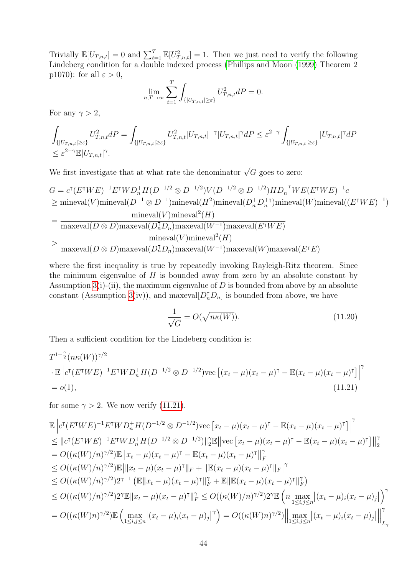Trivially  $\mathbb{E}[U_{T,n,t}] = 0$  and  $\sum_{t=1}^{T} \mathbb{E}[U_{T,n,t}^2] = 1$ . Then we just need to verify the following Lindeberg condition for a double indexed process [\(Phillips and Moon](#page-71-1) [\(1999\)](#page-71-1) Theorem 2 p1070): for all  $\varepsilon > 0$ ,

$$
\lim_{n,T \to \infty} \sum_{t=1}^{T} \int_{\{|U_{T,n,t}| \geq \varepsilon\}} U_{T,n,t}^2 dP = 0.
$$

For any  $\gamma > 2$ ,

$$
\begin{aligned} &\int_{\{|U_{T,n,t}|\geq \varepsilon\}} U_{T,n,t}^2 dP = \int_{\{|U_{T,n,t}|\geq \varepsilon\}} U_{T,n,t}^2 |U_{T,n,t}|^{-\gamma} |U_{T,n,t}|^{\gamma} dP \leq \varepsilon^{2-\gamma} \int_{\{|U_{T,n,t}|\geq \varepsilon\}} |U_{T,n,t}|^{\gamma} dP \\ &\leq \varepsilon^{2-\gamma} \mathbb{E} |U_{T,n,t}|^{\gamma}. \end{aligned}
$$

We first investigate that at what rate the denominator  $\sqrt{G}$  goes to zero:

$$
G = c^{T} (E^{T}WE)^{-1} E^{T}WD_{n}^{+}H(D^{-1/2} \otimes D^{-1/2})V(D^{-1/2} \otimes D^{-1/2})HD_{n}^{+T}WE(E^{T}WE)^{-1}c
$$
  
\n
$$
\geq \text{mineval}(V)\text{mineval}(D^{-1} \otimes D^{-1})\text{mineval}(H^{2})\text{mineval}(D_{n}^{+}D_{n}^{+T})\text{mineval}(W)\text{mineval}((E^{T}WE)^{-1})
$$
  
\n
$$
= \frac{\text{mineval}(V)\text{mineval}^{2}(H)}{\text{maxeval}(D \otimes D)\text{maxeval}(D_{n}^{T}D_{n})\text{maxeval}(W^{-1})\text{maxeval}(E^{T}WE)}
$$
  
\n
$$
\geq \frac{\text{mineval}(V)\text{mineval}^{2}(H)}{\text{maxeval}(D \otimes D)\text{maxeval}(D_{n}^{T}D_{n})\text{maxeval}(W^{-1})\text{maxeval}(W)\text{maxeval}(E^{T}E)}
$$

where the first inequality is true by repeatedly invoking Rayleigh-Ritz theorem. Since the minimum eigenvalue of  $H$  is bounded away from zero by an absolute constant by Assumption [3\(](#page-22-2)i)-(ii), the maximum eigenvalue of  $D$  is bounded from above by an absolute constant (Assumption [3\(](#page-22-2)iv)), and maxeval  $[D_n^{\dagger} D_n]$  is bounded from above, we have

<span id="page-45-1"></span><span id="page-45-0"></span>
$$
\frac{1}{\sqrt{G}} = O(\sqrt{n\kappa(W)}).
$$
\n(11.20)

Then a sufficient condition for the Lindeberg condition is:

$$
T^{1-\frac{\gamma}{2}}(n\kappa(W))^{\gamma/2}
$$
  
•  $\mathbb{E}\left|c^{\mathsf{T}}(E^{\mathsf{T}}WE)^{-1}E^{\mathsf{T}}WD_{n}^{+}H(D^{-1/2}\otimes D^{-1/2})\text{vec}\left[(x_{t}-\mu)(x_{t}-\mu)^{\mathsf{T}}-\mathbb{E}(x_{t}-\mu)(x_{t}-\mu)^{\mathsf{T}}\right]\right|^{\gamma}$   
=  $o(1),$  (11.21)

for some  $\gamma > 2$ . We now verify [\(11.21\)](#page-45-0).

$$
\mathbb{E}\left|c^{T}(E^{T}WE)^{-1}E^{T}WD_{n}^{+}H(D^{-1/2}\otimes D^{-1/2})\text{vec}\left[x_{t}-\mu\right)(x_{t}-\mu)^{T}-\mathbb{E}(x_{t}-\mu)(x_{t}-\mu)^{T}\right]\right|^{2}
$$
\n
$$
\leq ||c^{T}(E^{T}WE)^{-1}E^{T}WD_{n}^{+}H(D^{-1/2}\otimes D^{-1/2})||_{2}^{\gamma}\mathbb{E}\left||\text{vec}\left[x_{t}-\mu\right)(x_{t}-\mu)^{T}-\mathbb{E}(x_{t}-\mu)(x_{t}-\mu)^{T}\right||_{2}^{\gamma}
$$
\n
$$
= O((\kappa(W)/n)^{\gamma/2})\mathbb{E}\left||x_{t}-\mu\right)(x_{t}-\mu)^{T}-\mathbb{E}(x_{t}-\mu)(x_{t}-\mu)^{T}\right||_{F}^{\gamma}
$$
\n
$$
\leq O((\kappa(W)/n)^{\gamma/2})\mathbb{E}\left||x_{t}-\mu\right)(x_{t}-\mu)^{T}\|_{F}+\|\mathbb{E}(x_{t}-\mu)(x_{t}-\mu)^{T}\|_{F}\right|^{\gamma}
$$
\n
$$
\leq O((\kappa(W)/n)^{\gamma/2})2^{\gamma-1}\left(\mathbb{E}\|x_{t}-\mu\right)(x_{t}-\mu)^{T}\|_{F}^{\gamma}+\mathbb{E}\|\mathbb{E}(x_{t}-\mu)(x_{t}-\mu)^{T}\|_{F}^{\gamma}\right)
$$
\n
$$
\leq O((\kappa(W)/n)^{\gamma/2})2^{\gamma}\mathbb{E}\|x_{t}-\mu)(x_{t}-\mu)^{T}\|_{F}^{\gamma} \leq O((\kappa(W)/n)^{\gamma/2})2^{\gamma}\mathbb{E}\left(n\max_{1\leq i,j\leq n}|(x_{t}-\mu)_{i}(x_{t}-\mu)_{j}|\right)^{\gamma}
$$
\n
$$
=O((\kappa(W)n)^{\gamma/2})\mathbb{E}\left(\max_{1\leq i,j\leq n}|(x_{t}-\mu)_{i}(x_{t}-\mu)_{j}|^{\gamma}\right)=O((\kappa(W)n)^{\gamma/2})\left\|\max_{1\leq i,j\leq n}|(x_{t}-\mu)_{i}(x_{t}-\mu)_{j}|\right\
$$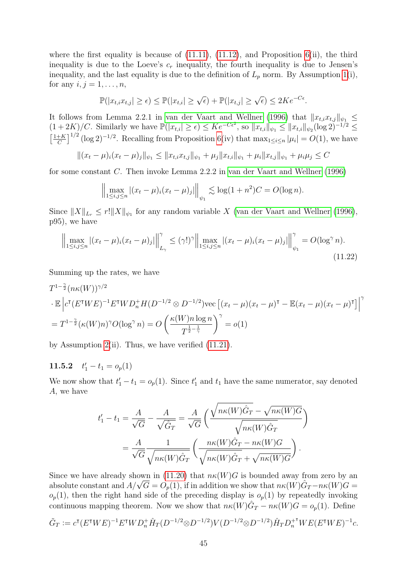where the first equality is because of  $(11.11)$ ,  $(11.12)$ , and Proposition [6\(](#page-38-0)ii), the third inequality is due to the Loeve's  $c_r$  inequality, the fourth inequality is due to Jensen's inequality, and the last equality is due to the definition of  $L_p$  norm. By Assumption [1\(](#page-22-0)i), for any  $i, j = 1, \ldots, n$ ,

$$
\mathbb{P}(|x_{t,i}x_{t,j}| \geq \epsilon) \leq \mathbb{P}(|x_{t,i}| \geq \sqrt{\epsilon}) + \mathbb{P}(|x_{t,j}| \geq \sqrt{\epsilon}) \leq 2Ke^{-C\epsilon}.
$$

It follows from Lemma 2.2.1 in [van der Vaart and Wellner](#page-72-0) [\(1996\)](#page-72-0) that  $||x_{t,i}x_{t,j}||_{\psi_1} \leq$  $(1+2K)/C$ . Similarly we have  $\mathbb{P}(|x_{t,i}| \geq \epsilon) \leq Ke^{-C\epsilon^2}$ , so  $||x_{t,i}||_{\psi_1} \leq ||x_{t,i}||_{\psi_2} (\log 2)^{-1/2} \leq$  $\left[\frac{1+K}{C}\right]$  $\left[\frac{1}{C}\right]^{1/2}$  (log 2)<sup>-1/2</sup>. Recalling from Proposition [6\(](#page-38-0)iv) that  $\max_{1 \le i \le n} |\mu_i| = O(1)$ , we have

$$
||(x_t - \mu)_i(x_t - \mu)_j||_{\psi_1} \leq ||x_{t,i}x_{t,j}||_{\psi_1} + \mu_j||x_{t,i}||_{\psi_1} + \mu_i||x_{t,j}||_{\psi_1} + \mu_i\mu_j \leq C
$$

for some constant C. Then invoke Lemma 2.2.2 in [van der Vaart and Wellner](#page-72-0) [\(1996\)](#page-72-0)

<span id="page-46-0"></span>
$$
\left\| \max_{1 \le i,j \le n} |(x_t - \mu)_i (x_t - \mu)_j| \right\|_{\psi_1} \lesssim \log(1 + n^2)C = O(\log n).
$$

Since  $||X||_{L_r} \leq r! ||X||_{\psi_1}$  for any random variable X [\(van der Vaart and Wellner](#page-72-0) [\(1996\)](#page-72-0), p95), we have

$$
\left\| \max_{1 \le i,j \le n} |(x_t - \mu)_i (x_t - \mu)_j| \right\|_{L_\gamma}^{\gamma} \le (\gamma!)^{\gamma} \left\| \max_{1 \le i,j \le n} |(x_t - \mu)_i (x_t - \mu)_j| \right\|_{\psi_1}^{\gamma} = O(\log^{\gamma} n). \tag{11.22}
$$

Summing up the rates, we have

$$
T^{1-\frac{\gamma}{2}}(n\kappa(W))^{\gamma/2}
$$
  
\n
$$
\cdot \mathbb{E}\left|c^{\mathsf{T}}(E^{\mathsf{T}}WE)^{-1}E^{\mathsf{T}}WD_{n}^{+}H(D^{-1/2}\otimes D^{-1/2})\text{vec}\left[(x_{t}-\mu)(x_{t}-\mu)^{\mathsf{T}}-\mathbb{E}(x_{t}-\mu)(x_{t}-\mu)^{\mathsf{T}}\right]\right|
$$
  
\n
$$
=T^{1-\frac{\gamma}{2}}(\kappa(W)n)^{\gamma}O(\log^{\gamma}n)=O\left(\frac{\kappa(W)n\log n}{T^{\frac{1}{2}-\frac{1}{\gamma}}}\right)^{\gamma}=o(1)
$$

by Assumption [2\(](#page-22-1)ii). Thus, we have verified  $(11.21)$ .

### 11.5.2  $t'_1 - t_1 = o_p(1)$

We now show that  $t'_1 - t_1 = o_p(1)$ . Since  $t'_1$  and  $t_1$  have the same numerator, say denoted A, we have

$$
t'_{1} - t_{1} = \frac{A}{\sqrt{G}} - \frac{A}{\sqrt{\hat{G}_{T}}} = \frac{A}{\sqrt{G}} \left( \frac{\sqrt{n\kappa(W)\hat{G}_{T}} - \sqrt{n\kappa(W)\hat{G}}}{\sqrt{n\kappa(W)\hat{G}_{T}}} \right)
$$

$$
= \frac{A}{\sqrt{G}} \frac{1}{\sqrt{n\kappa(W)\hat{G}_{T}}} \left( \frac{n\kappa(W)\hat{G}_{T} - n\kappa(W)\hat{G}}{\sqrt{n\kappa(W)\hat{G}_{T}} + \sqrt{n\kappa(W)\hat{G}}} \right).
$$

Since we have already shown in [\(11.20\)](#page-45-1) that  $n\kappa(W)G$  is bounded away from zero by an since we have already shown in (11.20) that  $n\kappa(W)G$  is bounded away from zero by an absolute constant and  $A/\sqrt{G} = O_p(1)$ , if in addition we show that  $n\kappa(W)\hat{G}_T - n\kappa(W)G =$  $o_p(1)$ , then the right hand side of the preceding display is  $o_p(1)$  by repeatedly invoking continuous mapping theorem. Now we show that  $n\kappa(W)\hat{G}_T - n\kappa(W)G = o_p(1)$ . Define

$$
\tilde{G}_T := c^{\mathsf{T}} (E^{\mathsf{T}} W E)^{-1} E^{\mathsf{T}} W D_n^+ \hat{H}_T (D^{-1/2} \otimes D^{-1/2}) V (D^{-1/2} \otimes D^{-1/2}) \hat{H}_T D_n^{+ \mathsf{T}} W E (E^{\mathsf{T}} W E)^{-1} c.
$$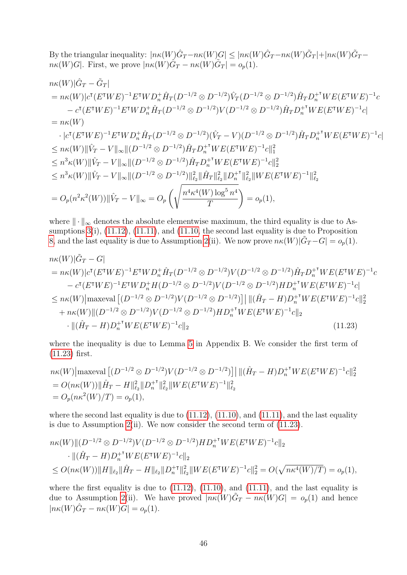By the triangular inequality:  $|n\kappa(W)\hat{G}_T-n\kappa(W)G| \leq |n\kappa(W)\hat{G}_T-n\kappa(W)\tilde{G}_T|+|n\kappa(W)\tilde{G}_T$  $n\kappa(W)G$ . First, we prove  $|n\kappa(W)\hat{G}_T - n\kappa(W)\tilde{G}_T| = o_p(1)$ .

$$
n\kappa(W)|\hat{G}_T - \tilde{G}_T|
$$
  
\n
$$
= n\kappa(W)|c^{\dagger}(E^{\dagger}WE)^{-1}E^{\dagger}WD_{n}^{+}\hat{H}_{T}(D^{-1/2}\otimes D^{-1/2})\hat{V}_{T}(D^{-1/2}\otimes D^{-1/2})\hat{H}_{T}D_{n}^{+{\dagger}}WE(E^{\dagger}WE)^{-1}c
$$
  
\n
$$
- c^{\dagger}(E^{\dagger}WE)^{-1}E^{\dagger}WD_{n}^{+}\hat{H}_{T}(D^{-1/2}\otimes D^{-1/2})V(D^{-1/2}\otimes D^{-1/2})\hat{H}_{T}D_{n}^{+{\dagger}}WE(E^{\dagger}WE)^{-1}c|
$$
  
\n
$$
= n\kappa(W)
$$
  
\n
$$
\cdot |c^{\dagger}(E^{\dagger}WE)^{-1}E^{\dagger}WD_{n}^{+}\hat{H}_{T}(D^{-1/2}\otimes D^{-1/2})(\hat{V}_{T} - V)(D^{-1/2}\otimes D^{-1/2})\hat{H}_{T}D_{n}^{+{\dagger}}WE(E^{\dagger}WE)^{-1}c|
$$
  
\n
$$
\leq n\kappa(W)||\hat{V}_{T} - V||_{\infty}||(D^{-1/2}\otimes D^{-1/2})\hat{H}_{T}D_{n}^{+{\dagger}}WE(E^{\dagger}WE)^{-1}c||_{1}^{2}
$$
  
\n
$$
\leq n^{3}\kappa(W)||\hat{V}_{T} - V||_{\infty}||(D^{-1/2}\otimes D^{-1/2})\hat{H}_{T}D_{n}^{+{\dagger}WE(E^{\dagger}WE)^{-1}c||_{2}^{2}
$$
  
\n
$$
\leq n^{3}\kappa(W)||\hat{V}_{T} - V||_{\infty}||(D^{-1/2}\otimes D^{-1/2})||_{\ell_{2}}^{2}||\hat{H}_{T}||_{\ell_{2}}^{2}||D_{n}^{+}{||\hat{L}_{\ell}}||WE(E^{\dagger}WE)^{-1}||_{\ell_{2}}^{2}
$$
  
\n
$$
= O_{p}(n^{2}\kappa^{2}(W))||\hat{V}_{T} - V||_{\infty} = O_{p}\left(\sqrt{\frac{n^{4}\kappa^{4}(W)\log^{5}n^{4}}{T}}\right)
$$

where  $\|\cdot\|_{\infty}$  denotes the absolute elementwise maximum, the third equality is due to Assumptions  $3(i)$ ,  $(11.12)$ ,  $(11.11)$ , and  $(11.10)$ , the second last equality is due to Proposition [8,](#page-43-5) and the last equality is due to Assumption [2\(](#page-22-1)ii). We now prove  $n\kappa(W)|\tilde{G}_T - G| = o_p(1)$ .

$$
n\kappa(W)|\tilde{G}_T - G|
$$
  
\n
$$
= n\kappa(W)|c^{\dagger}(E^{\dagger}WE)^{-1}E^{\dagger}WD_{n}^{+}\hat{H}_{T}(D^{-1/2}\otimes D^{-1/2})V(D^{-1/2}\otimes D^{-1/2})\hat{H}_{T}D_{n}^{+^{\dagger}}WE(E^{\dagger}WE)^{-1}c
$$
  
\n
$$
-c^{\dagger}(E^{\dagger}WE)^{-1}E^{\dagger}WD_{n}^{+}H(D^{-1/2}\otimes D^{-1/2})V(D^{-1/2}\otimes D^{-1/2})HD_{n}^{+^{\dagger}}WE(E^{\dagger}WE)^{-1}c|
$$
  
\n
$$
\leq n\kappa(W)|\text{maxeval}[(D^{-1/2}\otimes D^{-1/2})V(D^{-1/2}\otimes D^{-1/2})]||((\hat{H}_T - H)D_{n}^{+^{\dagger}}WE(E^{\dagger}WE)^{-1}c||_{2}^{2}
$$
  
\n
$$
+ n\kappa(W)||(D^{-1/2}\otimes D^{-1/2})V(D^{-1/2}\otimes D^{-1/2})HD_{n}^{+^{\dagger}}WE(E^{\dagger}WE)^{-1}c||_{2}
$$
  
\n
$$
\cdot ||(\hat{H}_T - H)D_{n}^{+^{\dagger}}WE(E^{\dagger}WE)^{-1}c||_{2}
$$
\n(11.23)

<span id="page-47-0"></span>where the inequality is due to Lemma [5](#page-67-2) in Appendix B. We consider the first term of [\(11.23\)](#page-47-0) first.

$$
n\kappa(W)|\text{maxeval}\left[(D^{-1/2}\otimes D^{-1/2})V(D^{-1/2}\otimes D^{-1/2})\right]||(\hat{H}_T - H)D_n^{+T}WE(E^{\dagger}WE)^{-1}c||_2^2
$$
  
=  $O(n\kappa(W))||\hat{H}_T - H||_{\ell_2}^2||D_n^{+T}||_{\ell_2}^2||WE(E^{\dagger}WE)^{-1}||_{\ell_2}^2$   
=  $O_p(n\kappa^2(W)/T) = o_p(1),$ 

where the second last equality is due to  $(11.12)$ ,  $(11.10)$ , and  $(11.11)$ , and the last equality is due to Assumption [2\(](#page-22-1)ii). We now consider the second term of [\(11.23\)](#page-47-0).

$$
n\kappa(W)\|(D^{-1/2}\otimes D^{-1/2})V(D^{-1/2}\otimes D^{-1/2})HD_n^{+T}WE(E^{T}WE)^{-1}c\|_2
$$
  
 
$$
\cdot \|(\hat{H}_T - H)D_n^{+T}WE(E^{T}WE)^{-1}c\|_2
$$
  
\n
$$
\leq O(n\kappa(W))\|H\|_{\ell_2}\|\hat{H}_T - H\|_{\ell_2}\|D_n^{+T}\|_{\ell_2}^2\|WE(E^{T}WE)^{-1}c\|_2^2 = O(\sqrt{n\kappa^4(W)/T}) = o_p(1),
$$

where the first equality is due to  $(11.12)$ ,  $(11.10)$ , and  $(11.11)$ , and the last equality is due to Assumption [2\(](#page-22-1)ii). We have proved  $|n\kappa(W)\tilde{G}_T - n\kappa(W)G| = o_p(1)$  and hence  $|n\kappa(W)\hat{G}_T - n\kappa(W)G| = o_p(1).$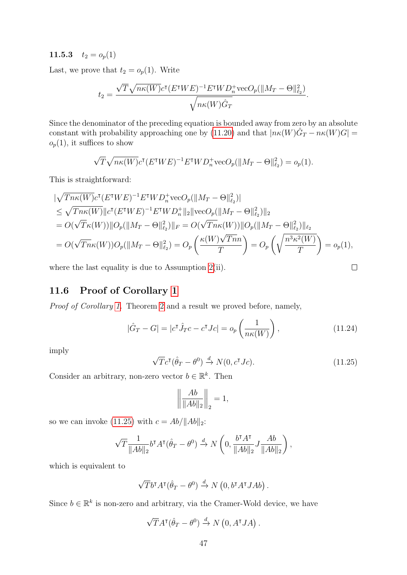### 11.5.3  $t_2 = o_p(1)$

Last, we prove that  $t_2 = o_p(1)$ . Write

$$
t_2 = \frac{\sqrt{T}\sqrt{n\kappa(W)}c^{\intercal}(E^{\intercal}WE)^{-1}E^{\intercal}WD_{n}^{+}\text{vec}O_{p}(\|M_T - \Theta\|_{\ell_2}^{2})}{\sqrt{n\kappa(W)\hat{G}_T}}.
$$

Since the denominator of the preceding equation is bounded away from zero by an absolute constant with probability approaching one by [\(11.20\)](#page-45-1) and that  $|n\kappa(W)\hat{G}_T - n\kappa(W)G|$  $o_p(1)$ , it suffices to show

$$
\sqrt{T}\sqrt{n\kappa(W)}c^{\mathsf{T}}(E^{\mathsf{T}}WE)^{-1}E^{\mathsf{T}}WD_n^+\text{vec}O_p(\|M_T-\Theta\|_{\ell_2}^2)=o_p(1).
$$

This is straightforward:

$$
\begin{split}\n&|\sqrt{Tn\kappa(W)}c^{\mathsf{T}}(E^{\mathsf{T}}WE)^{-1}E^{\mathsf{T}}WD_{n}^{+}\text{vec}O_{p}(\|M_{T}-\Theta\|_{\ell_{2}}^{2})| \\
&\leq \sqrt{Tn\kappa(W)}\|c^{\mathsf{T}}(E^{\mathsf{T}}WE)^{-1}E^{\mathsf{T}}WD_{n}^{+}\|_{2}\|\text{vec}O_{p}(\|M_{T}-\Theta\|_{\ell_{2}}^{2})\|_{2} \\
&=O(\sqrt{T}\kappa(W))\|O_{p}(\|M_{T}-\Theta\|_{\ell_{2}}^{2})\|_{F}=O(\sqrt{Tn\kappa(W)})\|O_{p}(\|M_{T}-\Theta\|_{\ell_{2}}^{2})\|_{\ell_{2}} \\
&=O(\sqrt{Tn\kappa(W)})O_{p}(\|M_{T}-\Theta\|_{\ell_{2}}^{2})=O_{p}\left(\frac{\kappa(W)\sqrt{Tn}n}{T}\right)=O_{p}\left(\sqrt{\frac{n^{3}\kappa^{2}(W)}{T}}\right)=o_{p}(1),\n\end{split}
$$

where the last equality is due to Assumption [2\(](#page-22-1)ii).

### 11.6 Proof of Corollary [1](#page-26-0)

Proof of Corollary [1.](#page-26-0) Theorem [2](#page-25-0) and a result we proved before, namely,

<span id="page-48-1"></span>
$$
|\hat{G}_T - G| = |c^{\mathsf{T}} \hat{J}_T c - c^{\mathsf{T}} J c| = o_p\left(\frac{1}{n\kappa(W)}\right),\tag{11.24}
$$

imply

<span id="page-48-0"></span>
$$
\sqrt{T}c^{\mathsf{T}}(\hat{\theta}_T - \theta^0) \xrightarrow{d} N(0, c^{\mathsf{T}}Jc). \tag{11.25}
$$

 $\Box$ 

Consider an arbitrary, non-zero vector  $b \in \mathbb{R}^k$ . Then

$$
\left\| \frac{Ab}{\|Ab\|_2} \right\|_2 = 1,
$$

so we can invoke [\(11.25\)](#page-48-0) with  $c = Ab / ||Ab||_2$ :

$$
\sqrt{T}\frac{1}{\|Ab\|_2}b^{\intercal}A^{\intercal}(\hat{\theta}_T-\theta^0)\xrightarrow{d}N\left(0,\frac{b^{\intercal}A^{\intercal}}{\|Ab\|_2}J\frac{Ab}{\|Ab\|_2}\right),
$$

which is equivalent to

$$
\sqrt{T}b^{\dagger}A^{\dagger}(\hat{\theta}_T - \theta^0) \xrightarrow{d} N\left(0, b^{\dagger}A^{\dagger}JAb\right).
$$

Since  $b \in \mathbb{R}^k$  is non-zero and arbitrary, via the Cramer-Wold device, we have

$$
\sqrt{T}A^{\mathsf{T}}(\hat{\theta}_T - \theta^0) \xrightarrow{d} N(0, A^{\mathsf{T}}JA).
$$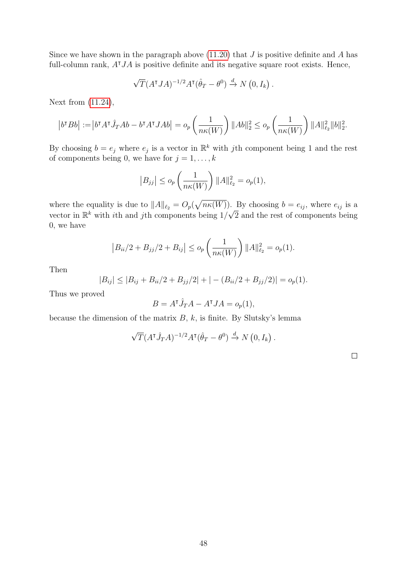Since we have shown in the paragraph above  $(11.20)$  that J is positive definite and A has full-column rank,  $A^{\dagger}JA$  is positive definite and its negative square root exists. Hence,

$$
\sqrt{T}(A^{\dagger}JA)^{-1/2}A^{\dagger}(\hat{\theta}_T-\theta^0)\stackrel{d}{\to}N(0,I_k).
$$

Next from [\(11.24\)](#page-48-1),

$$
\left|b^{\mathsf{T}}Bb\right| := \left|b^{\mathsf{T}}A^{\mathsf{T}}\hat{J}_T Ab - b^{\mathsf{T}}A^{\mathsf{T}}JAb\right| = o_p\left(\frac{1}{n\kappa(W)}\right) \|Ab\|_2^2 \leq o_p\left(\frac{1}{n\kappa(W)}\right) \|A\|_{\ell_2}^2 \|b\|_2^2.
$$

By choosing  $b = e_j$  where  $e_j$  is a vector in  $\mathbb{R}^k$  with jth component being 1 and the rest of components being 0, we have for  $j = 1, \ldots, k$ 

$$
|B_{jj}| \leq o_p\left(\frac{1}{n\kappa(W)}\right) ||A||_{\ell_2}^2 = o_p(1),
$$

where the equality is due to  $||A||_{\ell_2} = O_p(\sqrt{n\kappa(W)})$ . By choosing  $b = e_{ij}$ , where  $e_{ij}$  is a vector in  $\mathbb{R}^k$  with *i*th and *j*th components being  $1/\sqrt{2}$  and the rest of components being 0, we have

$$
|B_{ii}/2 + B_{jj}/2 + B_{ij}| \leq o_p\left(\frac{1}{n\kappa(W)}\right) ||A||_{\ell_2}^2 = o_p(1).
$$

Then

$$
|B_{ij}| \le |B_{ij} + B_{ii}/2 + B_{jj}/2| + | - (B_{ii}/2 + B_{jj}/2)| = o_p(1).
$$

Thus we proved

$$
B = A^{\mathsf{T}} \hat{J}_T A - A^{\mathsf{T}} J A = o_p(1),
$$

because the dimension of the matrix  $B, k$ , is finite. By Slutsky's lemma

$$
\sqrt{T}(A^{\dagger}\hat{J}_T A)^{-1/2}A^{\dagger}(\hat{\theta}_T - \theta^0) \xrightarrow{d} N(0, I_k).
$$

 $\Box$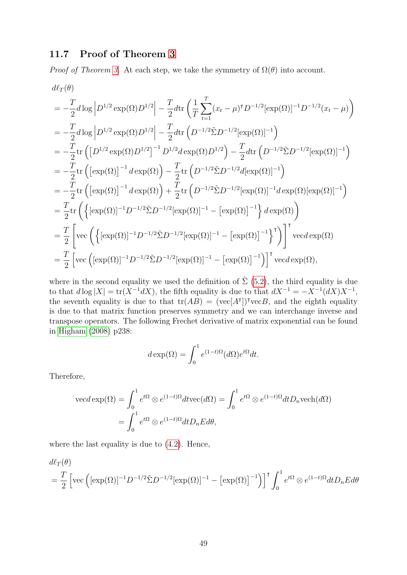### 11.7 Proof of Theorem [3](#page-26-1)

*Proof of Theorem [3.](#page-26-1)* At each step, we take the symmetry of  $\Omega(\theta)$  into account.

$$
d\ell_T(\theta)
$$
  
=  $-\frac{T}{2}d\log |D^{1/2} \exp(\Omega) D^{1/2}| - \frac{T}{2}d\text{tr} \left(\frac{1}{T} \sum_{t=1}^T (x_t - \mu)^T D^{-1/2} [\exp(\Omega)]^{-1} D^{-1/2} (x_t - \mu)\right)$   
=  $-\frac{T}{2}d\log |D^{1/2} \exp(\Omega) D^{1/2}| - \frac{T}{2}d\text{tr} (D^{-1/2} \tilde{\Sigma} D^{-1/2} [\exp(\Omega)]^{-1})$   
=  $-\frac{T}{2} \text{tr} ([D^{1/2} \exp(\Omega) D^{1/2}]^{-1} D^{1/2} d \exp(\Omega) D^{1/2}) - \frac{T}{2} d\text{tr} (D^{-1/2} \tilde{\Sigma} D^{-1/2} [\exp(\Omega)]^{-1})$   
=  $-\frac{T}{2} \text{tr} ([\exp(\Omega)]^{-1} d \exp(\Omega)) - \frac{T}{2} \text{tr} (D^{-1/2} \tilde{\Sigma} D^{-1/2} d [\exp(\Omega)]^{-1})$   
=  $-\frac{T}{2} \text{tr} ([\exp(\Omega)]^{-1} d \exp(\Omega)) + \frac{T}{2} \text{tr} (D^{-1/2} \tilde{\Sigma} D^{-1/2} [\exp(\Omega)]^{-1} d \exp(\Omega) [\exp(\Omega)]^{-1})$   
=  $\frac{T}{2} \text{tr} ( {\exp(\Omega) ]^{-1} D^{-1/2} \tilde{\Sigma} D^{-1/2} [\exp(\Omega) ]^{-1} - [\exp(\Omega) ]^{-1} } d \exp(\Omega)$   
=  $\frac{T}{2} [\text{vec} ( {\exp(\Omega) ]^{-1} D^{-1/2} \tilde{\Sigma} D^{-1/2} [\exp(\Omega) ]^{-1} - [\exp(\Omega) ]^{-1} }^T ]$   $\text{vec} d \exp(\Omega)$   
=  $\frac{T}{2} [\text{vec} ([\exp(\Omega) ]^{-1} D^{-1/2} \tilde{\Sigma} D^{-1/2} [\exp(\Omega) ]^{-1} - [\exp(\Omega) ]^{-1} ]^T \text{vec} d \exp(\Omega)$ 

where in the second equality we used the definition of  $\tilde{\Sigma}$  [\(5.2\)](#page-18-0), the third equality is due to that  $d \log |X| = \text{tr}(X^{-1}dX)$ , the fifth equality is due to that  $dX^{-1} = -X^{-1}(dX)X^{-1}$ , the seventh equality is due to that  $tr(AB) = (vec[A^{\dagger}])^{\dagger}$  vec B, and the eighth equality is due to that matrix function preserves symmetry and we can interchange inverse and transpose operators. The following Frechet derivative of matrix exponential can be found in [Higham](#page-70-0) [\(2008\)](#page-70-0) p238:

$$
d \exp(\Omega) = \int_0^1 e^{(1-t)\Omega} (d\Omega) e^{t\Omega} dt.
$$

Therefore,

$$
\begin{split} \text{vecd}\exp(\Omega) &= \int_0^1 e^{t\Omega} \otimes e^{(1-t)\Omega} dt \text{vec}(d\Omega) = \int_0^1 e^{t\Omega} \otimes e^{(1-t)\Omega} dt D_n \text{vech}(d\Omega) \\ &= \int_0^1 e^{t\Omega} \otimes e^{(1-t)\Omega} dt D_n E d\theta, \end{split}
$$

where the last equality is due to [\(4.2\)](#page-16-1). Hence,

$$
d\ell_T(\theta)
$$
  
=  $\frac{T}{2} \left[ \text{vec} \left( [\exp(\Omega)]^{-1} D^{-1/2} \tilde{\Sigma} D^{-1/2} [\exp(\Omega)]^{-1} - [\exp(\Omega)]^{-1} \right) \right]^\intercal \int_0^1 e^{t\Omega} \otimes e^{(1-t)\Omega} dt D_n E d\theta$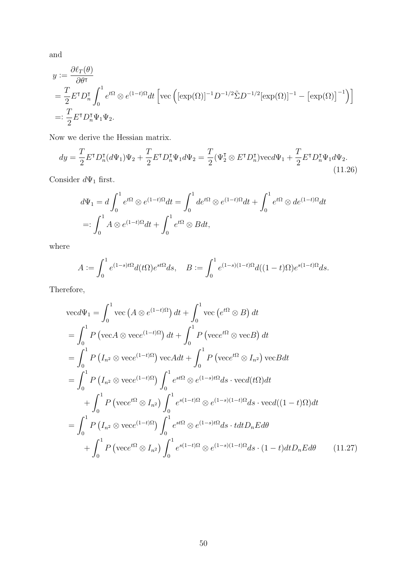and

$$
y := \frac{\partial \ell_T(\theta)}{\partial \theta^{\dagger}}
$$
  
=  $\frac{T}{2} E^{\dagger} D_n^{\dagger} \int_0^1 e^{t\Omega} \otimes e^{(1-t)\Omega} dt \left[ \text{vec} \left( [\exp(\Omega)]^{-1} D^{-1/2} \tilde{\Sigma} D^{-1/2} [\exp(\Omega)]^{-1} - [\exp(\Omega)]^{-1} \right) \right]$   
=:  $\frac{T}{2} E^{\dagger} D_n^{\dagger} \Psi_1 \Psi_2$ .

Now we derive the Hessian matrix.

<span id="page-51-1"></span>
$$
dy = \frac{T}{2} E^{\mathsf{T}} D_n^{\mathsf{T}} (d\Psi_1) \Psi_2 + \frac{T}{2} E^{\mathsf{T}} D_n^{\mathsf{T}} \Psi_1 d\Psi_2 = \frac{T}{2} (\Psi_2^{\mathsf{T}} \otimes E^{\mathsf{T}} D_n^{\mathsf{T}}) \text{vec} d\Psi_1 + \frac{T}{2} E^{\mathsf{T}} D_n^{\mathsf{T}} \Psi_1 d\Psi_2.
$$
\n(11.26)

Consider  $d\Psi_1$  first.

$$
d\Psi_1 = d \int_0^1 e^{t\Omega} \otimes e^{(1-t)\Omega} dt = \int_0^1 de^{t\Omega} \otimes e^{(1-t)\Omega} dt + \int_0^1 e^{t\Omega} \otimes de^{(1-t)\Omega} dt
$$
  
=: 
$$
\int_0^1 A \otimes e^{(1-t)\Omega} dt + \int_0^1 e^{t\Omega} \otimes B dt,
$$

where

$$
A := \int_0^1 e^{(1-s)t\Omega} d(t\Omega) e^{st\Omega} ds, \quad B := \int_0^1 e^{(1-s)(1-t)\Omega} d((1-t)\Omega) e^{s(1-t)\Omega} ds.
$$

Therefore,

<span id="page-51-0"></span>
$$
\begin{split}\n\text{vec}d\Psi_{1} &= \int_{0}^{1} \text{vec}\left(A\otimes e^{(1-t)\Omega}\right)dt + \int_{0}^{1} \text{vec}\left(e^{t\Omega}\otimes B\right)dt \\
&= \int_{0}^{1} P\left(\text{vec}A\otimes \text{vec}e^{(1-t)\Omega}\right)dt + \int_{0}^{1} P\left(\text{vec}e^{t\Omega}\otimes \text{vec}B\right)dt \\
&= \int_{0}^{1} P\left(I_{n^{2}}\otimes \text{vec}e^{(1-t)\Omega}\right) \text{vec}Adt + \int_{0}^{1} P\left(\text{vec}e^{t\Omega}\otimes I_{n^{2}}\right) \text{vec}Bdt \\
&= \int_{0}^{1} P\left(I_{n^{2}}\otimes \text{vec}e^{(1-t)\Omega}\right) \int_{0}^{1} e^{st\Omega}\otimes e^{(1-s)t\Omega}ds \cdot \text{vec}d(t\Omega)dt \\
&+ \int_{0}^{1} P\left(\text{vec}e^{t\Omega}\otimes I_{n^{2}}\right) \int_{0}^{1} e^{s(1-t)\Omega}\otimes e^{(1-s)(1-t)\Omega}ds \cdot \text{vec}d((1-t)\Omega)dt \\
&= \int_{0}^{1} P\left(I_{n^{2}}\otimes \text{vec}e^{(1-t)\Omega}\right) \int_{0}^{1} e^{st\Omega}\otimes e^{(1-s)t\Omega}ds \cdot tdtD_{n}Ed\theta \\
&+ \int_{0}^{1} P\left(\text{vec}e^{t\Omega}\otimes I_{n^{2}}\right) \int_{0}^{1} e^{s(1-t)\Omega}\otimes e^{(1-s)(1-t)\Omega}ds \cdot (1-t)dtD_{n}Ed\theta \end{split} \tag{11.27}
$$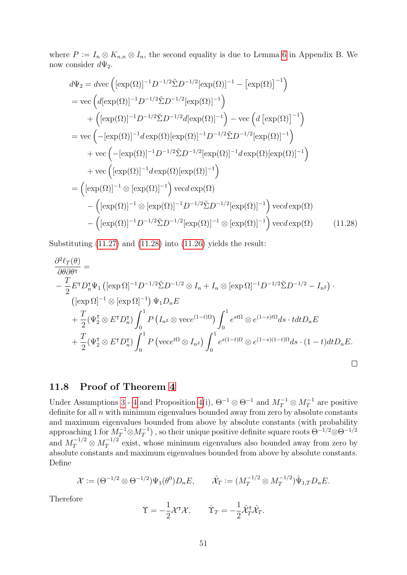where  $P := I_n \otimes K_{n,n} \otimes I_n$ , the second equality is due to Lemma [6](#page-68-0) in Appendix B. We now consider  $d\Psi_2$ .

$$
d\Psi_2 = d\text{vec}\left([\exp(\Omega)]^{-1}D^{-1/2}\tilde{\Sigma}D^{-1/2}[\exp(\Omega)]^{-1} - [\exp(\Omega)]^{-1}\right)
$$
  
\n
$$
= \text{vec}\left(d[\exp(\Omega)]^{-1}D^{-1/2}\tilde{\Sigma}D^{-1/2}[\exp(\Omega)]^{-1}\right)
$$
  
\n
$$
+ \left([\exp(\Omega)]^{-1}D^{-1/2}\tilde{\Sigma}D^{-1/2}d[\exp(\Omega)]^{-1}\right) - \text{vec}\left(d\left[\exp(\Omega)\right]^{-1}\right)
$$
  
\n
$$
= \text{vec}\left(-[\exp(\Omega)]^{-1}d\exp(\Omega)[\exp(\Omega)]^{-1}D^{-1/2}\tilde{\Sigma}D^{-1/2}[\exp(\Omega)]^{-1}\right)
$$
  
\n
$$
+ \text{vec}\left(-[\exp(\Omega)]^{-1}D^{-1/2}\tilde{\Sigma}D^{-1/2}[\exp(\Omega)]^{-1}d\exp(\Omega)[\exp(\Omega)]^{-1}\right)
$$
  
\n
$$
+ \text{vec}\left([\exp(\Omega)]^{-1}d\exp(\Omega)[\exp(\Omega)]^{-1}\right)
$$
  
\n
$$
= \left([\exp(\Omega)]^{-1} \otimes [\exp(\Omega)]^{-1}\right) \text{vec}\left(d\exp(\Omega)\right)
$$
  
\n
$$
- \left([\exp(\Omega)]^{-1} \otimes [\exp(\Omega)]^{-1}D^{-1/2}\tilde{\Sigma}D^{-1/2}[\exp(\Omega)]^{-1}\right) \text{vec}\left(d\exp(\Omega)\right)
$$
  
\n
$$
- \left([\exp(\Omega)]^{-1}D^{-1/2}\tilde{\Sigma}D^{-1/2}[\exp(\Omega)]^{-1} \otimes [\exp(\Omega)]^{-1}\right) \text{vec}\left(d\exp(\Omega)\right) \qquad (11.28)
$$

Substituting [\(11.27\)](#page-51-0) and [\(11.28\)](#page-52-0) into [\(11.26\)](#page-51-1) yields the result:

<span id="page-52-0"></span>
$$
\frac{\partial^2 \ell_T(\theta)}{\partial \theta \partial \theta^{\intercal}} =
$$
\n
$$
-\frac{T}{2} E^{\intercal} D_n^{\intercal} \Psi_1 \left( [\exp \Omega]^{-1} D^{-1/2} \tilde{\Sigma} D^{-1/2} \otimes I_n + I_n \otimes [\exp \Omega]^{-1} D^{-1/2} \tilde{\Sigma} D^{-1/2} - I_{n^2} \right) \cdot
$$
\n
$$
\left( [\exp \Omega]^{-1} \otimes [\exp \Omega]^{-1} \right) \Psi_1 D_n E
$$
\n
$$
+\frac{T}{2} (\Psi_2^{\intercal} \otimes E^{\intercal} D_n^{\intercal}) \int_0^1 P \left( I_{n^2} \otimes \text{vec} e^{(1-t)\Omega} \right) \int_0^1 e^{st\Omega} \otimes e^{(1-s)t\Omega} ds \cdot t dt D_n E
$$
\n
$$
+\frac{T}{2} (\Psi_2^{\intercal} \otimes E^{\intercal} D_n^{\intercal}) \int_0^1 P \left( \text{vec} e^{t\Omega} \otimes I_{n^2} \right) \int_0^1 e^{s(1-t)\Omega} \otimes e^{(1-s)(1-t)\Omega} ds \cdot (1-t) dt D_n E.
$$

### 11.8 Proof of Theorem [4](#page-28-0)

Under Assumptions [3](#page-22-2) - [4](#page-23-2) and Proposition [4\(](#page-23-0)i),  $\Theta^{-1} \otimes \Theta^{-1}$  and  $M_T^{-1} \otimes M_T^{-1}$  are positive definite for all  $n$  with minimum eigenvalues bounded away from zero by absolute constants and maximum eigenvalues bounded from above by absolute constants (with probability approaching 1 for  $M_T^{-1} \otimes M_T^{-1}$ ), so their unique positive definite square roots  $\Theta^{-1/2} \otimes \Theta^{-1/2}$ and  $M_T^{-1/2} \otimes M_T^{-1/2}$  $T^{1/2}$  exist, whose minimum eigenvalues also bounded away from zero by absolute constants and maximum eigenvalues bounded from above by absolute constants. Define

$$
\mathcal{X} := (\Theta^{-1/2} \otimes \Theta^{-1/2}) \Psi_1(\theta^0) D_n E, \qquad \hat{\mathcal{X}}_T := (M_T^{-1/2} \otimes M_T^{-1/2}) \hat{\Psi}_{1,T} D_n E.
$$

Therefore

$$
\Upsilon = -\frac{1}{2}\mathcal{X}^{\mathsf{T}}\mathcal{X}, \qquad \hat{\Upsilon}_T = -\frac{1}{2}\hat{\mathcal{X}}_T^{\mathsf{T}}\hat{\mathcal{X}}_T.
$$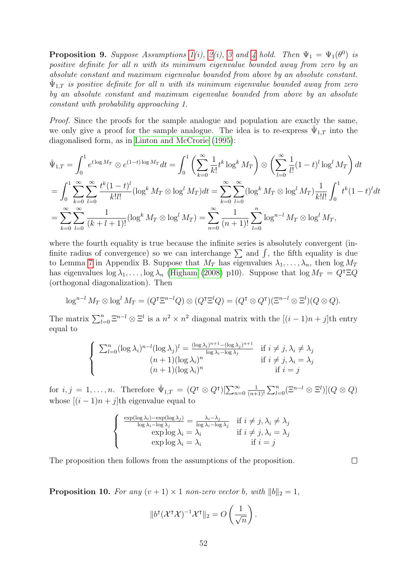<span id="page-53-0"></span>**Proposition 9.** Suppose Assumptions  $1(i)$ ,  $2(i)$ , [3](#page-22-2) and [4](#page-23-2) hold. Then  $\Psi_1 = \Psi_1(\theta^0)$  is positive definite for all n with its minimum eigenvalue bounded away from zero by an absolute constant and maximum eigenvalue bounded from above by an absolute constant.  $\hat{\Psi}_{1,T}$  is positive definite for all n with its minimum eigenvalue bounded away from zero by an absolute constant and maximum eigenvalue bounded from above by an absolute constant with probability approaching 1.

Proof. Since the proofs for the sample analogue and population are exactly the same, we only give a proof for the sample analogue. The idea is to re-express  $\hat{\Psi}_{1,T}$  into the diagonalised form, as in [Linton and McCrorie](#page-71-2) [\(1995\)](#page-71-2):

$$
\hat{\Psi}_{1,T} = \int_0^1 e^{t \log M_T} \otimes e^{(1-t) \log M_T} dt = \int_0^1 \left( \sum_{k=0}^\infty \frac{1}{k!} t^k \log^k M_T \right) \otimes \left( \sum_{l=0}^\infty \frac{1}{l!} (1-t)^l \log^l M_T \right) dt \n= \int_0^1 \sum_{k=0}^\infty \sum_{l=0}^\infty \frac{t^k (1-t)^l}{k!l!} (\log^k M_T \otimes \log^l M_T) dt = \sum_{k=0}^\infty \sum_{l=0}^\infty (\log^k M_T \otimes \log^l M_T) \frac{1}{k!l!} \int_0^1 t^k (1-t)^l dt \n= \sum_{k=0}^\infty \sum_{l=0}^\infty \frac{1}{(k+l+1)!} (\log^k M_T \otimes \log^l M_T) = \sum_{n=0}^\infty \frac{1}{(n+1)!} \sum_{l=0}^n \log^{n-l} M_T \otimes \log^l M_T,
$$

where the fourth equality is true because the infinite series is absolutely convergent (infinite radius of convergence) so we can interchange  $\Sigma$  and  $\int$ , the fifth equality is due to Lemma [7](#page-68-1) in Appendix B. Suppose that  $M_T$  has eigenvalues  $\lambda_1, \ldots, \lambda_n$ , then  $\log M_T$ has eigenvalues  $\log \lambda_1, \ldots, \log \lambda_n$  [\(Higham](#page-70-0) [\(2008\)](#page-70-0) p10). Suppose that  $\log M_T = Q^{\dagger} \Xi Q$ (orthogonal diagonalization). Then

$$
\log^{n-l} M_T \otimes \log^l M_T = (Q^{\intercal} \Xi^{n-l} Q) \otimes (Q^{\intercal} \Xi^l Q) = (Q^{\intercal} \otimes Q^{\intercal})(\Xi^{n-l} \otimes \Xi^l)(Q \otimes Q).
$$

The matrix  $\sum_{l=0}^{n} \Xi^{n-l} \otimes \Xi^l$  is a  $n^2 \times n^2$  diagonal matrix with the  $[(i-1)n + j]$ th entry equal to

$$
\begin{cases}\n\sum_{l=0}^{n} (\log \lambda_i)^{n-l} (\log \lambda_j)^l = \frac{(\log \lambda_i)^{n+1} - (\log \lambda_j)^{n+1}}{\log \lambda_i - \log \lambda_j} & \text{if } i \neq j, \lambda_i \neq \lambda_j \\
(n+1) (\log \lambda_i)^n & \text{if } i \neq j, \lambda_i = \lambda_j \\
(n+1) (\log \lambda_i)^n & \text{if } i = j\n\end{cases}
$$

for  $i, j = 1, ..., n$ . Therefore  $\hat{\Psi}_{1,T} = (Q^{\dagger} \otimes Q^{\dagger})[\sum_{n=0}^{\infty}$ 1  $\frac{1}{(n+1)!} \sum_{l=0}^{n} (\Xi^{n-l} \otimes \Xi^{l}) | (Q \otimes Q)$ whose  $[(i - 1)n + j]$ th eigenvalue equal to

$$
\begin{cases}\n\frac{\exp(\log \lambda_i) - \exp(\log \lambda_j)}{\log \lambda_i - \log \lambda_j} = \frac{\lambda_i - \lambda_j}{\log \lambda_i - \log \lambda_j} & \text{if } i \neq j, \lambda_i \neq \lambda_j \\
\exp \log \lambda_i = \lambda_i & \text{if } i \neq j, \lambda_i = \lambda_j \\
\exp \log \lambda_i = \lambda_i & \text{if } i = j\n\end{cases}
$$

The proposition then follows from the assumptions of the proposition.

<span id="page-53-1"></span>**Proposition 10.** For any  $(v + 1) \times 1$  non-zero vector b, with  $||b||_2 = 1$ ,

$$
||b^{T}(\mathcal{X}^{T}\mathcal{X})^{-1}\mathcal{X}^{T}||_{2}=O\left(\frac{1}{\sqrt{n}}\right).
$$

 $\Box$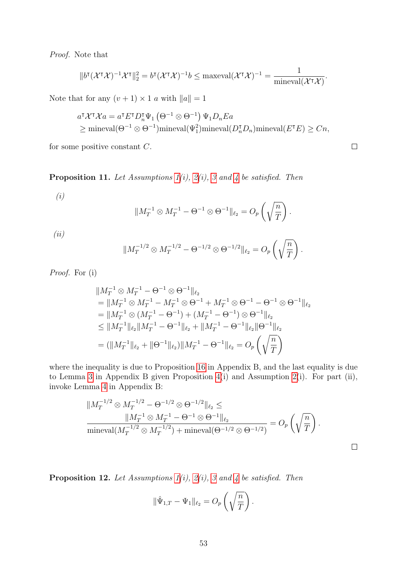Proof. Note that

$$
||b^{T}(\mathcal{X}^{T}\mathcal{X})^{-1}\mathcal{X}^{T}||_{2}^{2} = b^{T}(\mathcal{X}^{T}\mathcal{X})^{-1}b \leq \text{maxeval}(\mathcal{X}^{T}\mathcal{X})^{-1} = \frac{1}{\text{mineval}(\mathcal{X}^{T}\mathcal{X})}.
$$

Note that for any  $(v + 1) \times 1$  a with  $||a|| = 1$ 

$$
a^{\mathsf{T}}\mathcal{X}^{\mathsf{T}}\mathcal{X}a = a^{\mathsf{T}}E^{\mathsf{T}}D_n^{\mathsf{T}}\Psi_1 \left(\Theta^{-1}\otimes\Theta^{-1}\right)\Psi_1D_nEa
$$
  
\n
$$
\geq \text{mineval}(\Theta^{-1}\otimes\Theta^{-1})\text{mineval}(\Psi_1^2)\text{mineval}(D_n^{\mathsf{T}}D_n)\text{mineval}(E^{\mathsf{T}}E) \geq Cn,
$$

for some positive constant  $C$ .

<span id="page-54-0"></span>**Proposition 11.** Let Assumptions  $1(i)$ ,  $2(i)$ , [3](#page-22-2) and [4](#page-23-2) be satisfied. Then

$$
(i)
$$

$$
||M_T^{-1} \otimes M_T^{-1} - \Theta^{-1} \otimes \Theta^{-1}||_{\ell_2} = O_p\left(\sqrt{\frac{n}{T}}\right).
$$

(ii)

$$
||M_T^{-1/2} \otimes M_T^{-1/2} - \Theta^{-1/2} \otimes \Theta^{-1/2}||_{\ell_2} = O_p\left(\sqrt{\frac{n}{T}}\right).
$$

Proof. For (i)

$$
||M_T^{-1} \otimes M_T^{-1} - \Theta^{-1} \otimes \Theta^{-1}||_{\ell_2}
$$
  
=  $||M_T^{-1} \otimes M_T^{-1} - M_T^{-1} \otimes \Theta^{-1} + M_T^{-1} \otimes \Theta^{-1} - \Theta^{-1} \otimes \Theta^{-1}||_{\ell_2}$   
=  $||M_T^{-1} \otimes (M_T^{-1} - \Theta^{-1}) + (M_T^{-1} - \Theta^{-1}) \otimes \Theta^{-1}||_{\ell_2}$   
 $\leq ||M_T^{-1}||_{\ell_2} ||M_T^{-1} - \Theta^{-1}||_{\ell_2} + ||M_T^{-1} - \Theta^{-1}||_{\ell_2} ||\Theta^{-1}||_{\ell_2}$   
=  $(||M_T^{-1}||_{\ell_2} + ||\Theta^{-1}||_{\ell_2}) ||M_T^{-1} - \Theta^{-1}||_{\ell_2} = O_p \left(\sqrt{\frac{n}{T}}\right)$ 

where the inequality is due to Proposition [16](#page-67-0) in Appendix B, and the last equality is due to Lemma [3](#page-66-2) in Appendix B given Proposition [4\(](#page-23-0)i) and Assumption [2\(](#page-22-1)i). For part (ii), invoke Lemma [4](#page-67-3) in Appendix B:

$$
||M_T^{-1/2} \otimes M_T^{-1/2} - \Theta^{-1/2} \otimes \Theta^{-1/2}||_{\ell_2} \le
$$
  

$$
\frac{||M_T^{-1} \otimes M_T^{-1} - \Theta^{-1} \otimes \Theta^{-1}||_{\ell_2}}{\text{mineval}(M_T^{-1/2} \otimes M_T^{-1/2}) + \text{mineval}(\Theta^{-1/2} \otimes \Theta^{-1/2})} = O_p\left(\sqrt{\frac{n}{T}}\right).
$$

<span id="page-54-1"></span>**Proposition 12.** Let Assumptions  $1(i)$ ,  $2(i)$ , [3](#page-22-2) and [4](#page-23-2) be satisfied. Then

$$
\|\hat{\Psi}_{1,T} - \Psi_1\|_{\ell_2} = O_p\left(\sqrt{\frac{n}{T}}\right).
$$

 $\Box$ 

 $\Box$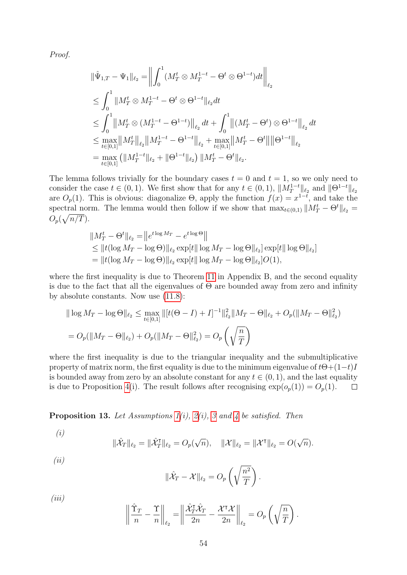Proof.

$$
\begin{aligned}\n\|\hat{\Psi}_{1,T} - \Psi_1\|_{\ell_2} &= \left\| \int_0^1 (M_T^t \otimes M_T^{1-t} - \Theta^t \otimes \Theta^{1-t}) dt \right\|_{\ell_2} \\
&\leq \int_0^1 \|M_T^t \otimes M_T^{1-t} - \Theta^t \otimes \Theta^{1-t}\|_{\ell_2} dt \\
&\leq \int_0^1 \|M_T^t \otimes (M_T^{1-t} - \Theta^{1-t})\|_{\ell_2} dt + \int_0^1 \|(M_T^t - \Theta^t) \otimes \Theta^{1-t}\|_{\ell_2} dt \\
&\leq \max_{t \in [0,1]} \|M_T^t\|_{\ell_2} \|M_T^{1-t} - \Theta^{1-t}\|_{\ell_2} + \max_{t \in [0,1]} \|M_T^t - \Theta^t\| \|\Theta^{1-t}\|_{\ell_2} \\
&= \max_{t \in [0,1]} \left( \|M_T^{1-t}\|_{\ell_2} + \|\Theta^{1-t}\|_{\ell_2} \right) \|M_T^t - \Theta^t\|_{\ell_2}.\n\end{aligned}
$$

The lemma follows trivially for the boundary cases  $t = 0$  and  $t = 1$ , so we only need to consider the case  $t \in (0,1)$ . We first show that for any  $t \in (0,1)$ ,  $||M_T^{1-t}||_{\ell_2}$  and  $||\Theta^{1-t}||_{\ell_2}$ are  $O_p(1)$ . This is obvious: diagonalize  $\Theta$ , apply the function  $f(x) = x^{1-t}$ , and take the spectral norm. The lemma would then follow if we show that  $\max_{t\in(0,1)} ||M_T^t - \Theta^t||_{\ell_2} =$  $O_p(\sqrt{n/T}).$ 

$$
||M_T^t - \Theta^t||_{\ell_2} = ||e^{t \log M_T} - e^{t \log \Theta}||
$$
  
\n
$$
\leq ||t(\log M_T - \log \Theta)||_{\ell_2} \exp[t||\log M_T - \log \Theta||_{\ell_2}] \exp[t||\log \Theta||_{\ell_2}]
$$
  
\n
$$
= ||t(\log M_T - \log \Theta)||_{\ell_2} \exp[t||\log M_T - \log \Theta||_{\ell_2}]O(1),
$$

where the first inequality is due to Theorem [11](#page-68-2) in Appendix B, and the second equality is due to the fact that all the eigenvalues of  $\Theta$  are bounded away from zero and infinity by absolute constants. Now use [\(11.8\)](#page-41-0):

$$
\|\log M_T - \log \Theta\|_{\ell_2} \le \max_{t \in [0,1]} \|[t(\Theta - I) + I]^{-1}\|_{\ell_2}^2 \|M_T - \Theta\|_{\ell_2} + O_p(\|M_T - \Theta\|_{\ell_2}^2)
$$
  
=  $O_p(\|M_T - \Theta\|_{\ell_2}) + O_p(\|M_T - \Theta\|_{\ell_2}^2) = O_p\left(\sqrt{\frac{n}{T}}\right)$ 

where the first inequality is due to the triangular inequality and the submultiplicative property of matrix norm, the first equality is due to the minimum eigenvalue of  $t\Theta+(1-t)I$ is bounded away from zero by an absolute constant for any  $t \in (0, 1)$ , and the last equality is due to Proposition [4\(](#page-23-0)i). The result follows after recognising  $\exp(o_p(1)) = O_p(1)$ .  $\Box$ 

<span id="page-55-0"></span>**Proposition 13.** Let Assumptions  $1(i)$ ,  $2(i)$ , [3](#page-22-2) and [4](#page-23-2) be satisfied. Then

(i)

$$
\|\hat{\mathcal{X}}_T\|_{\ell_2} = \|\hat{\mathcal{X}}_T^{\sf T}\|_{\ell_2} = O_p(\sqrt{n}), \quad \|\mathcal{X}\|_{\ell_2} = \|\mathcal{X}^{\sf T}\|_{\ell_2} = O(\sqrt{n}).
$$

 $(ii)$ 

$$
\|\hat{\mathcal{X}}_T - \mathcal{X}\|_{\ell_2} = O_p\left(\sqrt{\frac{n^2}{T}}\right).
$$

 $(iii)$ 

$$
\left\|\frac{\hat{\Upsilon}_T}{n} - \frac{\Upsilon}{n}\right\|_{\ell_2} = \left\|\frac{\hat{\mathcal{X}}_T^\intercal \hat{\mathcal{X}}_T}{2n} - \frac{\mathcal{X}^\intercal \mathcal{X}}{2n}\right\|_{\ell_2} = O_p\left(\sqrt{\frac{n}{T}}\right)
$$

.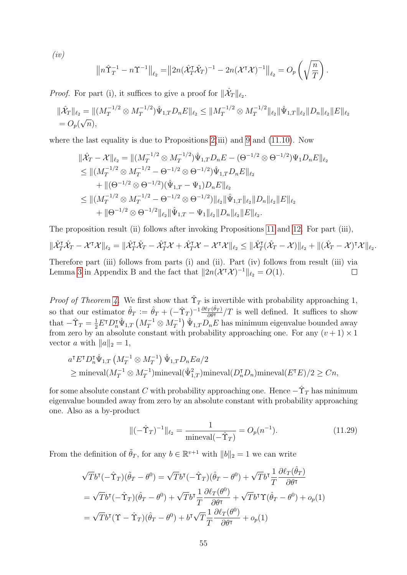(iv)

$$
\left\|n\hat{\Upsilon}_T^{-1} - n\Upsilon^{-1}\right\|_{\ell_2} = \left\|2n(\hat{\mathcal{X}}_T^{\mathsf{T}}\hat{\mathcal{X}}_T)^{-1} - 2n(\mathcal{X}^{\mathsf{T}}\mathcal{X})^{-1}\right\|_{\ell_2} = O_p\left(\sqrt{\frac{n}{T}}\right).
$$

*Proof.* For part (i), it suffices to give a proof for  $\|\hat{\mathcal{X}}_T\|_{\ell_2}$ .

$$
\|\hat{\mathcal{X}}_T\|_{\ell_2} = \|(M_T^{-1/2} \otimes M_T^{-1/2})\hat{\Psi}_{1,T}D_nE\|_{\ell_2} \le \|M_T^{-1/2} \otimes M_T^{-1/2}\|_{\ell_2}\|\hat{\Psi}_{1,T}\|_{\ell_2}\|D_n\|_{\ell_2}\|E\|_{\ell_2}
$$
  
=  $O_p(\sqrt{n}),$ 

where the last equality is due to Propositions [2\(](#page-16-0)iii) and [9](#page-53-0) and [\(11.10\)](#page-42-2). Now

$$
\begin{split}\n\|\hat{\mathcal{X}}_{T} - \mathcal{X}\|_{\ell_{2}} &= \|(\boldsymbol{M}_{T}^{-1/2} \otimes \boldsymbol{M}_{T}^{-1/2})\hat{\Psi}_{1,T}\boldsymbol{D}_{n}\boldsymbol{E} - (\Theta^{-1/2} \otimes \Theta^{-1/2})\Psi_{1}\boldsymbol{D}_{n}\boldsymbol{E}\|_{\ell_{2}} \\
&\leq \|(\boldsymbol{M}_{T}^{-1/2} \otimes \boldsymbol{M}_{T}^{-1/2} - \Theta^{-1/2} \otimes \Theta^{-1/2})\hat{\Psi}_{1,T}\boldsymbol{D}_{n}\boldsymbol{E}\|_{\ell_{2}} \\
&\quad + \|(\Theta^{-1/2} \otimes \Theta^{-1/2})(\hat{\Psi}_{1,T} - \Psi_{1})\boldsymbol{D}_{n}\boldsymbol{E}\|_{\ell_{2}} \\
&\leq \|(\boldsymbol{M}_{T}^{-1/2} \otimes \boldsymbol{M}_{T}^{-1/2} - \Theta^{-1/2} \otimes \Theta^{-1/2})\|_{\ell_{2}} \|\hat{\Psi}_{1,T}\|_{\ell_{2}} \|\boldsymbol{D}_{n}\|_{\ell_{2}} \|\boldsymbol{E}\|_{\ell_{2}} \\
&\quad + \|\Theta^{-1/2} \otimes \Theta^{-1/2}\|_{\ell_{2}} \|\hat{\Psi}_{1,T} - \Psi_{1}\|_{\ell_{2}} \|\boldsymbol{D}_{n}\|_{\ell_{2}} \|\boldsymbol{E}\|_{\ell_{2}}.\n\end{split}
$$

The proposition result (ii) follows after invoking Propositions [11](#page-54-0) and [12.](#page-54-1) For part (iii),

$$
\|\hat{\mathcal{X}}_T^{\intercal}\hat{\mathcal{X}}_T - \mathcal{X}^{\intercal}\mathcal{X}\|_{\ell_2} = \|\hat{\mathcal{X}}_T^{\intercal}\hat{\mathcal{X}}_T - \hat{\mathcal{X}}_T^{\intercal}\mathcal{X} + \hat{\mathcal{X}}_T^{\intercal}\mathcal{X} - \mathcal{X}^{\intercal}\mathcal{X}\|_{\ell_2} \le \|\hat{\mathcal{X}}_T^{\intercal}(\hat{\mathcal{X}}_T - \mathcal{X})\|_{\ell_2} + \|(\hat{\mathcal{X}}_T - \mathcal{X})^{\intercal}\mathcal{X}\|_{\ell_2}.
$$
\nTherefore part (iii) follows from parts (i) and (ii). Part (iv) follows from result (iii) via Lemma 3 in Appendix B and the fact that  $||2n(\mathcal{X}^{\intercal}\mathcal{X})^{-1}||_{\ell_2} = O(1).$ 

*Proof of Theorem [4.](#page-28-0)* We first show that  $\hat{\Upsilon}_T$  is invertible with probability approaching 1, so that our estimator  $\tilde{\theta}_T := \hat{\theta}_T + (-\hat{\Upsilon}_T)^{-1} \frac{\partial \ell_T(\hat{\theta}_T)}{\partial \theta^T} / T$  is well defined. It suffices to show that  $-\hat{\Upsilon}_T = \frac{1}{2} E^{\intercal} D_n^{\intercal} \hat{\Psi}_{1,T} (M_T^{-1} \otimes M_T^{-1}) \hat{\Psi}_{1,T} D_n E$  has minimum eigenvalue bounded away from zero by an absolute constant with probability approaching one. For any  $(v + 1) \times 1$ 

vector a with 
$$
||a||_2 = 1
$$
,

$$
a^{\mathsf{T}} E^{\mathsf{T}} D_n^{\mathsf{T}} \hat{\Psi}_{1,T} \left( M_T^{-1} \otimes M_T^{-1} \right) \hat{\Psi}_{1,T} D_n E a/2
$$
  
\n
$$
\geq \text{mineval}(M_T^{-1} \otimes M_T^{-1}) \text{mineval}(\hat{\Psi}_{1,T}^2) \text{mineval}(D_n^{\mathsf{T}} D_n) \text{mineval}(E^{\mathsf{T}} E)/2 \geq Cn,
$$

for some absolute constant  $C$  with probability approaching one. Hence  $-\hat{\Upsilon}_T$  has minimum eigenvalue bounded away from zero by an absolute constant with probability approaching one. Also as a by-product

<span id="page-56-0"></span>
$$
\|(-\hat{\Upsilon}_T)^{-1}\|_{\ell_2} = \frac{1}{\text{mineval}(-\hat{\Upsilon}_T)} = O_p(n^{-1}).\tag{11.29}
$$

From the definition of  $\tilde{\theta}_T$ , for any  $b \in \mathbb{R}^{v+1}$  with  $||b||_2 = 1$  we can write

$$
\sqrt{T}b^{T}(-\hat{\Upsilon}_{T})(\tilde{\theta}_{T}-\theta^{0}) = \sqrt{T}b^{T}(-\hat{\Upsilon}_{T})(\hat{\theta}_{T}-\theta^{0}) + \sqrt{T}b^{T}\frac{1}{T}\frac{\partial\ell_{T}(\hat{\theta}_{T})}{\partial\theta^{T}}
$$
  
=\sqrt{T}b^{T}(-\hat{\Upsilon}\_{T})(\hat{\theta}\_{T}-\theta^{0}) + \sqrt{T}b^{T}\frac{1}{T}\frac{\partial\ell\_{T}(\theta^{0})}{\partial\theta^{T}} + \sqrt{T}b^{T}\Upsilon(\hat{\theta}\_{T}-\theta^{0}) + o\_{p}(1)  
=\sqrt{T}b^{T}(\Upsilon - \hat{\Upsilon}\_{T})(\hat{\theta}\_{T}-\theta^{0}) + b^{T}\sqrt{T}\frac{1}{T}\frac{\partial\ell\_{T}(\theta^{0})}{\partial\theta^{T}} + o\_{p}(1)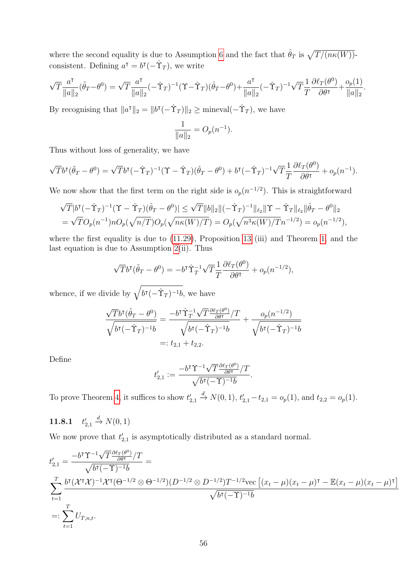where the second equality is due to Assumption [6](#page-27-0) and the fact that  $\hat{\theta}_T$  is  $\sqrt{T/(n\kappa(W))}$ . consistent. Defining  $a^{\dagger} = b^{\dagger}(-\hat{\Upsilon}_T)$ , we write

$$
\sqrt{T} \frac{a^{\mathsf{T}}}{\|a\|_2} (\tilde{\theta}_T - \theta^0) = \sqrt{T} \frac{a^{\mathsf{T}}}{\|a\|_2} (-\hat{\Upsilon}_T)^{-1} (\Upsilon - \hat{\Upsilon}_T) (\hat{\theta}_T - \theta^0) + \frac{a^{\mathsf{T}}}{\|a\|_2} (-\hat{\Upsilon}_T)^{-1} \sqrt{T} \frac{1}{T} \frac{\partial \ell_T(\theta^0)}{\partial \theta^{\mathsf{T}}} + \frac{o_p(1)}{\|a\|_2}.
$$

By recognising that  $||a^{\dagger}||_2 = ||b^{\dagger}(-\hat{\Upsilon}_T)||_2 \ge \text{mineval}(-\hat{\Upsilon}_T)$ , we have

$$
\frac{1}{\|a\|_2} = O_p(n^{-1}).
$$

Thus without loss of generality, we have

$$
\sqrt{T}b^{T}(\tilde{\theta}_{T}-\theta^{0})=\sqrt{T}b^{T}(-\hat{\Upsilon}_{T})^{-1}(\Upsilon-\hat{\Upsilon}_{T})(\hat{\theta}_{T}-\theta^{0})+b^{T}(-\hat{\Upsilon}_{T})^{-1}\sqrt{T}\frac{1}{T}\frac{\partial\ell_{T}(\theta^{0})}{\partial\theta^{T}}+o_{p}(n^{-1}).
$$

We now show that the first term on the right side is  $o_p(n^{-1/2})$ . This is straightforward

$$
\sqrt{T}|b^{\dagger}(-\hat{\Upsilon}_T)^{-1}(\Upsilon - \hat{\Upsilon}_T)(\hat{\theta}_T - \theta^0)| \leq \sqrt{T}||b||_2||(-\hat{\Upsilon}_T)^{-1}||_{\ell_2}||\Upsilon - \hat{\Upsilon}_T||_{\ell_2}||\hat{\theta}_T - \theta^0||_2
$$
  
=  $\sqrt{T}O_p(n^{-1})nO_p(\sqrt{n/T})O_p(\sqrt{n\kappa(W)/T}) = O_p(\sqrt{n^3\kappa(W)/T}n^{-1/2}) = o_p(n^{-1/2}),$ 

where the first equality is due to  $(11.29)$ , Proposition [13](#page-55-0) (iii) and Theorem [1,](#page-23-1) and the last equation is due to Assumption [2\(](#page-22-1)ii). Thus

$$
\sqrt{T}b^{T}(\tilde{\theta}_{T}-\theta^{0})=-b^{T}\hat{\Upsilon}_{T}^{-1}\sqrt{T}\frac{1}{T}\frac{\partial\ell_{T}(\theta^{0})}{\partial\theta^{T}}+o_{p}(n^{-1/2}),
$$

whence, if we divide by  $\sqrt{b^{\dagger}(-\hat{\Upsilon}_T)^{-1}b}$ , we have

$$
\frac{\sqrt{T}b^{\mathsf{T}}(\tilde{\theta}_{T}-\theta^{0})}{\sqrt{b^{\mathsf{T}}(-\hat{\Upsilon}_{T})^{-1}b}} = \frac{-b^{\mathsf{T}}\hat{\Upsilon}_{T}^{-1}\sqrt{T}\frac{\partial \ell_{T}(\theta^{0})}{\partial \theta^{\mathsf{T}}}/T}{\sqrt{b^{\mathsf{T}}(-\hat{\Upsilon}_{T})^{-1}b}} + \frac{o_{p}(n^{-1/2})}{\sqrt{b^{\mathsf{T}}(-\hat{\Upsilon}_{T})^{-1}b}}
$$

$$
=: t_{2,1} + t_{2,2}.
$$

Define

$$
t'_{2,1}:=\frac{-b^{\intercal}\Upsilon^{-1}\sqrt{T}\frac{\partial\ell_T(\theta^0)}{\partial\theta^{\intercal}}/T}{\sqrt{b^{\intercal}(-\Upsilon)^{-1}b}}
$$

.

To prove Theorem [4,](#page-28-0) it suffices to show  $t'_{2,1}$  $\stackrel{d}{\rightarrow} N(0, 1), t'_{2,1} - t_{2,1} = o_p(1), \text{ and } t_{2,2} = o_p(1).$ 

**11.8.1** 
$$
t'_{2,1} \stackrel{d}{\to} N(0, 1)
$$

We now prove that  $t'_{2,1}$  is asymptotically distributed as a standard normal.

$$
t'_{2,1} = \frac{-b^{\dagger} \Upsilon^{-1} \sqrt{T} \frac{\partial \ell_T(\theta^0)}{\partial \theta^{\dagger}} / T}{\sqrt{b^{\dagger} (-\Upsilon)^{-1} b}} =
$$
  

$$
\sum_{t=1}^{T} \frac{b^{\dagger} (\mathcal{X}^{\dagger} \mathcal{X})^{-1} \mathcal{X}^{\dagger} (\Theta^{-1/2} \otimes \Theta^{-1/2}) (D^{-1/2} \otimes D^{-1/2}) T^{-1/2} \text{vec} \left[ (x_t - \mu)(x_t - \mu)^{\dagger} - \mathbb{E}(x_t - \mu)(x_t - \mu)^{\dagger} \right]}{\sqrt{b^{\dagger} (-\Upsilon)^{-1} b}}
$$
  

$$
=: \sum_{t=1}^{T} U_{T,n,t}.
$$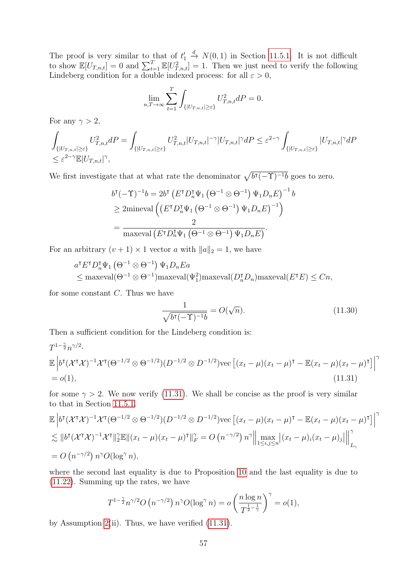The proof is very similar to that of  $t_1$  $\stackrel{d}{\rightarrow} N(0,1)$  in Section [11.5.1.](#page-44-2) It is not difficult to show  $\mathbb{E}[U_{T,n,t}] = 0$  and  $\sum_{t=1}^T \mathbb{E}[U_{T,n,t}^2] = 1$ . Then we just need to verify the following Lindeberg condition for a double indexed process: for all  $\varepsilon > 0$ ,

$$
\lim_{n,T \to \infty} \sum_{t=1}^{T} \int_{\{|U_{T,n,t}| \ge \varepsilon\}} U_{T,n,t}^2 dP = 0.
$$

For any  $\gamma > 2$ ,

$$
\int_{\{|U_{T,n,t}|\geq \varepsilon\}} U_{T,n,t}^2 dP = \int_{\{|U_{T,n,t}|\geq \varepsilon\}} U_{T,n,t}^2 |U_{T,n,t}|^{-\gamma} |U_{T,n,t}|^{\gamma} dP \leq \varepsilon^{2-\gamma} \int_{\{|U_{T,n,t}|\geq \varepsilon\}} |U_{T,n,t}|^{\gamma} dP
$$
\n
$$
\leq \varepsilon^{2-\gamma} \mathbb{E} |U_{T,n,t}|^{\gamma},
$$

We first investigate that at what rate the denominator  $\sqrt{b\tau(-\Upsilon)^{-1}b}$  goes to zero.

$$
b^{T}(-\Upsilon)^{-1}b = 2b^{T} \left( E^{T} D_{n}^{T} \Psi_{1} \left( \Theta^{-1} \otimes \Theta^{-1} \right) \Psi_{1} D_{n} E \right)^{-1} b
$$
  
\n
$$
\geq 2 \text{mineval} \left( \left( E^{T} D_{n}^{T} \Psi_{1} \left( \Theta^{-1} \otimes \Theta^{-1} \right) \Psi_{1} D_{n} E \right)^{-1} \right)
$$
  
\n
$$
= \frac{2}{\text{maxeval} \left( E^{T} D_{n}^{T} \Psi_{1} \left( \Theta^{-1} \otimes \Theta^{-1} \right) \Psi_{1} D_{n} E \right)}.
$$

For an arbitrary  $(v + 1) \times 1$  vector a with  $||a||_2 = 1$ , we have

$$
a^{\mathsf{T}} E^{\mathsf{T}} D_n^{\mathsf{T}} \Psi_1 \left( \Theta^{-1} \otimes \Theta^{-1} \right) \Psi_1 D_n E a
$$
  

$$
\leq \text{maxeval}(\Theta^{-1} \otimes \Theta^{-1}) \text{maxeval}(\Psi_1^2) \text{maxeval}(D_n^{\mathsf{T}} D_n) \text{maxeval}(E^{\mathsf{T}} E) \leq C n,
$$

for some constant  $C$ . Thus we have

<span id="page-58-1"></span><span id="page-58-0"></span>
$$
\frac{1}{\sqrt{b^{\dagger}(-\Upsilon)^{-1}b}} = O(\sqrt{n}).
$$
\n(11.30)

Then a sufficient condition for the Lindeberg condition is:

$$
T^{1-\frac{\gamma}{2}}n^{\gamma/2}.
$$
  
\n
$$
\mathbb{E}\left|b^{\dagger}(\mathcal{X}^{\dagger}\mathcal{X})^{-1}\mathcal{X}^{\dagger}(\Theta^{-1/2}\otimes\Theta^{-1/2})(D^{-1/2}\otimes D^{-1/2})\text{vec}\left[(x_t-\mu)(x_t-\mu)^{\dagger}-\mathbb{E}(x_t-\mu)(x_t-\mu)^{\dagger}\right]\right|
$$
  
\n= o(1), (11.31)

for some  $\gamma > 2$ . We now verify [\(11.31\)](#page-58-0). We shall be concise as the proof is very similar to that in Section [11.5.1.](#page-44-2)

$$
\mathbb{E}\left|b^{\mathsf{T}}(\mathcal{X}^{\mathsf{T}}\mathcal{X})^{-1}\mathcal{X}^{\mathsf{T}}(\Theta^{-1/2}\otimes\Theta^{-1/2})(D^{-1/2}\otimes D^{-1/2})\text{vec}\left[(x_{t}-\mu)(x_{t}-\mu)^{\mathsf{T}}-\mathbb{E}(x_{t}-\mu)(x_{t}-\mu)^{\mathsf{T}}\right]\right|^{2}
$$
  
\n
$$
\lesssim \|b^{\mathsf{T}}(\mathcal{X}^{\mathsf{T}}\mathcal{X})^{-1}\mathcal{X}^{\mathsf{T}}\|_{2}^{\gamma}\mathbb{E}\|(x_{t}-\mu)(x_{t}-\mu)^{\mathsf{T}}\|_{F}^{2}=O\left(n^{-\gamma/2}\right)n^{\gamma}\Big\|\max_{1\leq i,j\leq n}\left|(x_{t}-\mu)_{i}(x_{t}-\mu)_{j}\right|\Big\|_{L_{\gamma}}^{\gamma}
$$
  
\n=  $O\left(n^{-\gamma/2}\right)n^{\gamma}O(\log^{\gamma}n),$ 

where the second last equality is due to Proposition [10](#page-53-1) and the last equality is due to [\(11.22\)](#page-46-0). Summing up the rates, we have

$$
T^{1-\frac{\gamma}{2}}n^{\gamma/2}O\left(n^{-\gamma/2}\right)n^{\gamma}O(\log^{\gamma} n)=o\left(\frac{n\log n}{T^{\frac{1}{2}-\frac{1}{\gamma}}}\right)^{\gamma}=o(1),
$$

by Assumption [2\(](#page-22-1)ii). Thus, we have verified  $(11.31)$ .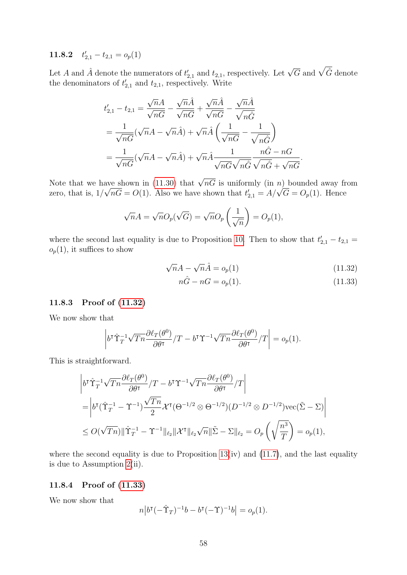11.8.2  $t'_{2,1} - t_{2,1} = o_p(1)$ 

Let A and  $\hat{A}$  denote the numerators of  $t'_{2,1}$  and  $t_{2,1}$ , respectively. Let  $\sqrt{G}$  and  $\sqrt{\hat{G}}$  denote the denominators of  $t'_{2,1}$  and  $t_{2,1}$ , respectively. Write

$$
t'_{2,1} - t_{2,1} = \frac{\sqrt{n}\hat{A}}{\sqrt{n}\hat{G}} - \frac{\sqrt{n}\hat{A}}{\sqrt{n}\hat{G}} + \frac{\sqrt{n}\hat{A}}{\sqrt{n}\hat{G}} - \frac{\sqrt{n}\hat{A}}{\sqrt{n}\hat{G}}
$$
  

$$
= \frac{1}{\sqrt{n}\hat{G}}(\sqrt{n}A - \sqrt{n}\hat{A}) + \sqrt{n}\hat{A}\left(\frac{1}{\sqrt{n}\hat{G}} - \frac{1}{\sqrt{n}\hat{G}}\right)
$$
  

$$
= \frac{1}{\sqrt{n}\hat{G}}(\sqrt{n}A - \sqrt{n}\hat{A}) + \sqrt{n}\hat{A}\frac{1}{\sqrt{n}\hat{G}\sqrt{n}\hat{G}}\frac{n\hat{G} - nG}{\sqrt{n}\hat{G} + \sqrt{n}\hat{G}}
$$

Note that we have shown in [\(11.30\)](#page-58-1) that  $\sqrt{nG}$  is uniformly (in n) bounded away from Note that we have shown in (11.30) that  $\sqrt{n}G$  is uniformly (in *n*) bounded away in zero, that is,  $1/\sqrt{nG} = O(1)$ . Also we have shown that  $t'_{2,1} = A/\sqrt{G} = O_p(1)$ . Hence

$$
\sqrt{n}A = \sqrt{n}O_p(\sqrt{G}) = \sqrt{n}O_p\left(\frac{1}{\sqrt{n}}\right) = O_p(1),
$$

where the second last equality is due to Proposition [10.](#page-53-1) Then to show that  $t'_{2,1} - t_{2,1} =$  $o_p(1)$ , it suffices to show

$$
\sqrt{n}A - \sqrt{n}\hat{A} = o_p(1) \tag{11.32}
$$

$$
n\hat{G} - nG = o_p(1). \tag{11.33}
$$

<span id="page-59-1"></span><span id="page-59-0"></span>.

#### 11.8.3 Proof of [\(11.32\)](#page-59-0)

We now show that

$$
\left| b^{\mathsf{T}} \hat{\Upsilon}_T^{-1} \sqrt{Tn} \frac{\partial \ell_T(\theta^0)}{\partial \theta^{\mathsf{T}}} / T - b^{\mathsf{T}} \Upsilon^{-1} \sqrt{Tn} \frac{\partial \ell_T(\theta^0)}{\partial \theta^{\mathsf{T}}} / T \right| = o_p(1).
$$

This is straightforward.

$$
\begin{split} &\left|b^{\intercal}\hat{\Upsilon}_{T}^{-1}\sqrt{Tn}\frac{\partial\ell_{T}(\theta^{0})}{\partial\theta^{\intercal}}/T-b^{\intercal}\Upsilon^{-1}\sqrt{Tn}\frac{\partial\ell_{T}(\theta^{0})}{\partial\theta^{\intercal}}/T\right| \\ &=\left|b^{\intercal}(\hat{\Upsilon}_{T}^{-1}-\Upsilon^{-1})\frac{\sqrt{Tn}}{2}\mathcal{X}^{\intercal}(\Theta^{-1/2}\otimes\Theta^{-1/2})(D^{-1/2}\otimes D^{-1/2})\text{vec}(\tilde{\Sigma}-\Sigma)\right| \\ &\leq O(\sqrt{Tn})\|\hat{\Upsilon}_{T}^{-1}-\Upsilon^{-1}\|_{\ell_{2}}\|\mathcal{X}^{\intercal}\|_{\ell_{2}}\sqrt{n}\|\tilde{\Sigma}-\Sigma\|_{\ell_{2}}=O_{p}\left(\sqrt{\frac{n^{3}}{T}}\right)=o_{p}(1), \end{split}
$$

where the second equality is due to Proposition  $13(iv)$  and  $(11.7)$ , and the last equality is due to Assumption [2\(](#page-22-1)ii).

#### 11.8.4 Proof of [\(11.33\)](#page-59-1)

We now show that

$$
n\big|b^{\mathsf{T}}(-\hat{\Upsilon}_T)^{-1}b - b^{\mathsf{T}}(-\Upsilon)^{-1}b\big| = o_p(1).
$$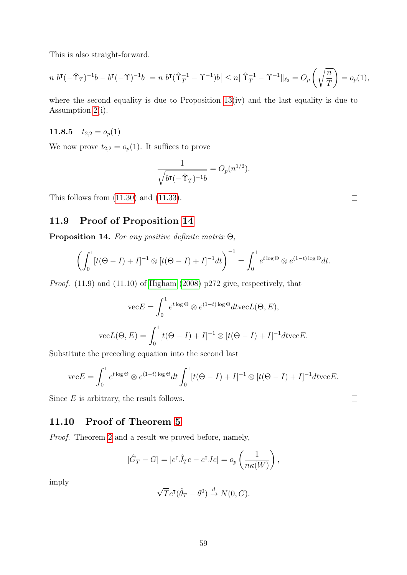This is also straight-forward.

$$
n|b^{(T)}(\hat{\Upsilon}_T)^{-1}b - b^{(T)}(\hat{\Upsilon}_T)^{-1}b| = n|b^{(T)}(\hat{\Upsilon}_T^{-1} - \hat{\Upsilon}_T^{-1})b| \le n\|\hat{\Upsilon}_T^{-1} - \hat{\Upsilon}_T^{-1}\|_{\ell_2} = O_p\left(\sqrt{\frac{n}{T}}\right) = o_p(1),
$$

where the second equality is due to Proposition [13\(](#page-55-0)iv) and the last equality is due to Assumption [2\(](#page-22-1)i).

### 11.8.5  $t_{2,2} = o_p(1)$

We now prove  $t_{2,2} = o_p(1)$ . It suffices to prove

$$
\frac{1}{\sqrt{b^{\intercal}(-\hat{\Upsilon}_T)^{-1}b}} = O_p(n^{1/2}).
$$

This follows from [\(11.30\)](#page-58-1) and [\(11.33\)](#page-59-1).

## 11.9 Proof of Proposition [14](#page-60-0)

<span id="page-60-0"></span>**Proposition 14.** For any positive definite matrix  $\Theta$ ,

$$
\left(\int_0^1 [t(\Theta - I) + I]^{-1} \otimes [t(\Theta - I) + I]^{-1} dt\right)^{-1} = \int_0^1 e^{t \log \Theta} \otimes e^{(1-t) \log \Theta} dt.
$$

Proof. (11.9) and (11.10) of [Higham](#page-70-0) [\(2008\)](#page-70-0) p272 give, respectively, that

$$
\text{vec}E = \int_0^1 e^{t \log \Theta} \otimes e^{(1-t) \log \Theta} dt \text{vec}L(\Theta, E),
$$

$$
\text{vec}L(\Theta, E) = \int_0^1 [t(\Theta - I) + I]^{-1} \otimes [t(\Theta - I) + I]^{-1} dt \text{vec}E.
$$

Substitute the preceding equation into the second last

$$
\mathrm{vec}E = \int_0^1 e^{t \log \Theta} \otimes e^{(1-t) \log \Theta} dt \int_0^1 [t(\Theta - I) + I]^{-1} \otimes [t(\Theta - I) + I]^{-1} dt \mathrm{vec}E.
$$

Since  $E$  is arbitrary, the result follows.

# 11.10 Proof of Theorem [5](#page-29-0)

Proof. Theorem [2](#page-25-0) and a result we proved before, namely,

$$
|\hat{G}_T - G| = |c^{\mathsf{T}} \hat{J}_T c - c^{\mathsf{T}} J c| = o_p \left( \frac{1}{n \kappa(W)} \right),
$$

imply

$$
\sqrt{T}c^{\mathsf{T}}(\hat{\theta}_T - \theta^0) \xrightarrow{d} N(0, G).
$$

 $\Box$ 

 $\Box$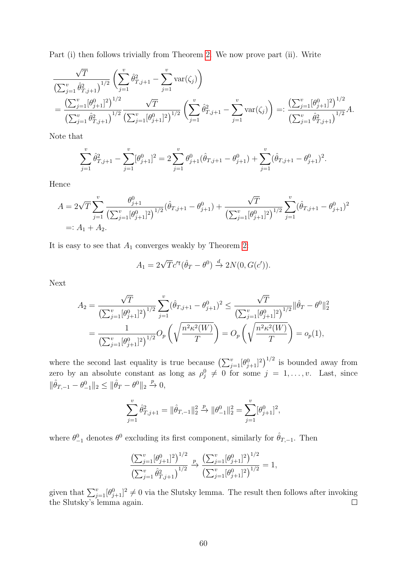Part (i) then follows trivially from Theorem [2.](#page-25-0) We now prove part (ii). Write

$$
\frac{\sqrt{T}}{\left(\sum_{j=1}^{v} \hat{\theta}_{T,j+1}^{2}\right)^{1/2}} \left(\sum_{j=1}^{v} \hat{\theta}_{T,j+1}^{2} - \sum_{j=1}^{v} \text{var}(\zeta_{j})\right)
$$
\n
$$
= \frac{\left(\sum_{j=1}^{v} [\theta_{j+1}^{0}]^{2}\right)^{1/2}}{\left(\sum_{j=1}^{v} \hat{\theta}_{T,j+1}^{2}\right)^{1/2}} \frac{\sqrt{T}}{\left(\sum_{j=1}^{v} [\theta_{j+1}^{0}]^{2}\right)^{1/2}} \left(\sum_{j=1}^{v} \hat{\theta}_{T,j+1}^{2} - \sum_{j=1}^{v} \text{var}(\zeta_{j})\right) =: \frac{\left(\sum_{j=1}^{v} [\theta_{j+1}^{0}]^{2}\right)^{1/2}}{\left(\sum_{j=1}^{v} \hat{\theta}_{T,j+1}^{2}\right)^{1/2}} A.
$$

Note that

$$
\sum_{j=1}^{v} \hat{\theta}_{T,j+1}^{2} - \sum_{j=1}^{v} [\theta_{j+1}^{0}]^{2} = 2 \sum_{j=1}^{v} \theta_{j+1}^{0} (\hat{\theta}_{T,j+1} - \theta_{j+1}^{0}) + \sum_{j=1}^{v} (\hat{\theta}_{T,j+1} - \theta_{j+1}^{0})^{2}.
$$

Hence

$$
A = 2\sqrt{T} \sum_{j=1}^{v} \frac{\theta_{j+1}^{0}}{\left(\sum_{j=1}^{v} [\theta_{j+1}^{0}]^{2}\right)^{1/2}} (\hat{\theta}_{T,j+1} - \theta_{j+1}^{0}) + \frac{\sqrt{T}}{\left(\sum_{j=1}^{v} [\theta_{j+1}^{0}]^{2}\right)^{1/2}} \sum_{j=1}^{v} (\hat{\theta}_{T,j+1} - \theta_{j+1}^{0})^{2}
$$
  
=: A<sub>1</sub> + A<sub>2</sub>.

It is easy to see that  $A_1$  converges weakly by Theorem [2:](#page-25-0)

$$
A_1 = 2\sqrt{T}c^{t\intercal}(\hat{\theta}_T - \theta^0) \xrightarrow{d} 2N(0, G(c')).
$$

Next

$$
A_2 = \frac{\sqrt{T}}{\left(\sum_{j=1}^v [\theta_{j+1}^0]^2\right)^{1/2}} \sum_{j=1}^v (\hat{\theta}_{T,j+1} - \theta_{j+1}^0)^2 \le \frac{\sqrt{T}}{\left(\sum_{j=1}^v [\theta_{j+1}^0]^2\right)^{1/2}} \|\hat{\theta}_T - \theta^0\|_2^2
$$
  
= 
$$
\frac{1}{\left(\sum_{j=1}^v [\theta_{j+1}^0]^2\right)^{1/2}} O_p\left(\sqrt{\frac{n^2 \kappa^2(W)}{T}}\right) = O_p\left(\sqrt{\frac{n^2 \kappa^2(W)}{T}}\right) = o_p(1),
$$

where the second last equality is true because  $\left(\sum_{j=1}^v[\theta_{j+1}^0]^2\right)^{1/2}$  is bounded away from zero by an absolute constant as long as  $\rho_j^0 \neq 0$  for some  $j = 1, \ldots, v$ . Last, since  $\label{eq:estH} \|\hat{\theta}_{T,-1} - \theta_{-1}^0\|_2 \leq \|\hat{\theta}_T - \theta^0\|_2 \xrightarrow{p} 0,$ 

$$
\sum_{j=1}^{v} \hat{\theta}_{T,j+1}^{2} = \|\hat{\theta}_{T,-1}\|_{2}^{2} \xrightarrow{p} \|\theta_{-1}^{0}\|_{2}^{2} = \sum_{j=1}^{v} [\theta_{j+1}^{0}]^{2},
$$

where  $\theta_{-1}^0$  denotes  $\theta^0$  excluding its first component, similarly for  $\hat{\theta}_{T,-1}$ . Then

$$
\frac{\left(\sum_{j=1}^v [\theta_{j+1}^0]^2\right)^{1/2}}{\left(\sum_{j=1}^v \hat{\theta}_{T,j+1}^2\right)^{1/2}} \xrightarrow{p} \frac{\left(\sum_{j=1}^v [\theta_{j+1}^0]^2\right)^{1/2}}{\left(\sum_{j=1}^v [\theta_{j+1}^0]^2\right)^{1/2}} = 1,
$$

given that  $\sum_{j=1}^{v} [\theta_{j+1}^0]^2 \neq 0$  via the Slutsky lemma. The result then follows after invoking the Slutsky's lemma again.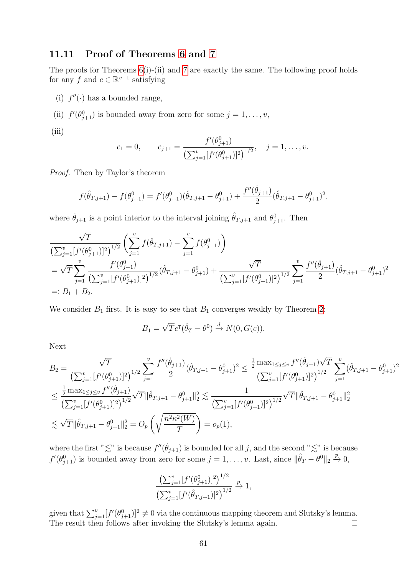### 11.11 Proof of Theorems [6](#page-30-0) and [7](#page-30-1)

The proofs for Theorems [6\(](#page-30-0)i)-(ii) and [7](#page-30-1) are exactly the same. The following proof holds for any f and  $c \in \mathbb{R}^{v+1}$  satisfying

- (i)  $f''(\cdot)$  has a bounded range,
- (ii)  $f'(\theta_{j+1}^0)$  is bounded away from zero for some  $j = 1, \ldots, v$ ,

(iii)

$$
c_1 = 0, \qquad c_{j+1} = \frac{f'(\theta_{j+1}^0)}{\left(\sum_{j=1}^v [f'(\theta_{j+1}^0)]^2\right)^{1/2}}, \quad j = 1, \dots, v.
$$

Proof. Then by Taylor's theorem

$$
f(\hat{\theta}_{T,j+1}) - f(\theta_{j+1}^0) = f'(\theta_{j+1}^0)(\hat{\theta}_{T,j+1} - \theta_{j+1}^0) + \frac{f''(\hat{\theta}_{j+1})}{2}(\hat{\theta}_{T,j+1} - \theta_{j+1}^0)^2,
$$

where  $\dot{\theta}_{j+1}$  is a point interior to the interval joining  $\hat{\theta}_{T,j+1}$  and  $\theta_{j+1}^0$ . Then

$$
\frac{\sqrt{T}}{\left(\sum_{j=1}^{v} [f'(\theta_{j+1}^{0})]^{2}\right)^{1/2}} \left(\sum_{j=1}^{v} f(\hat{\theta}_{T,j+1}) - \sum_{j=1}^{v} f(\theta_{j+1}^{0})\right)
$$
\n
$$
= \sqrt{T} \sum_{j=1}^{v} \frac{f'(\theta_{j+1}^{0})}{\left(\sum_{j=1}^{v} [f'(\theta_{j+1}^{0})]^{2}\right)^{1/2}} (\hat{\theta}_{T,j+1} - \theta_{j+1}^{0}) + \frac{\sqrt{T}}{\left(\sum_{j=1}^{v} [f'(\theta_{j+1}^{0})]^{2}\right)^{1/2}} \sum_{j=1}^{v} \frac{f''(\hat{\theta}_{j+1})}{2} (\hat{\theta}_{T,j+1} - \theta_{j+1}^{0})^{2}
$$
\n
$$
=: B_{1} + B_{2}.
$$

We consider  $B_1$  first. It is easy to see that  $B_1$  converges weakly by Theorem [2:](#page-25-0)

$$
B_1 = \sqrt{T}c^{\mathsf{T}}(\hat{\theta}_T - \theta^0) \xrightarrow{d} N(0, G(c)).
$$

Next

$$
B_2 = \frac{\sqrt{T}}{\left(\sum_{j=1}^v [f'(\theta_{j+1}^0)]^2\right)^{1/2}} \sum_{j=1}^v \frac{f''(\dot{\theta}_{j+1})}{2} (\hat{\theta}_{T,j+1} - \theta_{j+1}^0)^2 \le \frac{\frac{1}{2} \max_{1 \le j \le v} f''(\dot{\theta}_{j+1}) \sqrt{T}}{\left(\sum_{j=1}^v [f'(\theta_{j+1}^0)]^2\right)^{1/2}} \sum_{j=1}^v (\hat{\theta}_{T,j+1} - \theta_{j+1}^0)^2
$$
  

$$
\le \frac{\frac{1}{2} \max_{1 \le j \le v} f''(\dot{\theta}_{j+1})}{\left(\sum_{j=1}^v [f'(\theta_{j+1}^0)]^2\right)^{1/2}} \sqrt{T} \|\hat{\theta}_{T,j+1} - \theta_{j+1}^0\|_2^2 \le \frac{1}{\left(\sum_{j=1}^v [f'(\theta_{j+1}^0)]^2\right)^{1/2}} \sqrt{T} \|\hat{\theta}_{T,j+1} - \theta_{j+1}^0\|_2^2
$$
  

$$
\lesssim \sqrt{T} \|\hat{\theta}_{T,j+1} - \theta_{j+1}^0\|_2^2 = O_p\left(\sqrt{\frac{n^2 \kappa^2(W)}{T}}\right) = o_p(1),
$$

where the first " $\lesssim$ " is because  $f''(\dot{\theta}_{j+1})$  is bounded for all j, and the second " $\lesssim$ " is because  $f'(\theta_{j+1}^0)$  is bounded away from zero for some  $j = 1, \ldots, v$ . Last, since  $\|\hat{\theta}_T - \theta^0\|_2 \overset{p}{\to} 0$ ,

$$
\frac{\left(\sum_{j=1}^v [f'(\theta_{j+1}^0)]^2\right)^{1/2}}{\left(\sum_{j=1}^v [f'(\hat{\theta}_{T,j+1})]^2\right)^{1/2}} \xrightarrow{p} 1,
$$

given that  $\sum_{j=1}^v [f'(\theta_{j+1}^0)]^2 \neq 0$  via the continuous mapping theorem and Slutsky's lemma. The result then follows after invoking the Slutsky's lemma again.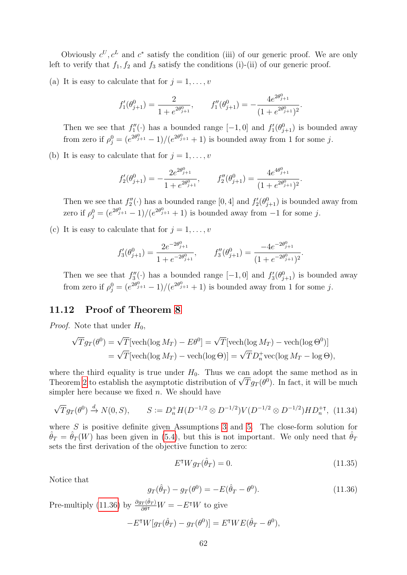Obviously  $c^U, c^L$  and  $c^*$  satisfy the condition (iii) of our generic proof. We are only left to verify that  $f_1, f_2$  and  $f_3$  satisfy the conditions (i)-(ii) of our generic proof.

(a) It is easy to calculate that for  $j = 1, \ldots, v$ 

$$
f_1'(\theta_{j+1}^0) = \frac{2}{1 + e^{2\theta_{j+1}^0}}, \qquad f_1''(\theta_{j+1}^0) = -\frac{4e^{2\theta_{j+1}^0}}{(1 + e^{2\theta_{j+1}^0})^2}.
$$

Then we see that  $f_1''(\cdot)$  has a bounded range  $[-1,0]$  and  $f_1'(\theta_{j+1}^0)$  is bounded away from zero if  $\rho_j^0 = (e^{2\theta_{j+1}^0} - 1)/(e^{2\theta_{j+1}^0} + 1)$  is bounded away from 1 for some j.

(b) It is easy to calculate that for  $j = 1, \ldots, v$ 

$$
f_2'(\theta_{j+1}^0) = -\frac{2e^{2\theta_{j+1}^0}}{1 + e^{2\theta_{j+1}^0}}, \qquad f_2''(\theta_{j+1}^0) = \frac{4e^{4\theta_{j+1}^0}}{(1 + e^{2\theta_{j+1}^0})^2}.
$$

Then we see that  $f_2''(\cdot)$  has a bounded range  $[0, 4]$  and  $f_2'(\theta_{j+1}^0)$  is bounded away from zero if  $\rho_j^0 = (e^{2\theta_{j+1}^0} - 1)/(e^{2\theta_{j+1}^0} + 1)$  is bounded away from  $-1$  for some j.

(c) It is easy to calculate that for  $j = 1, \ldots, v$ 

$$
f_3'(\theta_{j+1}^0) = \frac{2e^{-2\theta_{j+1}^0}}{1 + e^{-2\theta_{j+1}^0}}, \qquad f_3''(\theta_{j+1}^0) = \frac{-4e^{-2\theta_{j+1}^0}}{(1 + e^{-2\theta_{j+1}^0})^2}.
$$

Then we see that  $f_3''(\cdot)$  has a bounded range  $[-1,0]$  and  $f_3'(\theta_{j+1}^0)$  is bounded away from zero if  $\rho_j^0 = (e^{2\theta_{j+1}^0} - 1)/(e^{2\theta_{j+1}^0} + 1)$  is bounded away from 1 for some j.

#### 11.12 Proof of Theorem [8](#page-31-0)

*Proof.* Note that under  $H_0$ ,

$$
\sqrt{T}g_T(\theta^0) = \sqrt{T}[\text{vech}(\log M_T) - E\theta^0] = \sqrt{T}[\text{vech}(\log M_T) - \text{vech}(\log \Theta^0)]
$$
  
=  $\sqrt{T}[\text{vech}(\log M_T) - \text{vech}(\log \Theta)] = \sqrt{T}D_n^+\text{vec}(\log M_T - \log \Theta),$ 

where the third equality is true under  $H_0$ . Thus we can adopt the same method as in where the third equality is true under  $H_0$ . Thus we can adopt the same method as in<br>Theorem [2](#page-25-0) to establish the asymptotic distribution of  $\sqrt{T}g_T(\theta^0)$ . In fact, it will be much simpler here because we fixed  $n$ . We should have

<span id="page-63-2"></span>
$$
\sqrt{T}g_T(\theta^0) \xrightarrow{d} N(0, S), \qquad S := D_n^+ H(D^{-1/2} \otimes D^{-1/2}) V(D^{-1/2} \otimes D^{-1/2}) H D_n^{+\tau}, \tag{11.34}
$$

where S is positive definite given Assumptions [3](#page-22-2) and [5.](#page-25-1) The close-form solution for  $\hat{\theta}_T = \hat{\theta}_T(W)$  has been given in [\(5.4\)](#page-18-1), but this is not important. We only need that  $\hat{\theta}_T$ sets the first derivation of the objective function to zero:

<span id="page-63-1"></span>
$$
E^{\dagger} W g_T(\hat{\theta}_T) = 0. \tag{11.35}
$$

Notice that

<span id="page-63-0"></span>
$$
g_T(\hat{\theta}_T) - g_T(\theta^0) = -E(\hat{\theta}_T - \theta^0).
$$
 (11.36)

Pre-multiply [\(11.36\)](#page-63-0) by  $\frac{\partial g_T(\hat{\theta}_T)}{\partial \theta^{\dagger}} W = -E^{\dagger} W$  to give

$$
-E^{\dagger}W[g_T(\hat{\theta}_T) - g_T(\theta^0)] = E^{\dagger}WE(\hat{\theta}_T - \theta^0),
$$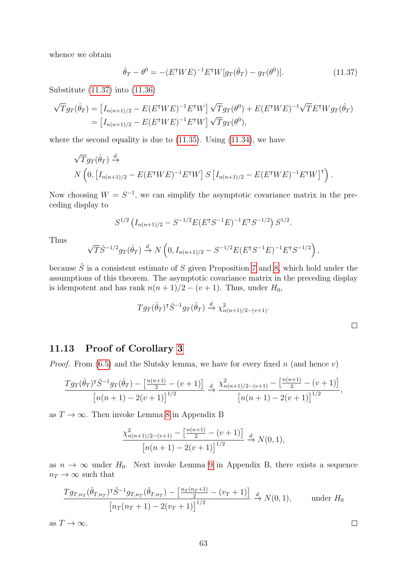whence we obtain

<span id="page-64-0"></span>
$$
\hat{\theta}_T - \theta^0 = -(E^{\dagger}WE)^{-1}E^{\dagger}W[g_T(\hat{\theta}_T) - g_T(\theta^0)].
$$
\n(11.37)

Substitute [\(11.37\)](#page-64-0) into [\(11.36\)](#page-63-0)

$$
\sqrt{T}g_T(\hat{\theta}_T) = \left[I_{n(n+1)/2} - E(E^{\mathsf{T}}WE)^{-1}E^{\mathsf{T}}W\right] \sqrt{T}g_T(\theta^0) + E(E^{\mathsf{T}}WE)^{-1} \sqrt{T}E^{\mathsf{T}}Wg_T(\hat{\theta}_T)
$$
  
=  $\left[I_{n(n+1)/2} - E(E^{\mathsf{T}}WE)^{-1}E^{\mathsf{T}}W\right] \sqrt{T}g_T(\theta^0),$ 

where the second equality is due to  $(11.35)$ . Using  $(11.34)$ , we have

$$
\sqrt{T}g_T(\hat{\theta}_T) \stackrel{d}{\rightarrow} N\left(0, \left[I_{n(n+1)/2} - E(E^{\mathsf{T}}WE)^{-1}E^{\mathsf{T}}W\right]S\left[I_{n(n+1)/2} - E(E^{\mathsf{T}}WE)^{-1}E^{\mathsf{T}}W\right]^{\mathsf{T}}\right).
$$

Now choosing  $W = S^{-1}$ , we can simplify the asymptotic covariance matrix in the preceding display to

$$
S^{1/2} \left( I_{n(n+1)/2} - S^{-1/2} E(E^{\dagger} S^{-1} E)^{-1} E^{\dagger} S^{-1/2} \right) S^{1/2}.
$$

Thus

$$
\sqrt{T}\hat{S}^{-1/2}g_T(\hat{\theta}_T) \xrightarrow{d} N\left(0, I_{n(n+1)/2} - S^{-1/2}E(E^{\intercal}S^{-1}E)^{-1}E^{\intercal}S^{-1/2}\right),
$$

because  $\hat{S}$  is a consistent estimate of S given Proposition [7](#page-42-3) and [8,](#page-43-5) which hold under the assumptions of this theorem. The asymptotic covariance matrix in the preceding display is idempotent and has rank  $n(n + 1)/2 - (v + 1)$ . Thus, under  $H_0$ ,

$$
Tg_T(\hat{\theta}_T)^{\dagger} \hat{S}^{-1} g_T(\hat{\theta}_T) \xrightarrow{d} \chi^2_{n(n+1)/2-(v+1)}.
$$

### 11.13 Proof of Corollary [3](#page-31-1)

*Proof.* From [\(6.5\)](#page-31-2) and the Slutsky lemma, we have for every fixed n (and hence v)

$$
\frac{Tg_T(\hat{\theta}_T)^{\intercal}\hat{S}^{-1}g_T(\hat{\theta}_T) - \left[\frac{n(n+1)}{2} - (v+1)\right]}{[n(n+1) - 2(v+1)]^{1/2}} \xrightarrow{d} \frac{\chi^2_{n(n+1)/2 - (v+1)} - \left[\frac{n(n+1)}{2} - (v+1)\right]}{\left[n(n+1) - 2(v+1)\right]^{1/2}},
$$

as  $T \to \infty$ . Then invoke Lemma [8](#page-68-3) in Appendix B

$$
\frac{\chi_{n(n+1)/2-(v+1)}^2 - \left[\frac{n(n+1)}{2} - (v+1)\right]}{\left[n(n+1) - 2(v+1)\right]^{1/2}} \xrightarrow{d} N(0,1),
$$

as  $n \to \infty$  under  $H_0$ . Next invoke Lemma [9](#page-68-4) in Appendix B, there exists a sequence  $n_T \to \infty$  such that

$$
\frac{Tg_{T,n_T}(\hat{\theta}_{T,n_T})^{\dagger} \hat{S}^{-1} g_{T,n_T}(\hat{\theta}_{T,n_T}) - \left[\frac{n_T(n_T+1)}{2} - (v_T+1)\right]}{[n_T(n_T+1) - 2(v_T+1)]^{1/2}} \xrightarrow{d} N(0,1), \quad \text{under } H_0
$$

as  $T \to \infty$ .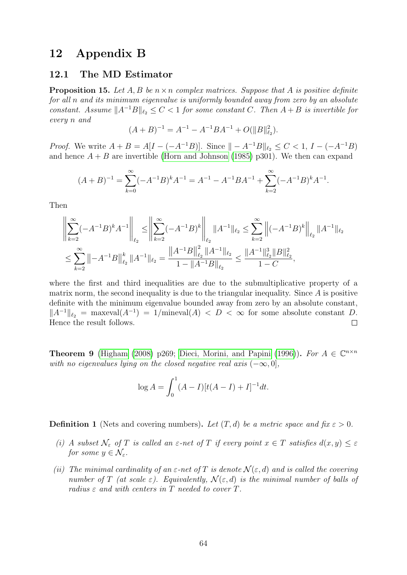# 12 Appendix B

#### 12.1 The MD Estimator

<span id="page-65-1"></span>**Proposition 15.** Let A, B be  $n \times n$  complex matrices. Suppose that A is positive definite for all n and its minimum eigenvalue is uniformly bounded away from zero by an absolute constant. Assume  $||A^{-1}B||_{\ell_2} \leq C < 1$  for some constant C. Then  $A + B$  is invertible for every n and

$$
(A + B)^{-1} = A^{-1} - A^{-1}BA^{-1} + O(||B||_{\ell_2}^2).
$$

*Proof.* We write  $A + B = A[I - (-A^{-1}B)]$ . Since  $|| - A^{-1}B||_{\ell_2} \leq C < 1$ ,  $I - (-A^{-1}B)$ and hence  $A + B$  are invertible [\(Horn and Johnson](#page-70-1) [\(1985\)](#page-70-1) p301). We then can expand

$$
(A + B)^{-1} = \sum_{k=0}^{\infty} (-A^{-1}B)^k A^{-1} = A^{-1} - A^{-1}BA^{-1} + \sum_{k=2}^{\infty} (-A^{-1}B)^k A^{-1}.
$$

Then

$$
\left\| \sum_{k=2}^{\infty} (-A^{-1}B)^k A^{-1} \right\|_{\ell_2} \le \left\| \sum_{k=2}^{\infty} (-A^{-1}B)^k \right\|_{\ell_2} \|A^{-1}\|_{\ell_2} \le \sum_{k=2}^{\infty} \left\| (-A^{-1}B)^k \right\|_{\ell_2} \|A^{-1}\|_{\ell_2}
$$
  

$$
\le \sum_{k=2}^{\infty} \left\| -A^{-1}B \right\|_{\ell_2}^k \|A^{-1}\|_{\ell_2} = \frac{\left\| A^{-1}B \right\|_{\ell_2}^2 \|A^{-1}\|_{\ell_2}}{1 - \|A^{-1}B\|_{\ell_2}} \le \frac{\|A^{-1}\|_{\ell_2}^3 \|B\|_{\ell_2}^2}{1 - C},
$$

where the first and third inequalities are due to the submultiplicative property of a matrix norm, the second inequality is due to the triangular inequality. Since  $A$  is positive definite with the minimum eigenvalue bounded away from zero by an absolute constant,  $||A^{-1}||_{\ell_2} = \text{maxeval}(A^{-1}) = 1/\text{mineval}(A) < D < \infty$  for some absolute constant D. Hence the result follows.  $\Box$ 

<span id="page-65-0"></span>**Theorem 9** [\(Higham](#page-70-0) [\(2008\)](#page-70-0) p269; [Dieci, Morini, and Papini](#page-69-0) [\(1996\)](#page-69-0)). For  $A \in \mathbb{C}^{n \times n}$ with no eigenvalues lying on the closed negative real axis  $(-\infty, 0]$ ,

$$
\log A = \int_0^1 (A - I)[t(A - I) + I]^{-1}dt.
$$

**Definition 1** (Nets and covering numbers). Let  $(T, d)$  be a metric space and fix  $\varepsilon > 0$ .

- (i) A subset  $\mathcal{N}_{\varepsilon}$  of T is called an  $\varepsilon$ -net of T if every point  $x \in T$  satisfies  $d(x, y) \leq \varepsilon$ for some  $y \in \mathcal{N}_{\varepsilon}$ .
- (ii) The minimal cardinality of an  $\varepsilon$ -net of T is denote  $\mathcal{N}(\varepsilon, d)$  and is called the covering number of T (at scale  $\varepsilon$ ). Equivalently,  $\mathcal{N}(\varepsilon, d)$  is the minimal number of balls of radius  $\varepsilon$  and with centers in T needed to cover T.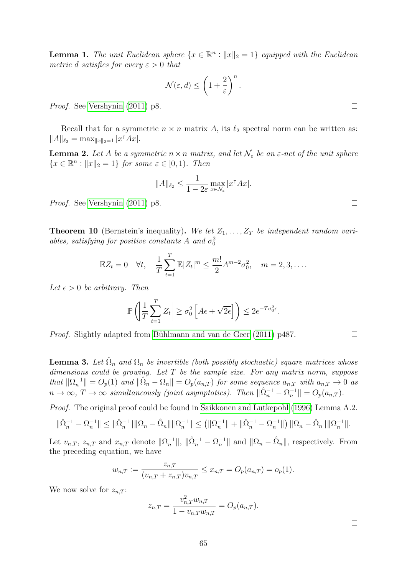<span id="page-66-1"></span>**Lemma 1.** The unit Euclidean sphere  $\{x \in \mathbb{R}^n : ||x||_2 = 1\}$  equipped with the Euclidean metric d satisfies for every  $\varepsilon > 0$  that

$$
\mathcal{N}(\varepsilon, d) \le \left(1 + \frac{2}{\varepsilon}\right)^n.
$$

Proof. See [Vershynin](#page-72-2) [\(2011\)](#page-72-2) p8.

Recall that for a symmetric  $n \times n$  matrix A, its  $\ell_2$  spectral norm can be written as:  $||A||_{\ell_2} = \max_{||x||_2=1} |x^{\dagger}Ax|.$ 

<span id="page-66-0"></span>**Lemma 2.** Let A be a symmetric  $n \times n$  matrix, and let  $\mathcal{N}_{\varepsilon}$  be an  $\varepsilon$ -net of the unit sphere  $\{x \in \mathbb{R}^n : ||x||_2 = 1\}$  for some  $\varepsilon \in [0, 1)$ . Then

$$
||A||_{\ell_2} \le \frac{1}{1 - 2\varepsilon} \max_{x \in \mathcal{N}_{\varepsilon}} |x^{\intercal} Ax|.
$$

Proof. See [Vershynin](#page-72-2) [\(2011\)](#page-72-2) p8.

**Theorem 10** (Bernstein's inequality). We let  $Z_1, \ldots, Z_T$  be independent random variables, satisfying for positive constants A and  $\sigma_0^2$ 

$$
\mathbb{E}Z_t = 0 \quad \forall t, \quad \frac{1}{T} \sum_{t=1}^T \mathbb{E} |Z_t|^m \le \frac{m!}{2} A^{m-2} \sigma_0^2, \quad m = 2, 3, \dots
$$

Let  $\epsilon > 0$  be arbitrary. Then

$$
\mathbb{P}\left(\left|\frac{1}{T}\sum_{t=1}^T Z_t\right| \geq \sigma_0^2 \left[A\epsilon + \sqrt{2\epsilon}\right]\right) \leq 2e^{-T\sigma_0^2\epsilon}.
$$

Proof. Slightly adapted from Bühlmann and van de Geer [\(2011\)](#page-69-1) p487.

<span id="page-66-2"></span>**Lemma 3.** Let  $\hat{\Omega}_n$  and  $\Omega_n$  be invertible (both possibly stochastic) square matrices whose dimensions could be growing. Let  $T$  be the sample size. For any matrix norm, suppose that  $\|\Omega_n^{-1}\| = O_p(1)$  and  $\|\hat{\Omega}_n - \Omega_n\| = O_p(a_{n,T})$  for some sequence  $a_{n,T}$  with  $a_{n,T} \to 0$  as  $n \to \infty$ ,  $T \to \infty$  simultaneously (joint asymptotics). Then  $\|\hat{\Omega}_n^{-1} - \Omega_n^{-1}\| = O_p(a_{n,T})$ .

Proof. The original proof could be found in [Saikkonen and Lutkepohl](#page-71-3) [\(1996\)](#page-71-3) Lemma A.2.

$$
\|\hat{\Omega}_n^{-1} - \Omega_n^{-1}\| \le \|\hat{\Omega}_n^{-1}\| \|\Omega_n - \hat{\Omega}_n\| \|\Omega_n^{-1}\| \le \left(\|\Omega_n^{-1}\| + \|\hat{\Omega}_n^{-1} - \Omega_n^{-1}\|\right) \|\Omega_n - \hat{\Omega}_n\| \|\Omega_n^{-1}\|.
$$

Let  $v_{n,T}$ ,  $z_{n,T}$  and  $x_{n,T}$  denote  $\|\Omega_n^{-1}\|$ ,  $\|\hat{\Omega}_n^{-1} - \Omega_n^{-1}\|$  and  $\|\Omega_n - \hat{\Omega}_n\|$ , respectively. From the preceding equation, we have

$$
w_{n,T} := \frac{z_{n,T}}{(v_{n,T} + z_{n,T})v_{n,T}} \le x_{n,T} = O_p(a_{n,T}) = o_p(1).
$$

We now solve for  $z_{n,T}$ :

$$
z_{n,T} = \frac{v_{n,T}^2 w_{n,T}}{1 - v_{n,T} w_{n,T}} = O_p(a_{n,T}).
$$

 $\Box$ 

 $\Box$ 

 $\Box$ 

 $\Box$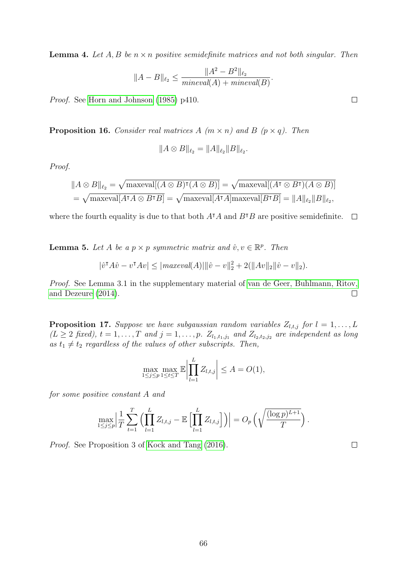<span id="page-67-3"></span>**Lemma 4.** Let  $A, B$  be  $n \times n$  positive semidefinite matrices and not both singular. Then

$$
||A - B||_{\ell_2} \le \frac{||A^2 - B^2||_{\ell_2}}{\text{mineval}(A) + \text{mineval}(B)}.
$$

Proof. See [Horn and Johnson](#page-70-1) [\(1985\)](#page-70-1) p410.

<span id="page-67-0"></span>**Proposition 16.** Consider real matrices A  $(m \times n)$  and B  $(p \times q)$ . Then

$$
||A \otimes B||_{\ell_2} = ||A||_{\ell_2} ||B||_{\ell_2}.
$$

Proof.

$$
||A \otimes B||_{\ell_2} = \sqrt{\text{maxeval}[(A \otimes B)^{\intercal}(A \otimes B)]} = \sqrt{\text{maxeval}[(A^{\intercal} \otimes B^{\intercal})(A \otimes B)]}
$$
  
=  $\sqrt{\text{maxeval}[A^{\intercal}A \otimes B^{\intercal}B]} = \sqrt{\text{maxeval}[A^{\intercal}A] \text{maxeval}[B^{\intercal}B]} = ||A||_{\ell_2} ||B||_{\ell_2},$ 

where the fourth equality is due to that both  $A<sup>T</sup>A$  and  $B<sup>T</sup>B$  are positive semidefinite.  $\Box$ 

<span id="page-67-2"></span>**Lemma 5.** Let A be a  $p \times p$  symmetric matrix and  $\hat{v}, v \in \mathbb{R}^p$ . Then

$$
|\hat{v}^{\mathsf{T}} A \hat{v} - v^{\mathsf{T}} A v| \le |\mathit{maxeval}(A)| \|\hat{v} - v\|_2^2 + 2(\|Av\|_2 \|\hat{v} - v\|_2).
$$

Proof. See Lemma 3.1 in the supplementary material of [van de Geer, Buhlmann, Ritov,](#page-72-3) [and Dezeure](#page-72-3) [\(2014\)](#page-72-3).  $\Box$ 

<span id="page-67-1"></span>**Proposition 17.** Suppose we have subgaussian random variables  $Z_{l,t,j}$  for  $l = 1, \ldots, L$  $(L \geq 2$  fixed),  $t = 1, \ldots, T$  and  $j = 1, \ldots, p$ .  $Z_{l_1,t_1,j_1}$  and  $Z_{l_2,t_2,j_2}$  are independent as long as  $t_1 \neq t_2$  regardless of the values of other subscripts. Then,

$$
\max_{1 \le j \le p} \max_{1 \le t \le T} \mathbb{E} \left| \prod_{l=1}^{L} Z_{l,t,j} \right| \le A = O(1),
$$

for some positive constant A and

$$
\max_{1\leq j\leq p}\left|\frac{1}{T}\sum_{t=1}^T\left(\prod_{l=1}^L Z_{l,t,j}-\mathbb{E}\left[\prod_{l=1}^L Z_{l,t,j}\right]\right)\right|=O_p\left(\sqrt{\frac{(\log p)^{L+1}}{T}}\right).
$$

Proof. See Proposition 3 of [Kock and Tang](#page-70-2) [\(2016\)](#page-70-2).

 $\Box$ 

 $\Box$ 

66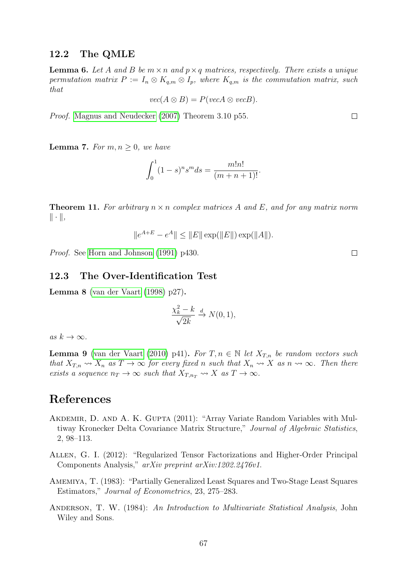#### 12.2 The QMLE

<span id="page-68-0"></span>**Lemma 6.** Let A and B be  $m \times n$  and  $p \times q$  matrices, respectively. There exists a unique permutation matrix  $P := I_n \otimes K_{q,m} \otimes I_p$ , where  $K_{q,m}$  is the commutation matrix, such that

$$
vec(A \otimes B) = P(vecA \otimes vecB).
$$

Proof. [Magnus and Neudecker](#page-71-0) [\(2007\)](#page-71-0) Theorem 3.10 p55.

<span id="page-68-1"></span>**Lemma 7.** For  $m, n \geq 0$ , we have

$$
\int_0^1 (1-s)^n s^m ds = \frac{m!n!}{(m+n+1)!}.
$$

<span id="page-68-2"></span>**Theorem 11.** For arbitrary  $n \times n$  complex matrices A and E, and for any matrix norm  $\|\cdot\|,$ 

$$
||e^{A+E} - e^A|| \le ||E|| \exp(||E||) \exp(||A||).
$$

Proof. See [Horn and Johnson](#page-70-3) [\(1991\)](#page-70-3) p430.

#### 12.3 The Over-Identification Test

<span id="page-68-3"></span>Lemma 8 [\(van der Vaart](#page-72-1) [\(1998\)](#page-72-1) p27).

$$
\frac{\chi_k^2 - k}{\sqrt{2k}} \xrightarrow{d} N(0, 1),
$$

as  $k \to \infty$ .

<span id="page-68-4"></span>**Lemma 9** [\(van der Vaart](#page-72-4) [\(2010\)](#page-72-4) p41). For  $T, n \in \mathbb{N}$  let  $X_{T,n}$  be random vectors such that  $X_{T,n} \rightsquigarrow X_n$  as  $T \rightarrow \infty$  for every fixed n such that  $X_n \rightsquigarrow X$  as  $n \rightsquigarrow \infty$ . Then there exists a sequence  $n_T \to \infty$  such that  $X_{T,n_T} \rightsquigarrow X$  as  $T \to \infty$ .

# References

- AKDEMIR, D. AND A. K. GUPTA (2011): "Array Variate Random Variables with Multiway Kronecker Delta Covariance Matrix Structure," Journal of Algebraic Statistics, 2, 98–113.
- Allen, G. I. (2012): "Regularized Tensor Factorizations and Higher-Order Principal Components Analysis," arXiv preprint arXiv:1202.2476v1.
- Amemiya, T. (1983): "Partially Generalized Least Squares and Two-Stage Least Squares Estimators," Journal of Econometrics, 23, 275–283.
- Anderson, T. W. (1984): An Introduction to Multivariate Statistical Analysis, John Wiley and Sons.

 $\Box$ 

 $\Box$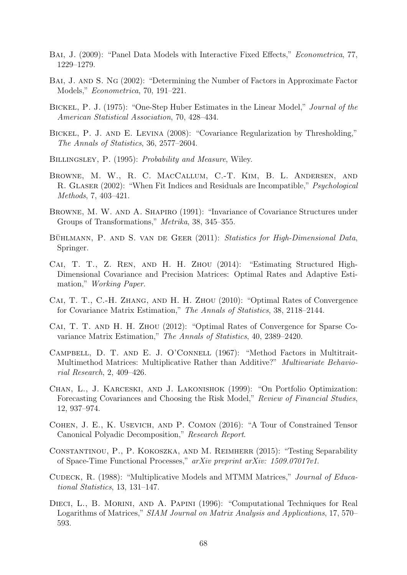- Bai, J. (2009): "Panel Data Models with Interactive Fixed Effects," Econometrica, 77, 1229–1279.
- Bai, J. and S. Ng (2002): "Determining the Number of Factors in Approximate Factor Models," Econometrica, 70, 191–221.
- Bickel, P. J. (1975): "One-Step Huber Estimates in the Linear Model," Journal of the American Statistical Association, 70, 428–434.
- Bickel, P. J. and E. Levina (2008): "Covariance Regularization by Thresholding," The Annals of Statistics, 36, 2577–2604.
- BILLINGSLEY, P. (1995): Probability and Measure, Wiley.
- Browne, M. W., R. C. MacCallum, C.-T. Kim, B. L. Andersen, and R. Glaser (2002): "When Fit Indices and Residuals are Incompatible," Psychological Methods, 7, 403–421.
- Browne, M. W. and A. Shapiro (1991): "Invariance of Covariance Structures under Groups of Transformations," Metrika, 38, 345–355.
- <span id="page-69-1"></span>BÜHLMANN, P. AND S. VAN DE GEER (2011): Statistics for High-Dimensional Data, Springer.
- Cai, T. T., Z. Ren, and H. H. Zhou (2014): "Estimating Structured High-Dimensional Covariance and Precision Matrices: Optimal Rates and Adaptive Estimation," Working Paper.
- Cai, T. T., C.-H. Zhang, and H. H. Zhou (2010): "Optimal Rates of Convergence for Covariance Matrix Estimation," The Annals of Statistics, 38, 2118–2144.
- Cai, T. T. and H. H. Zhou (2012): "Optimal Rates of Convergence for Sparse Covariance Matrix Estimation," The Annals of Statistics, 40, 2389–2420.
- CAMPBELL, D. T. AND E. J. O'CONNELL (1967): "Method Factors in Multitrait-Multimethod Matrices: Multiplicative Rather than Additive?" Multivariate Behaviorial Research, 2, 409–426.
- Chan, L., J. Karceski, and J. Lakonishok (1999): "On Portfolio Optimization: Forecasting Covariances and Choosing the Risk Model," Review of Financial Studies, 12, 937–974.
- Cohen, J. E., K. Usevich, and P. Comon (2016): "A Tour of Constrained Tensor Canonical Polyadic Decomposition," Research Report.
- Constantinou, P., P. Kokoszka, and M. Reimherr (2015): "Testing Separability of Space-Time Functional Processes," arXiv preprint arXiv: 1509.07017v1.
- Cudeck, R. (1988): "Multiplicative Models and MTMM Matrices," Journal of Educational Statistics, 13, 131–147.
- <span id="page-69-0"></span>DIECI, L., B. MORINI, AND A. PAPINI (1996): "Computational Techniques for Real Logarithms of Matrices," SIAM Journal on Matrix Analysis and Applications, 17, 570– 593.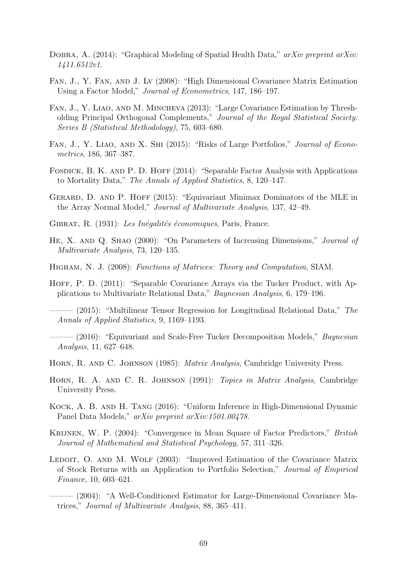- DOBRA, A. (2014): "Graphical Modeling of Spatial Health Data," arXiv preprint arXiv: 1411.6512v1.
- Fan, J., Y. Fan, and J. Lv (2008): "High Dimensional Covariance Matrix Estimation Using a Factor Model," Journal of Econometrics, 147, 186–197.
- Fan, J., Y. Liao, and M. Mincheva (2013): "Large Covariance Estimation by Thresholding Principal Orthogonal Complements," Journal of the Royal Statistical Society: Series B (Statistical Methodology), 75, 603–680.
- FAN, J., Y. LIAO, AND X. SHI (2015): "Risks of Large Portfolios," Journal of Econometrics, 186, 367–387.
- FOSDICK, B. K. AND P. D. HOFF (2014): "Separable Factor Analysis with Applications to Mortality Data," The Annals of Applied Statistics, 8, 120–147.
- GERARD, D. AND P. HOFF (2015): "Equivariant Minimax Dominators of the MLE in the Array Normal Model," Journal of Multivariate Analysis, 137, 42–49.
- GIBRAT, R. (1931): Les Inégalités économiques, Paris, France.
- He, X. and Q. Shao (2000): "On Parameters of Increasing Dimensions," Journal of Multivariate Analysis, 73, 120–135.
- <span id="page-70-0"></span>Higham, N. J. (2008): Functions of Matrices: Theory and Computation, SIAM.
- HOFF, P. D. (2011): "Separable Covariance Arrays via the Tucker Product, with Applications to Multivariate Relational Data," Baynesian Analysis, 6, 179–196.

 $-$  (2015): "Multilinear Tensor Regression for Longitudinal Relational Data," The Annals of Applied Statistics, 9, 1169–1193.

 $-$  (2016): "Equivariant and Scale-Free Tucker Decomposition Models," *Baynesian* Analysis, 11, 627–648.

- <span id="page-70-1"></span>HORN, R. AND C. JOHNSON (1985): *Matrix Analysis*, Cambridge University Press.
- <span id="page-70-3"></span>HORN, R. A. AND C. R. JOHNSON (1991): Topics in Matrix Analysis, Cambridge University Press.
- <span id="page-70-2"></span>Kock, A. B. and H. Tang (2016): "Uniform Inference in High-Dimensional Dynamic Panel Data Models," arXiv preprint arXiv:1501.00478.
- KRIJNEN, W. P. (2004): "Convergence in Mean Square of Factor Predictors," British Journal of Mathematical and Statistical Psychology, 57, 311–326.
- LEDOIT, O. AND M. WOLF (2003): "Improved Estimation of the Covariance Matrix of Stock Returns with an Application to Portfolio Selection," Journal of Empirical Finance, 10, 603–621.

——— (2004): "A Well-Conditioned Estimator for Large-Dimensional Covariance Matrices," Journal of Multivariate Analysis, 88, 365–411.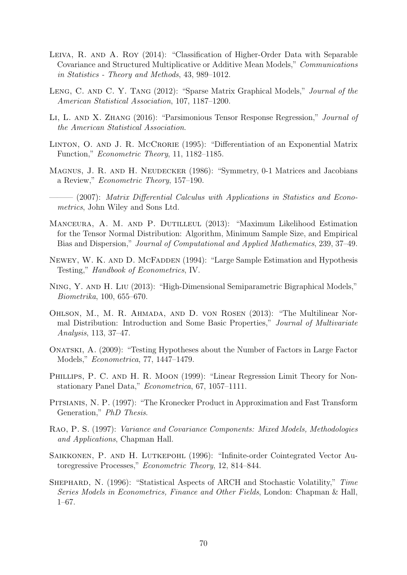- Leiva, R. and A. Roy (2014): "Classification of Higher-Order Data with Separable Covariance and Structured Multiplicative or Additive Mean Models," Communications in Statistics - Theory and Methods, 43, 989–1012.
- LENG, C. AND C. Y. TANG (2012): "Sparse Matrix Graphical Models," *Journal of the* American Statistical Association, 107, 1187–1200.
- Li, L. and X. Zhang (2016): "Parsimonious Tensor Response Regression," Journal of the American Statistical Association.
- <span id="page-71-2"></span>LINTON, O. AND J. R. MCCRORIE (1995): "Differentiation of an Exponential Matrix Function," Econometric Theory, 11, 1182–1185.
- MAGNUS, J. R. AND H. NEUDECKER (1986): "Symmetry, 0-1 Matrices and Jacobians a Review," Econometric Theory, 157–190.
- <span id="page-71-0"></span>——— (2007): Matrix Differential Calculus with Applications in Statistics and Econometrics, John Wiley and Sons Ltd.
- Manceura, A. M. and P. Dutilleul (2013): "Maximum Likelihood Estimation for the Tensor Normal Distribution: Algorithm, Minimum Sample Size, and Empirical Bias and Dispersion," Journal of Computational and Applied Mathematics, 239, 37–49.
- NEWEY, W. K. AND D. MCFADDEN (1994): "Large Sample Estimation and Hypothesis Testing," Handbook of Econometrics, IV.
- Ning, Y. and H. Liu (2013): "High-Dimensional Semiparametric Bigraphical Models," Biometrika, 100, 655–670.
- Ohlson, M., M. R. Ahmada, and D. von Rosen (2013): "The Multilinear Normal Distribution: Introduction and Some Basic Properties," Journal of Multivariate Analysis, 113, 37–47.
- Onatski, A. (2009): "Testing Hypotheses about the Number of Factors in Large Factor Models," Econometrica, 77, 1447–1479.
- <span id="page-71-1"></span>PHILLIPS, P. C. AND H. R. MOON (1999): "Linear Regression Limit Theory for Nonstationary Panel Data," Econometrica, 67, 1057–1111.
- PITSIANIS, N. P. (1997): "The Kronecker Product in Approximation and Fast Transform Generation," PhD Thesis.
- Rao, P. S. (1997): Variance and Covariance Components: Mixed Models, Methodologies and Applications, Chapman Hall.
- <span id="page-71-3"></span>SAIKKONEN, P. AND H. LUTKEPOHL (1996): "Infinite-order Cointegrated Vector Autoregressive Processes," Econometric Theory, 12, 814–844.
- Shephard, N. (1996): "Statistical Aspects of ARCH and Stochastic Volatility," Time Series Models in Econometrics, Finance and Other Fields, London: Chapman & Hall, 1–67.